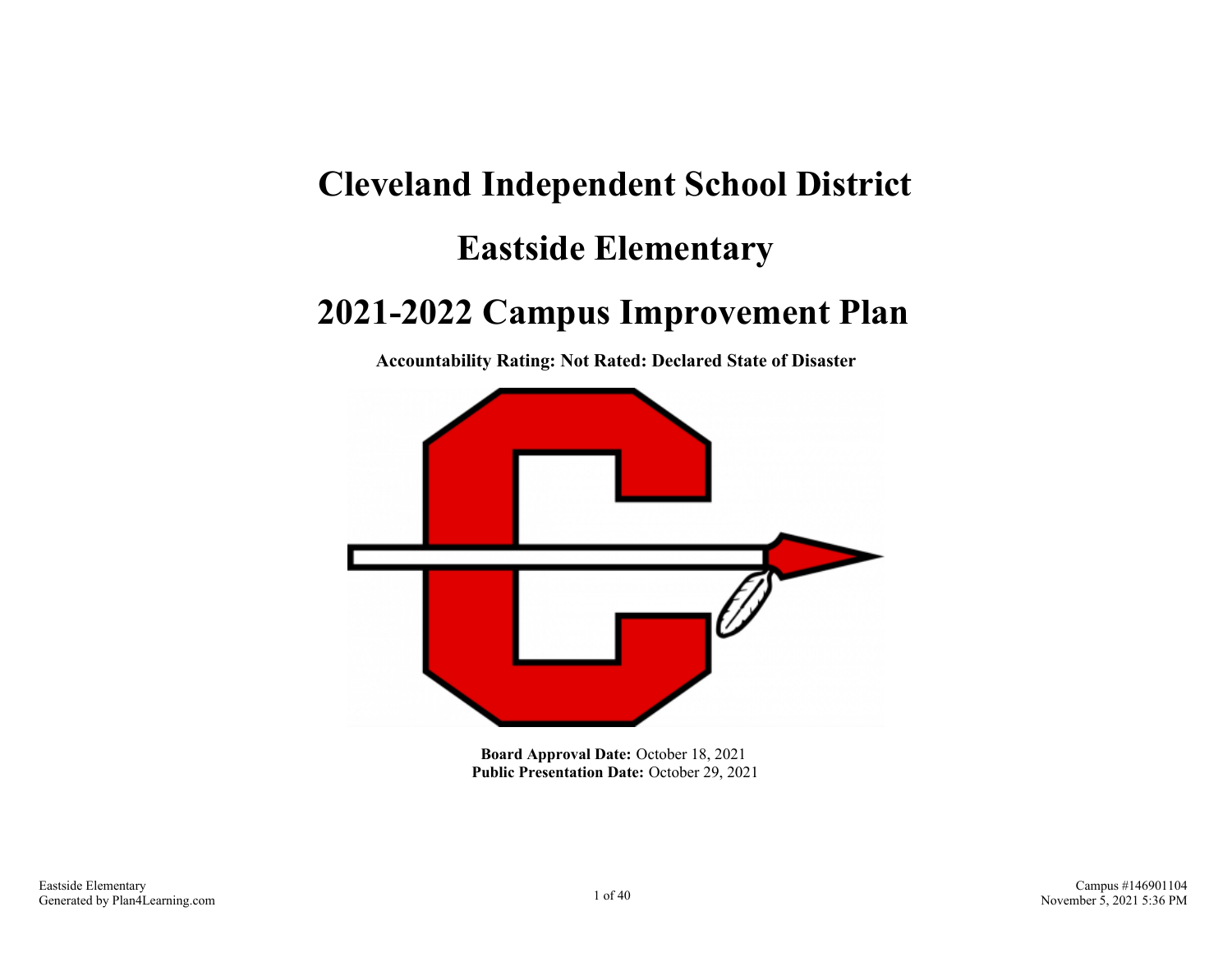# **Cleveland Independent School District Eastside Elementary**

## **2021-2022 Campus Improvement Plan**

**Accountability Rating: Not Rated: Declared State of Disaster**



**Board Approval Date:** October 18, 2021 **Public Presentation Date:** October 29, 2021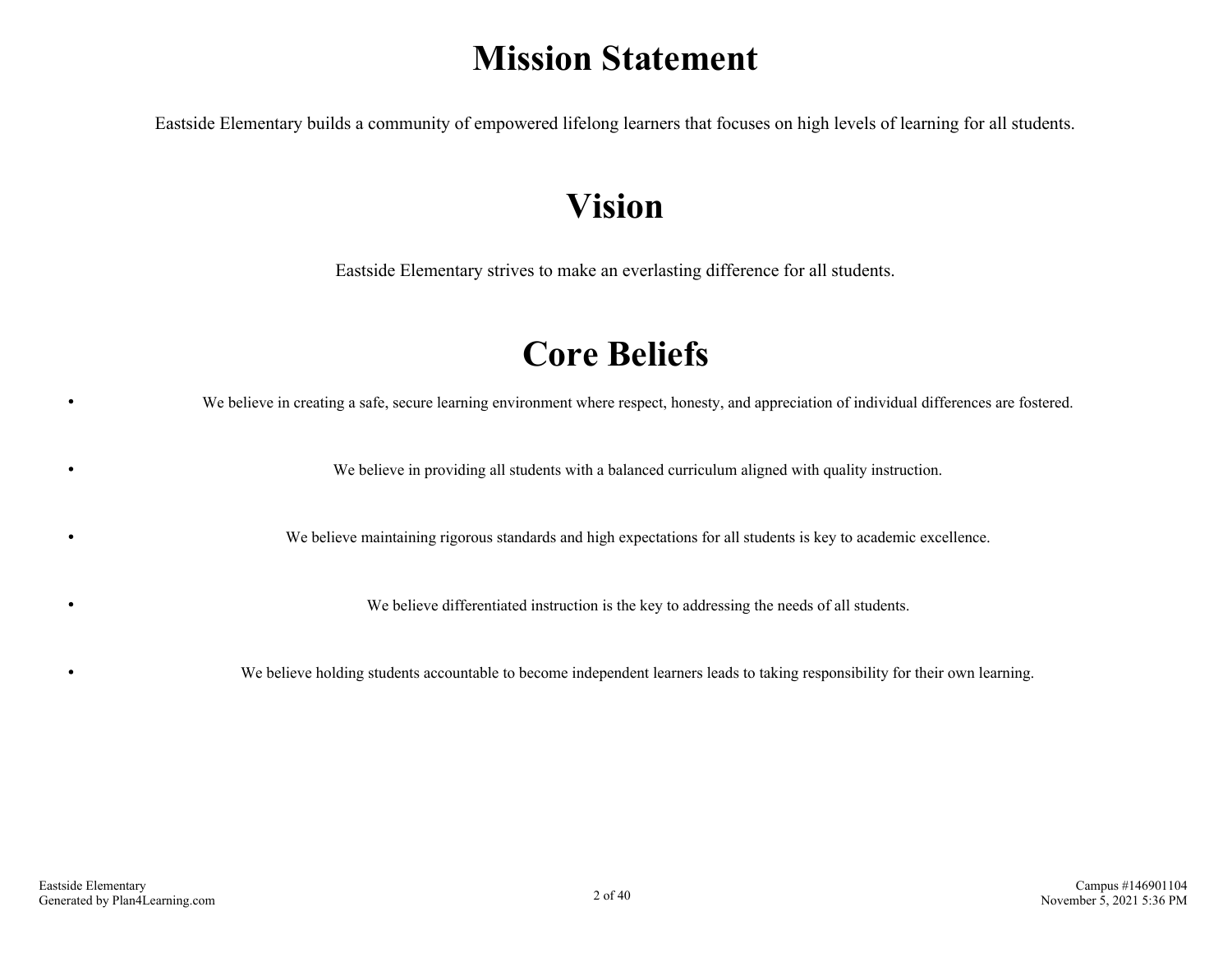## **Mission Statement**

Eastside Elementary builds a community of empowered lifelong learners that focuses on high levels of learning for all students.

## **Vision**

Eastside Elementary strives to make an everlasting difference for all students.

## **Core Beliefs**

We believe in creating a safe, secure learning environment where respect, honesty, and appreciation of individual differences are fostered.

We believe in providing all students with a balanced curriculum aligned with quality instruction.

We believe maintaining rigorous standards and high expectations for all students is key to academic excellence.

We believe differentiated instruction is the key to addressing the needs of all students.

We believe holding students accountable to become independent learners leads to taking responsibility for their own learning.

 $\bullet$ 

 $\bullet$ 

 $\bullet$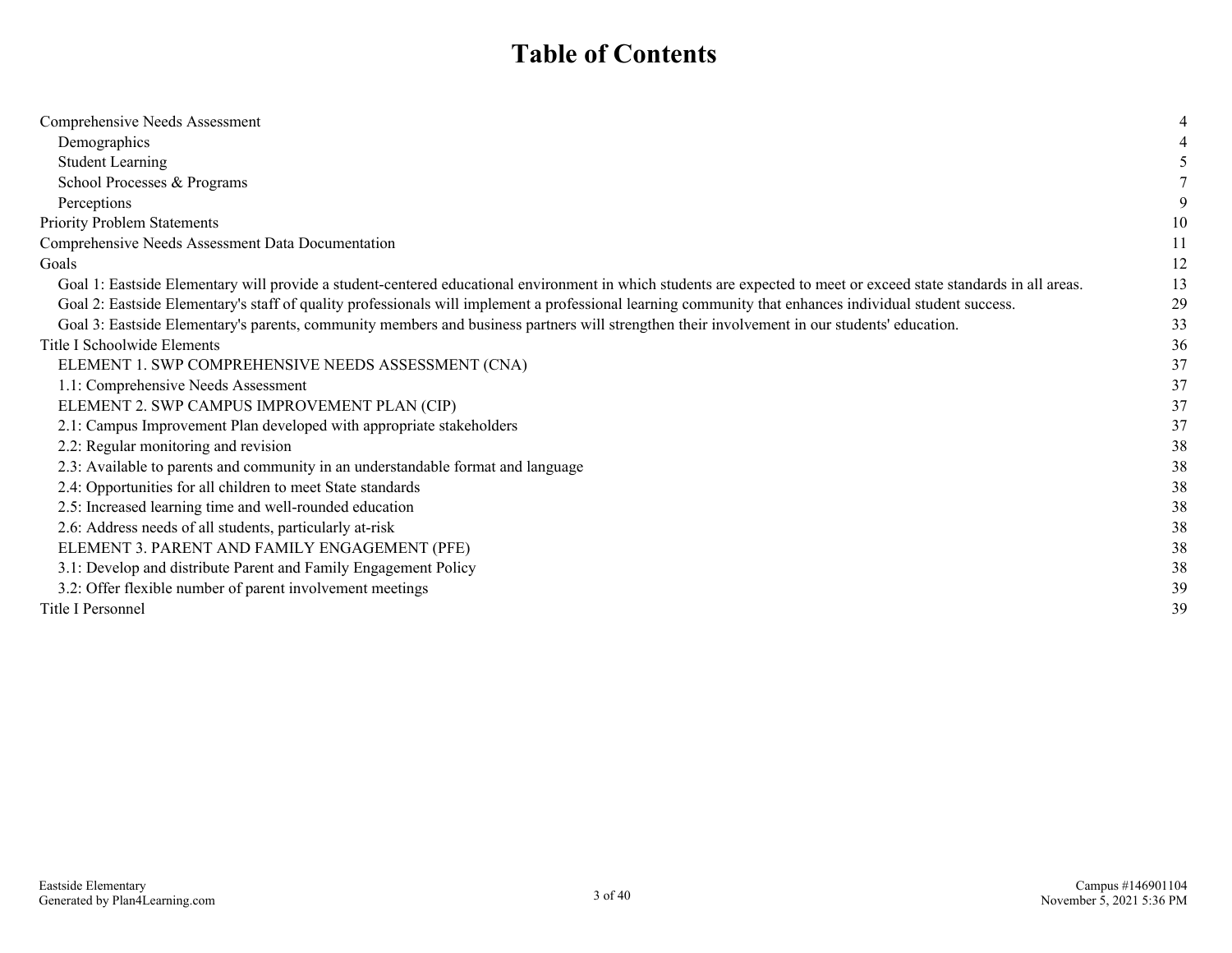## **Table of Contents**

| Comprehensive Needs Assessment                                                                                                                                     |    |
|--------------------------------------------------------------------------------------------------------------------------------------------------------------------|----|
| Demographics                                                                                                                                                       |    |
| <b>Student Learning</b>                                                                                                                                            |    |
| School Processes & Programs                                                                                                                                        |    |
| Perceptions                                                                                                                                                        |    |
| Priority Problem Statements                                                                                                                                        | 10 |
| Comprehensive Needs Assessment Data Documentation                                                                                                                  | 11 |
| Goals                                                                                                                                                              | 12 |
| Goal 1: Eastside Elementary will provide a student-centered educational environment in which students are expected to meet or exceed state standards in all areas. | 13 |
| Goal 2: Eastside Elementary's staff of quality professionals will implement a professional learning community that enhances individual student success.            | 29 |
| Goal 3: Eastside Elementary's parents, community members and business partners will strengthen their involvement in our students' education.                       | 33 |
| Title I Schoolwide Elements                                                                                                                                        | 36 |
| ELEMENT 1. SWP COMPREHENSIVE NEEDS ASSESSMENT (CNA)                                                                                                                | 37 |
| 1.1: Comprehensive Needs Assessment                                                                                                                                | 37 |
| ELEMENT 2. SWP CAMPUS IMPROVEMENT PLAN (CIP)                                                                                                                       | 37 |
| 2.1: Campus Improvement Plan developed with appropriate stakeholders                                                                                               | 37 |
| 2.2: Regular monitoring and revision                                                                                                                               | 38 |
| 2.3: Available to parents and community in an understandable format and language                                                                                   | 38 |
| 2.4: Opportunities for all children to meet State standards                                                                                                        | 38 |
| 2.5: Increased learning time and well-rounded education                                                                                                            | 38 |
| 2.6: Address needs of all students, particularly at-risk                                                                                                           | 38 |
| ELEMENT 3. PARENT AND FAMILY ENGAGEMENT (PFE)                                                                                                                      | 38 |
| 3.1: Develop and distribute Parent and Family Engagement Policy                                                                                                    | 38 |
| 3.2: Offer flexible number of parent involvement meetings                                                                                                          | 39 |
| Title I Personnel                                                                                                                                                  | 39 |
|                                                                                                                                                                    |    |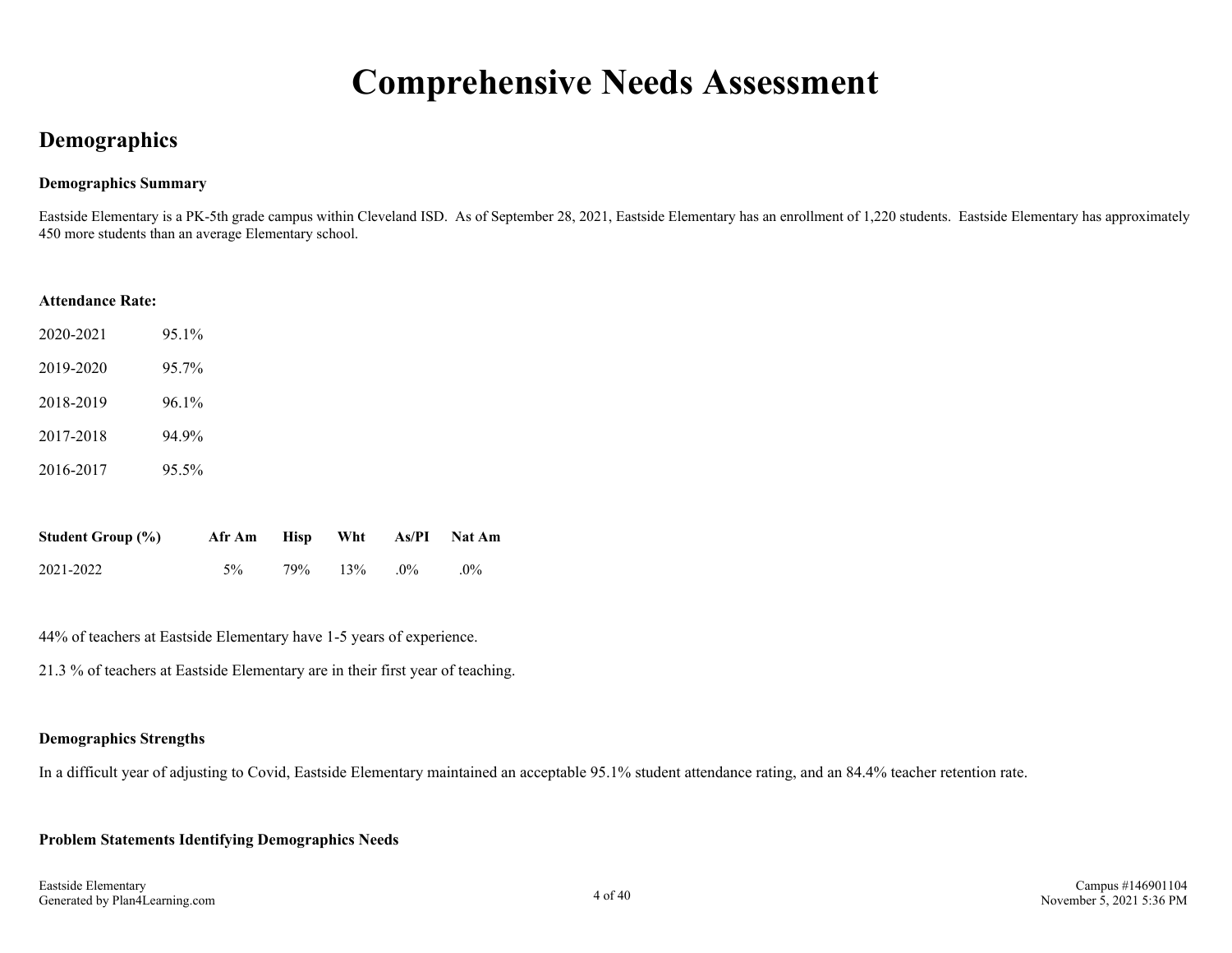## **Comprehensive Needs Assessment**

### **Demographics**

#### **Demographics Summary**

Eastside Elementary is a PK-5th grade campus within Cleveland ISD. As of September 28, 2021, Eastside Elementary has an enrollment of 1,220 students. Eastside Elementary has approximately 450 more students than an average Elementary school.

#### **Attendance Rate:**

| 2020-2021 | 95.1% |
|-----------|-------|
| 2019-2020 | 95.7% |
| 2018-2019 | 96.1% |
| 2017-2018 | 94 9% |
| 2016-2017 | 95.5% |

| <b>Student Group (%)</b> | Afr Am |     |        |       | Hisp Wht As/PI Nat Am |
|--------------------------|--------|-----|--------|-------|-----------------------|
| 2021-2022                | $5\%$  | 79% | $13\%$ | $0\%$ | $0\%$                 |

44% of teachers at Eastside Elementary have 1-5 years of experience.

21.3 % of teachers at Eastside Elementary are in their first year of teaching.

#### **Demographics Strengths**

In a difficult year of adjusting to Covid, Eastside Elementary maintained an acceptable 95.1% student attendance rating, and an 84.4% teacher retention rate.

#### **Problem Statements Identifying Demographics Needs**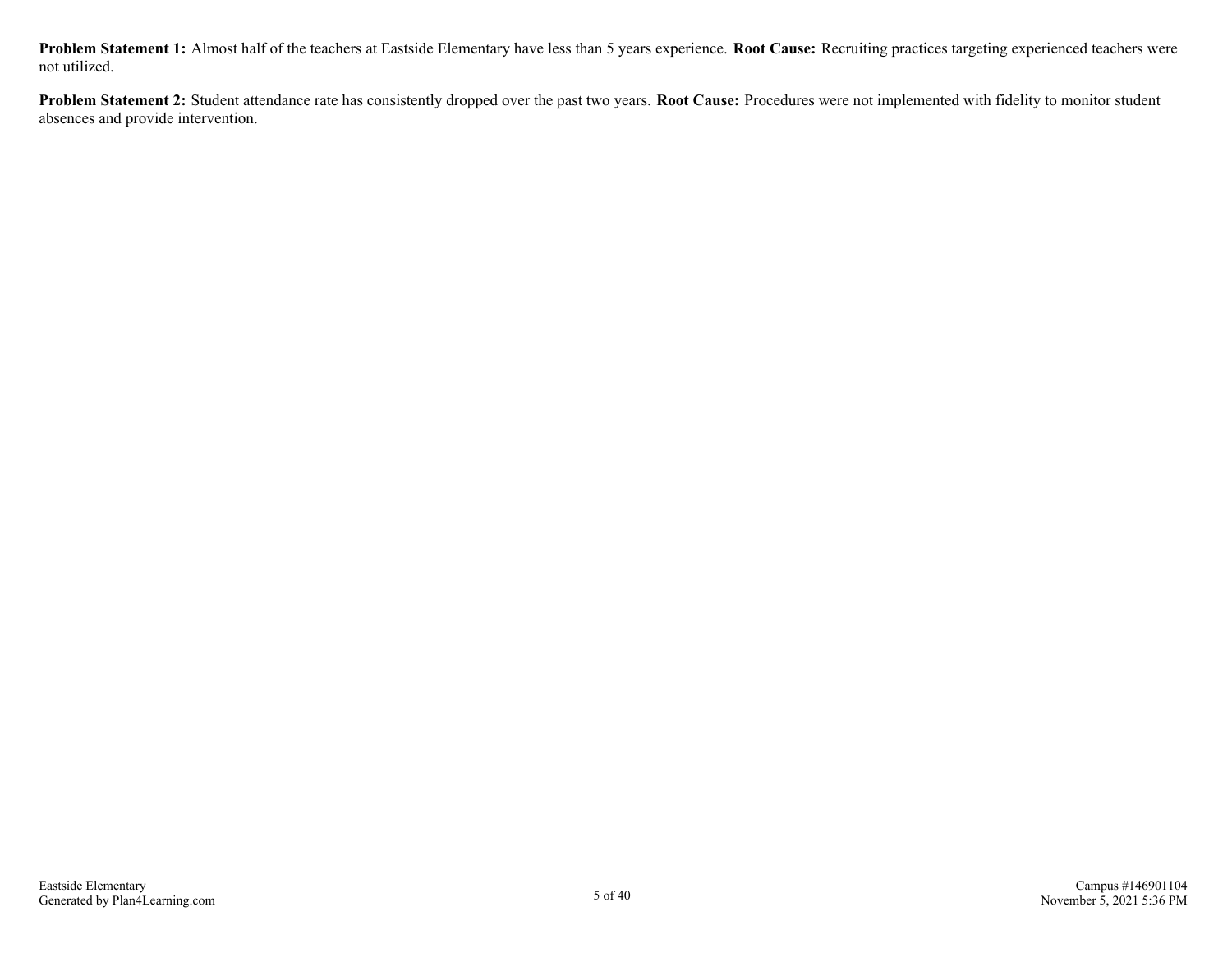**Problem Statement 1:** Almost half of the teachers at Eastside Elementary have less than 5 years experience. **Root Cause:** Recruiting practices targeting experienced teachers were not utilized.

**Problem Statement 2:** Student attendance rate has consistently dropped over the past two years. **Root Cause:** Procedures were not implemented with fidelity to monitor student absences and provide intervention.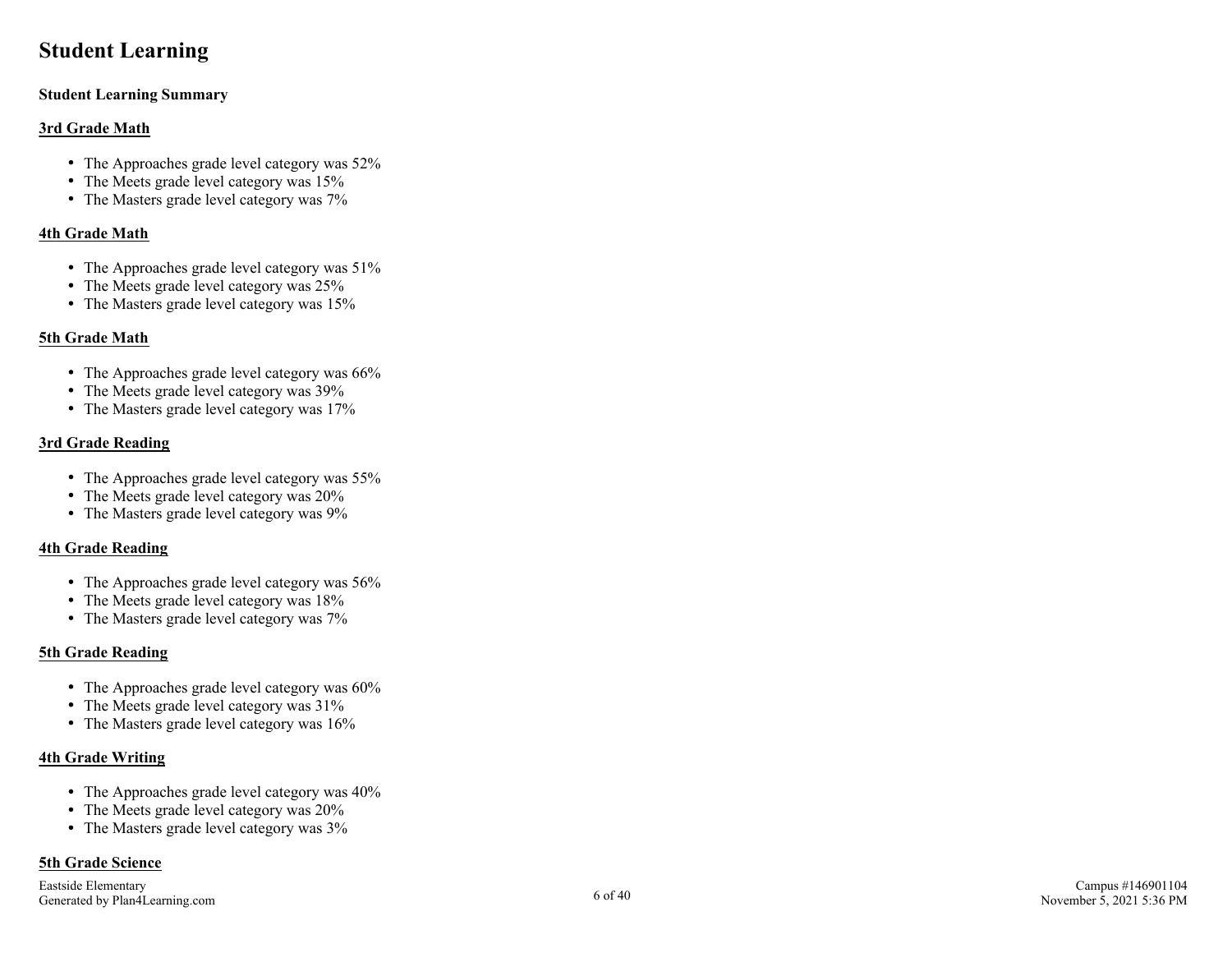### **Student Learning**

#### **Student Learning Summary**

#### **3rd Grade Math**

- The Approaches grade level category was  $52\%$
- The Meets grade level category was 15%
- The Masters grade level category was  $7\%$

#### **4th Grade Math**

- The Approaches grade level category was  $51\%$
- The Meets grade level category was 25%
- The Masters grade level category was 15%

#### **5th Grade Math**

- The Approaches grade level category was  $66\%$
- The Meets grade level category was 39%
- The Masters grade level category was 17%

#### **3rd Grade Reading**

- The Approaches grade level category was 55%
- The Meets grade level category was 20%
- The Masters grade level category was  $9\%$

#### **4th Grade Reading**

- The Approaches grade level category was  $56\%$
- The Meets grade level category was 18%
- The Masters grade level category was  $7\%$

#### **5th Grade Reading**

- The Approaches grade level category was  $60\%$
- The Meets grade level category was  $31\%$
- The Masters grade level category was  $16\%$

#### **4th Grade Writing**

- The Approaches grade level category was  $40\%$
- The Meets grade level category was  $20\%$
- The Masters grade level category was  $3\%$

#### **5th Grade Science**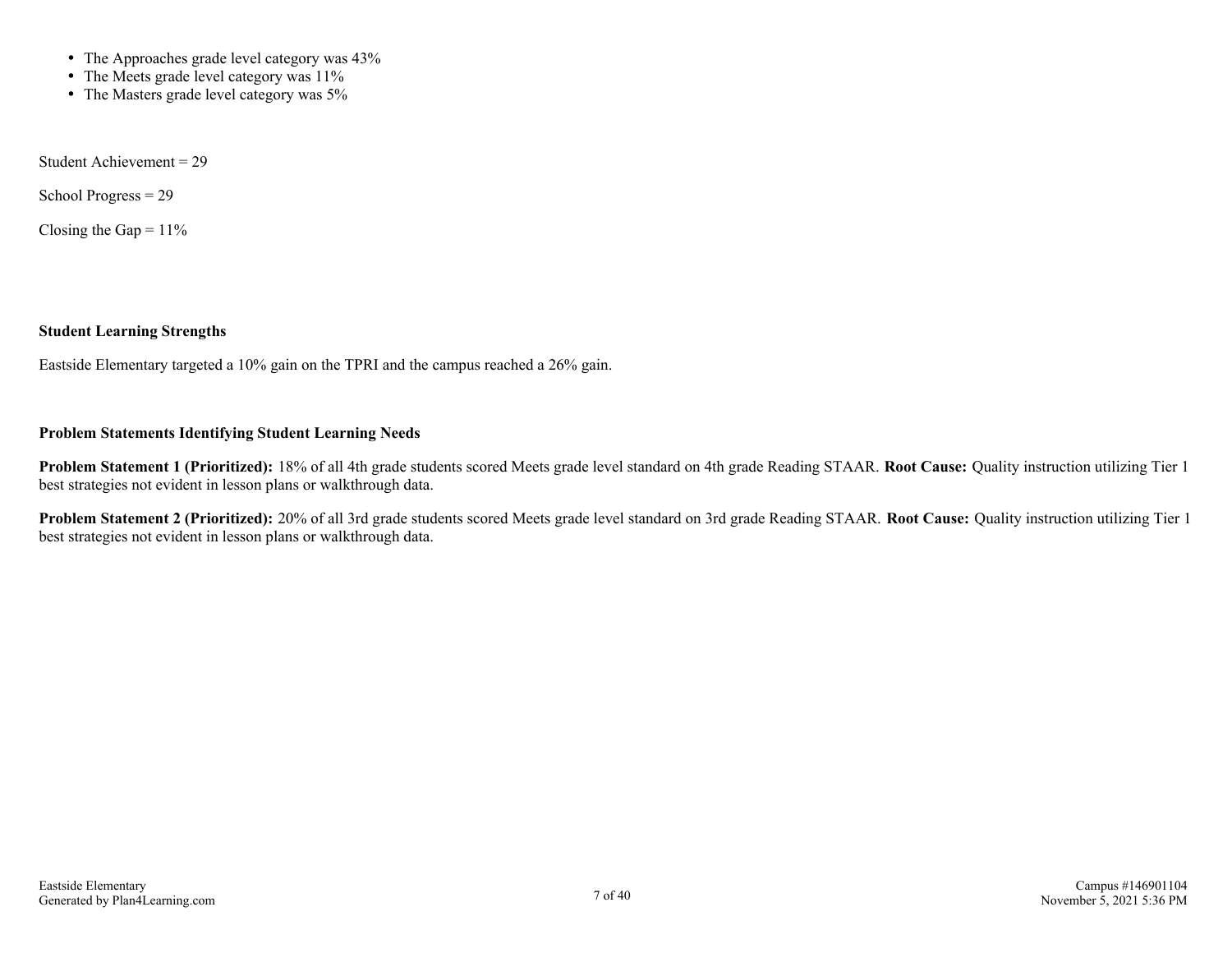- The Approaches grade level category was 43%
- The Meets grade level category was 11%
- The Masters grade level category was 5%

Student Achievement = 29

School Progress = 29

Closing the Gap =  $11\%$ 

#### **Student Learning Strengths**

Eastside Elementary targeted a 10% gain on the TPRI and the campus reached a 26% gain.

#### **Problem Statements Identifying Student Learning Needs**

**Problem Statement 1 (Prioritized):** 18% of all 4th grade students scored Meets grade level standard on 4th grade Reading STAAR. **Root Cause:** Quality instruction utilizing Tier 1 best strategies not evident in lesson plans or walkthrough data.

**Problem Statement 2 (Prioritized):** 20% of all 3rd grade students scored Meets grade level standard on 3rd grade Reading STAAR. **Root Cause:** Quality instruction utilizing Tier 1 best strategies not evident in lesson plans or walkthrough data.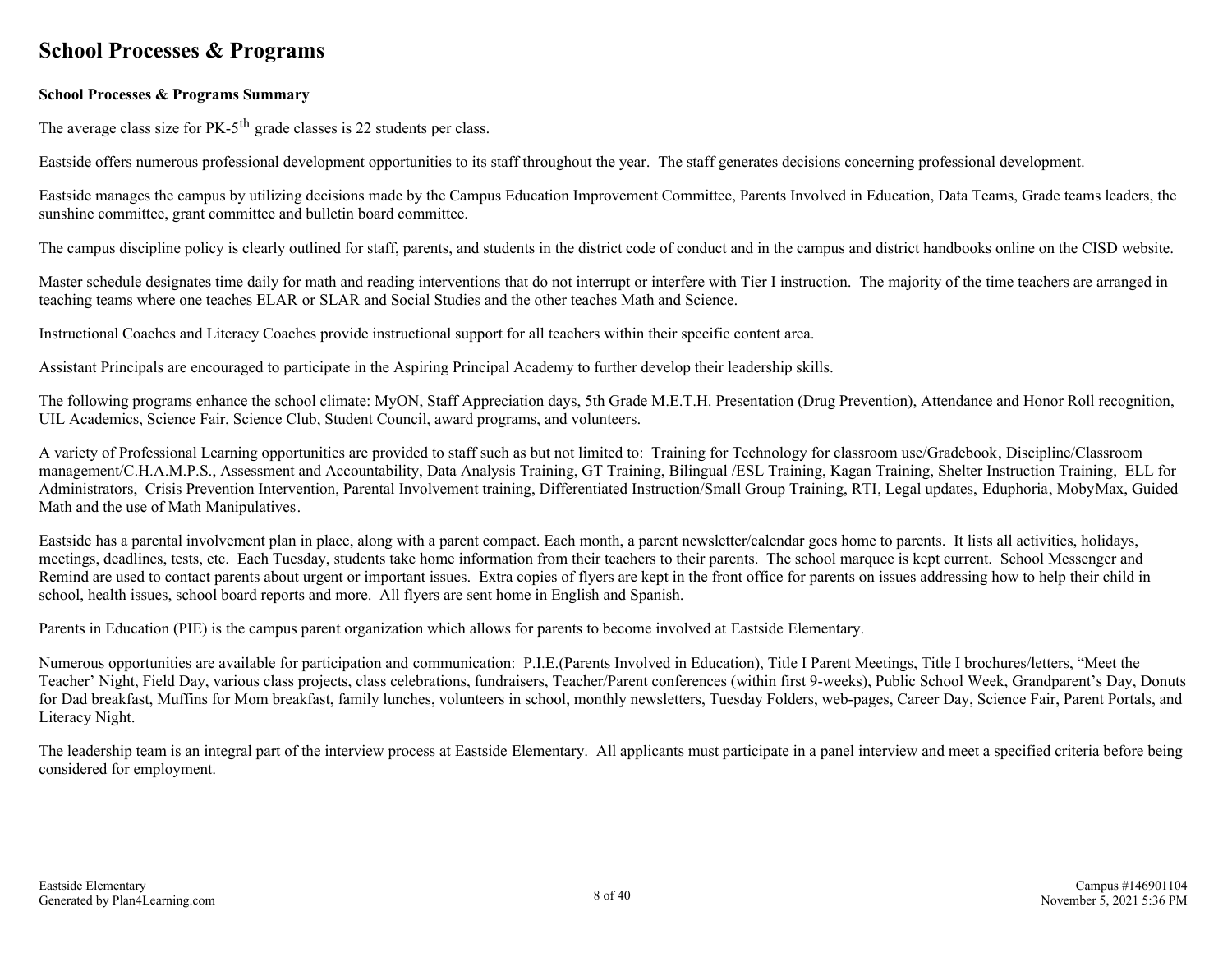### **School Processes & Programs**

#### **School Processes & Programs Summary**

The average class size for  $PK-5<sup>th</sup>$  grade classes is 22 students per class.

Eastside offers numerous professional development opportunities to its staff throughout the year. The staff generates decisions concerning professional development.

Eastside manages the campus by utilizing decisions made by the Campus Education Improvement Committee, Parents Involved in Education, Data Teams, Grade teams leaders, the sunshine committee, grant committee and bulletin board committee.

The campus discipline policy is clearly outlined for staff, parents, and students in the district code of conduct and in the campus and district handbooks online on the CISD website.

Master schedule designates time daily for math and reading interventions that do not interrupt or interfere with Tier I instruction. The majority of the time teachers are arranged in teaching teams where one teaches ELAR or SLAR and Social Studies and the other teaches Math and Science.

Instructional Coaches and Literacy Coaches provide instructional support for all teachers within their specific content area.

Assistant Principals are encouraged to participate in the Aspiring Principal Academy to further develop their leadership skills.

The following programs enhance the school climate: MyON, Staff Appreciation days, 5th Grade M.E.T.H. Presentation (Drug Prevention), Attendance and Honor Roll recognition, UIL Academics, Science Fair, Science Club, Student Council, award programs, and volunteers.

A variety of Professional Learning opportunities are provided to staff such as but not limited to: Training for Technology for classroom use/Gradebook, Discipline/Classroom management/C.H.A.M.P.S., Assessment and Accountability, Data Analysis Training, GT Training, Bilingual /ESL Training, Kagan Training, Shelter Instruction Training, ELL for Administrators, Crisis Prevention Intervention, Parental Involvement training, Differentiated Instruction/Small Group Training, RTI, Legal updates, Eduphoria, MobyMax, Guided Math and the use of Math Manipulatives.

Eastside has a parental involvement plan in place, along with a parent compact. Each month, a parent newsletter/calendar goes home to parents. It lists all activities, holidays, meetings, deadlines, tests, etc. Each Tuesday, students take home information from their teachers to their parents. The school marquee is kept current. School Messenger and Remind are used to contact parents about urgent or important issues. Extra copies of flyers are kept in the front office for parents on issues addressing how to help their child in school, health issues, school board reports and more. All flyers are sent home in English and Spanish.

Parents in Education (PIE) is the campus parent organization which allows for parents to become involved at Eastside Elementary.

Numerous opportunities are available for participation and communication: P.I.E.(Parents Involved in Education), Title I Parent Meetings, Title I brochures/letters, "Meet the Teacher' Night, Field Day, various class projects, class celebrations, fundraisers, Teacher/Parent conferences (within first 9-weeks), Public School Week, Grandparent's Day, Donuts for Dad breakfast, Muffins for Mom breakfast, family lunches, volunteers in school, monthly newsletters, Tuesday Folders, web-pages, Career Day, Science Fair, Parent Portals, and Literacy Night.

The leadership team is an integral part of the interview process at Eastside Elementary. All applicants must participate in a panel interview and meet a specified criteria before being considered for employment.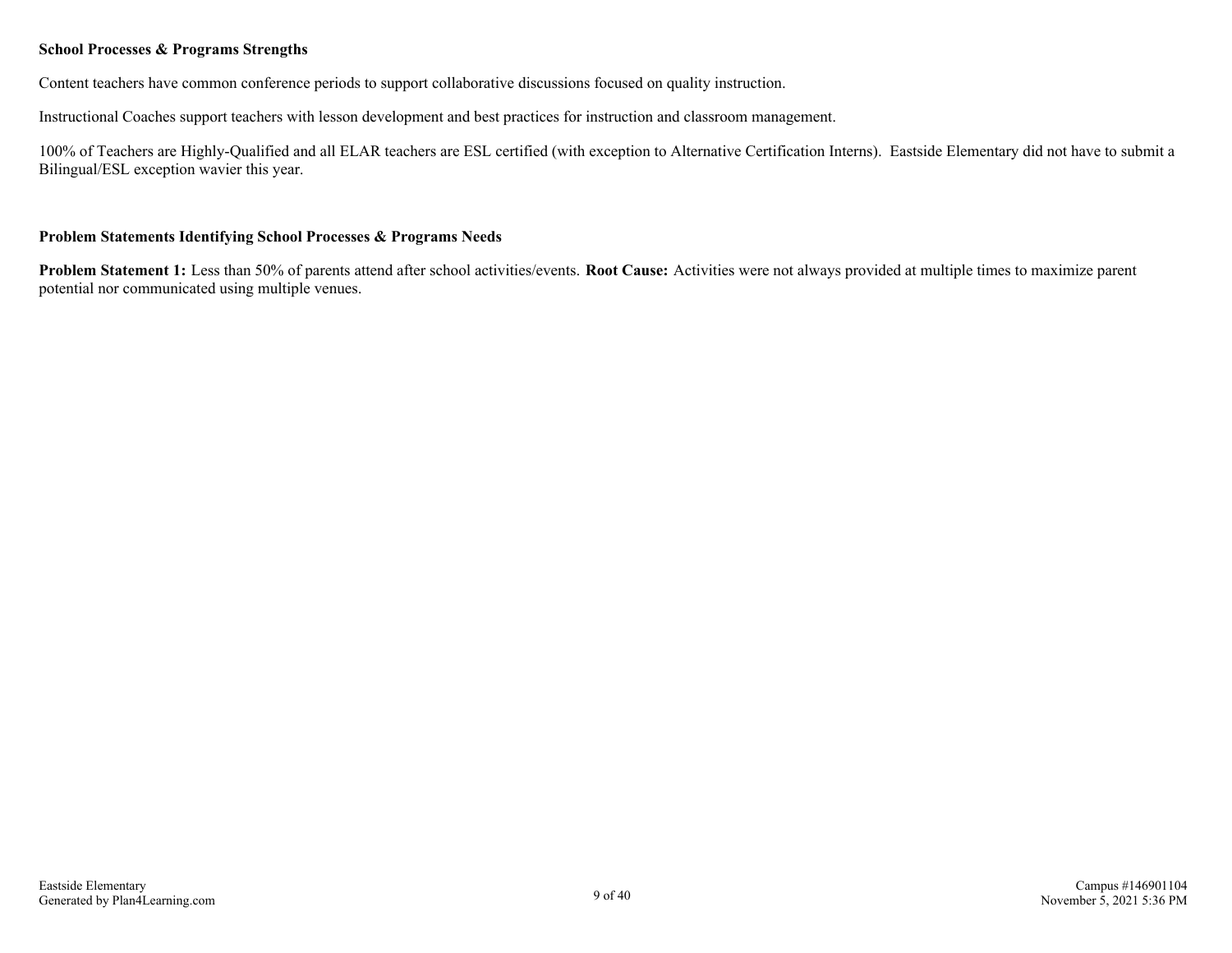#### **School Processes & Programs Strengths**

Content teachers have common conference periods to support collaborative discussions focused on quality instruction.

Instructional Coaches support teachers with lesson development and best practices for instruction and classroom management.

100% of Teachers are Highly-Qualified and all ELAR teachers are ESL certified (with exception to Alternative Certification Interns). Eastside Elementary did not have to submit a Bilingual/ESL exception wavier this year.

#### **Problem Statements Identifying School Processes & Programs Needs**

**Problem Statement 1:** Less than 50% of parents attend after school activities/events. **Root Cause:** Activities were not always provided at multiple times to maximize parent potential nor communicated using multiple venues.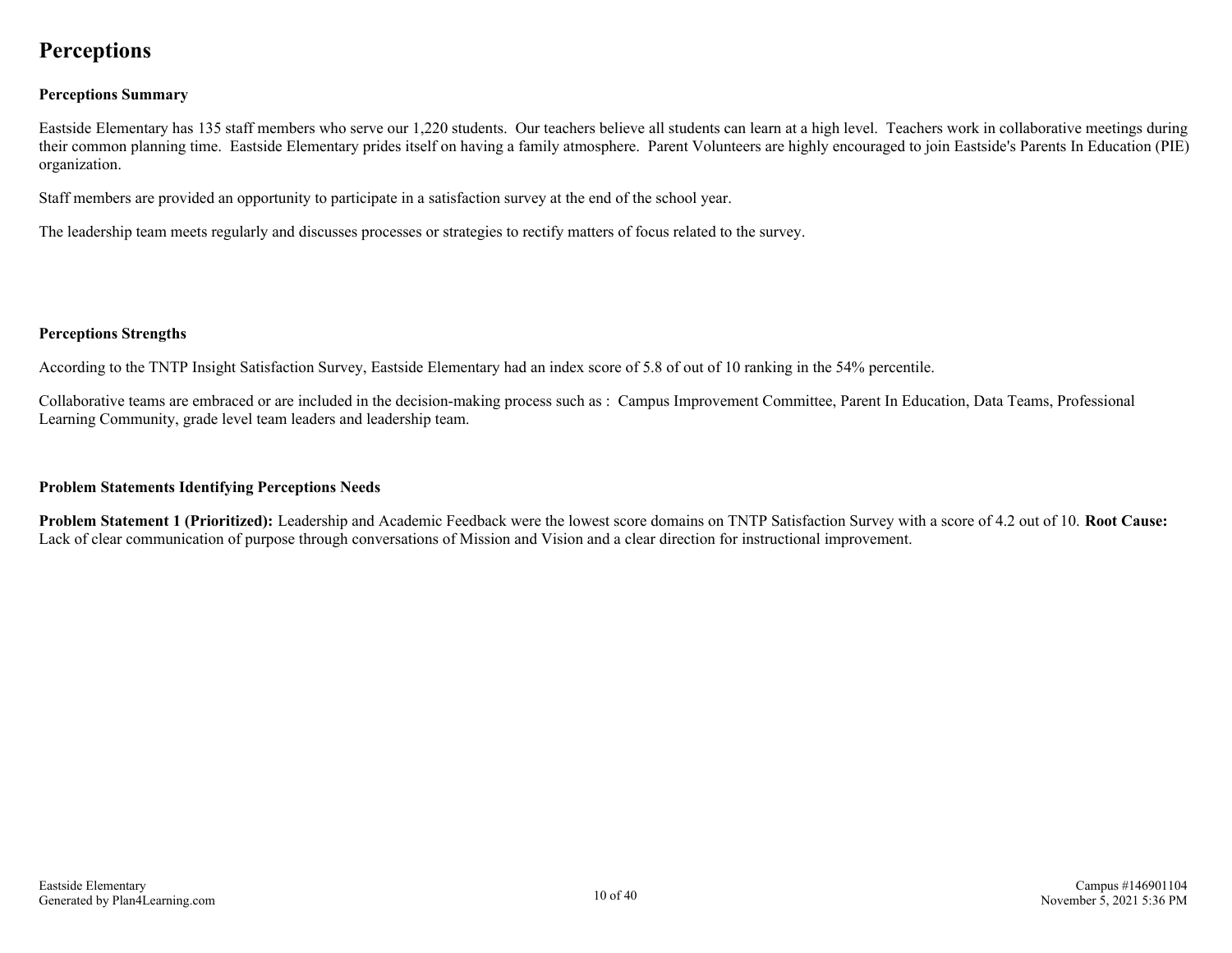### **Perceptions**

#### **Perceptions Summary**

Eastside Elementary has 135 staff members who serve our 1,220 students. Our teachers believe all students can learn at a high level. Teachers work in collaborative meetings during their common planning time. Eastside Elementary prides itself on having a family atmosphere. Parent Volunteers are highly encouraged to join Eastside's Parents In Education (PIE) organization.

Staff members are provided an opportunity to participate in a satisfaction survey at the end of the school year.

The leadership team meets regularly and discusses processes or strategies to rectify matters of focus related to the survey.

#### **Perceptions Strengths**

According to the TNTP Insight Satisfaction Survey, Eastside Elementary had an index score of 5.8 of out of 10 ranking in the 54% percentile.

Collaborative teams are embraced or are included in the decision-making process such as : Campus Improvement Committee, Parent In Education, Data Teams, Professional Learning Community, grade level team leaders and leadership team.

#### **Problem Statements Identifying Perceptions Needs**

**Problem Statement 1 (Prioritized):** Leadership and Academic Feedback were the lowest score domains on TNTP Satisfaction Survey with a score of 4.2 out of 10. **Root Cause:** Lack of clear communication of purpose through conversations of Mission and Vision and a clear direction for instructional improvement.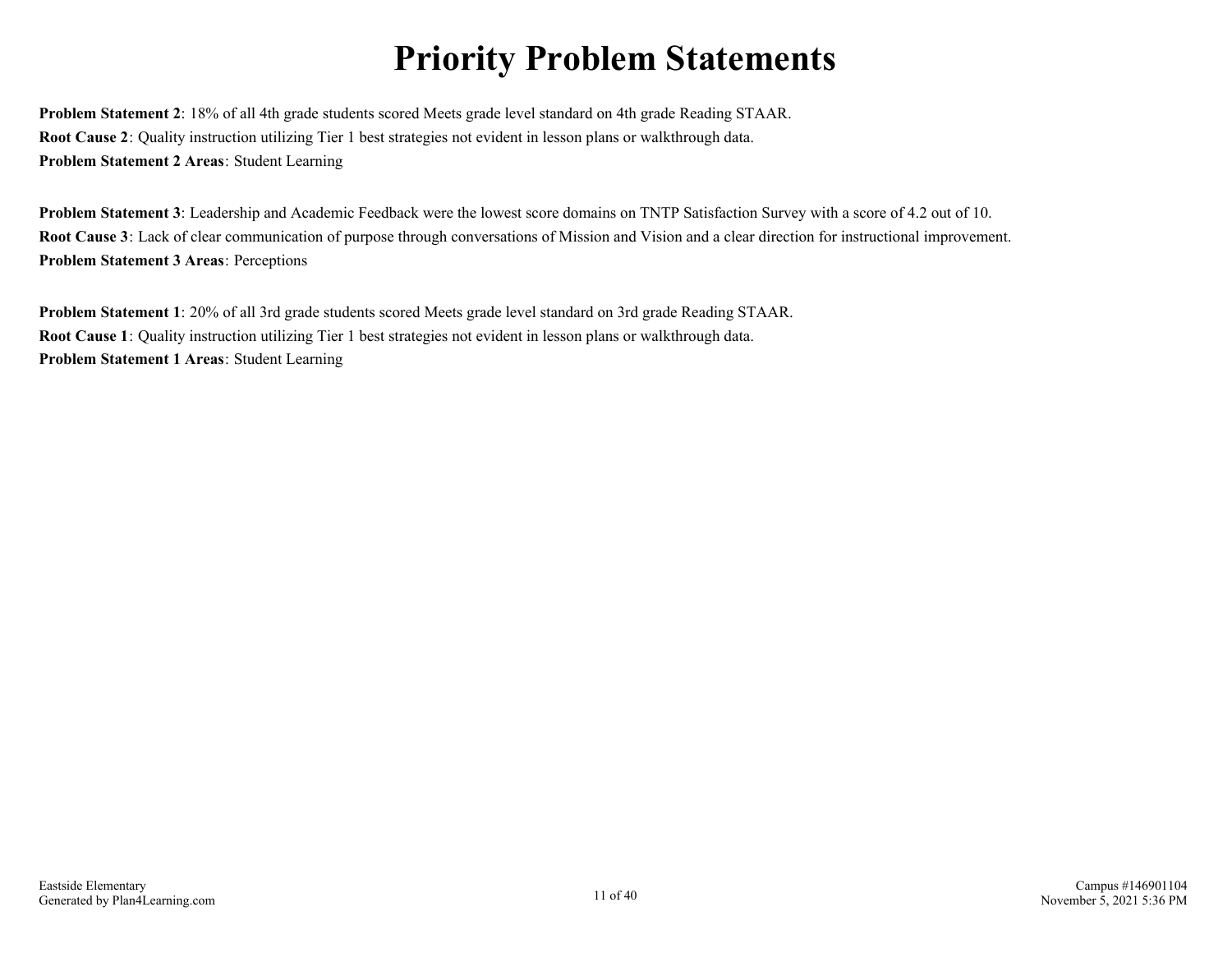## **Priority Problem Statements**

**Problem Statement 2**: 18% of all 4th grade students scored Meets grade level standard on 4th grade Reading STAAR. **Root Cause 2**: Quality instruction utilizing Tier 1 best strategies not evident in lesson plans or walkthrough data. **Problem Statement 2 Areas**: Student Learning

**Problem Statement 3**: Leadership and Academic Feedback were the lowest score domains on TNTP Satisfaction Survey with a score of 4.2 out of 10. **Root Cause 3**: Lack of clear communication of purpose through conversations of Mission and Vision and a clear direction for instructional improvement. **Problem Statement 3 Areas**: Perceptions

**Problem Statement 1**: 20% of all 3rd grade students scored Meets grade level standard on 3rd grade Reading STAAR. **Root Cause 1**: Quality instruction utilizing Tier 1 best strategies not evident in lesson plans or walkthrough data. **Problem Statement 1 Areas**: Student Learning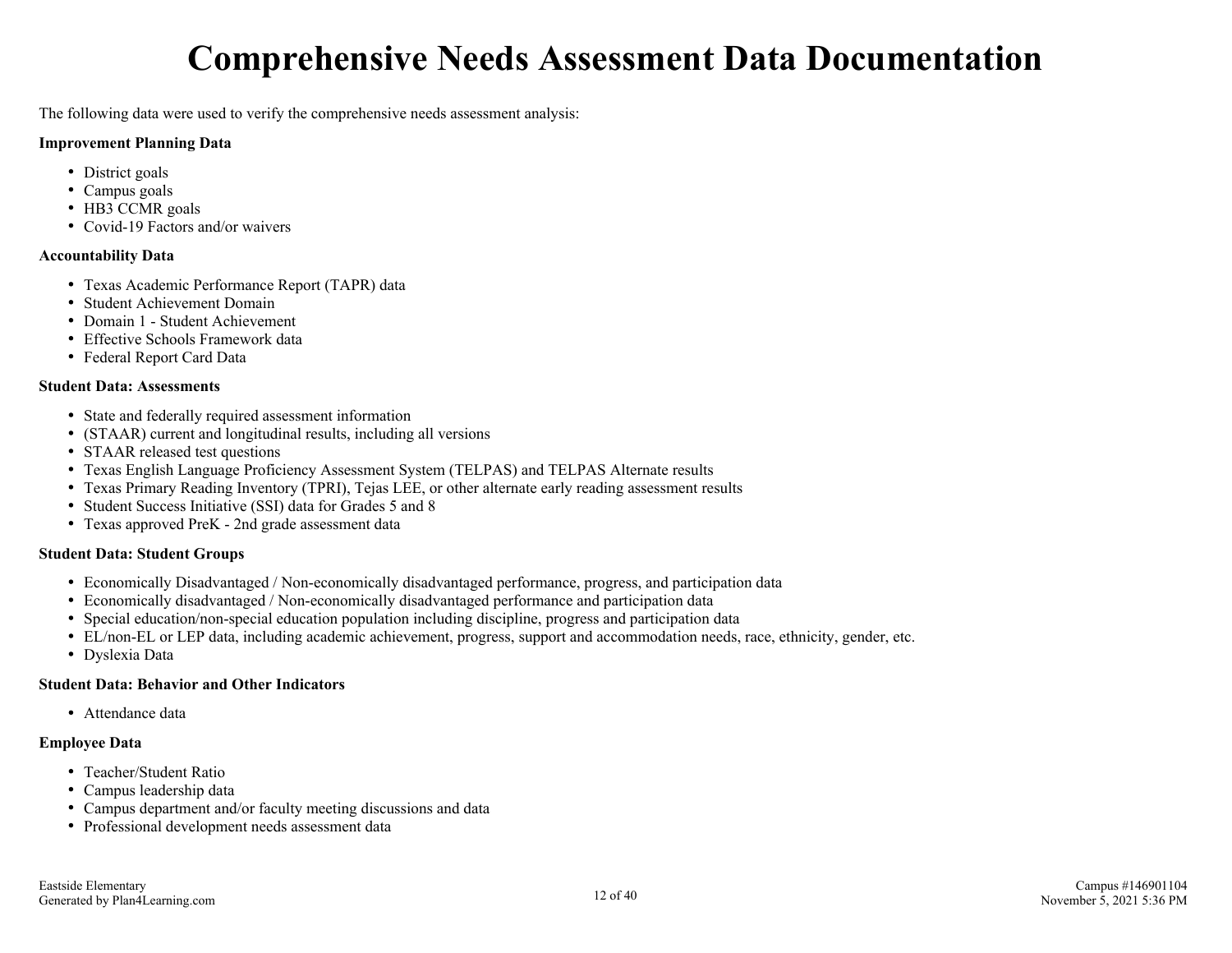## **Comprehensive Needs Assessment Data Documentation**

The following data were used to verify the comprehensive needs assessment analysis:

#### **Improvement Planning Data**

- District goals
- Campus goals
- HB3 CCMR goals
- Covid-19 Factors and/or waivers

#### **Accountability Data**

- Texas Academic Performance Report (TAPR) data
- Student Achievement Domain
- Domain 1 Student Achievement
- Effective Schools Framework data
- Federal Report Card Data

#### **Student Data: Assessments**

- State and federally required assessment information
- (STAAR) current and longitudinal results, including all versions
- STAAR released test questions
- Texas English Language Proficiency Assessment System (TELPAS) and TELPAS Alternate results
- Texas Primary Reading Inventory (TPRI), Tejas LEE, or other alternate early reading assessment results
- Student Success Initiative (SSI) data for Grades 5 and 8
- Texas approved PreK 2nd grade assessment data

#### **Student Data: Student Groups**

- Economically Disadvantaged / Non-economically disadvantaged performance, progress, and participation data
- Economically disadvantaged / Non-economically disadvantaged performance and participation data
- Special education/non-special education population including discipline, progress and participation data
- EL/non-EL or LEP data, including academic achievement, progress, support and accommodation needs, race, ethnicity, gender, etc.
- Dyslexia Data

#### **Student Data: Behavior and Other Indicators**

Attendance data

#### **Employee Data**

- Teacher/Student Ratio
- Campus leadership data
- Campus department and/or faculty meeting discussions and data
- Professional development needs assessment data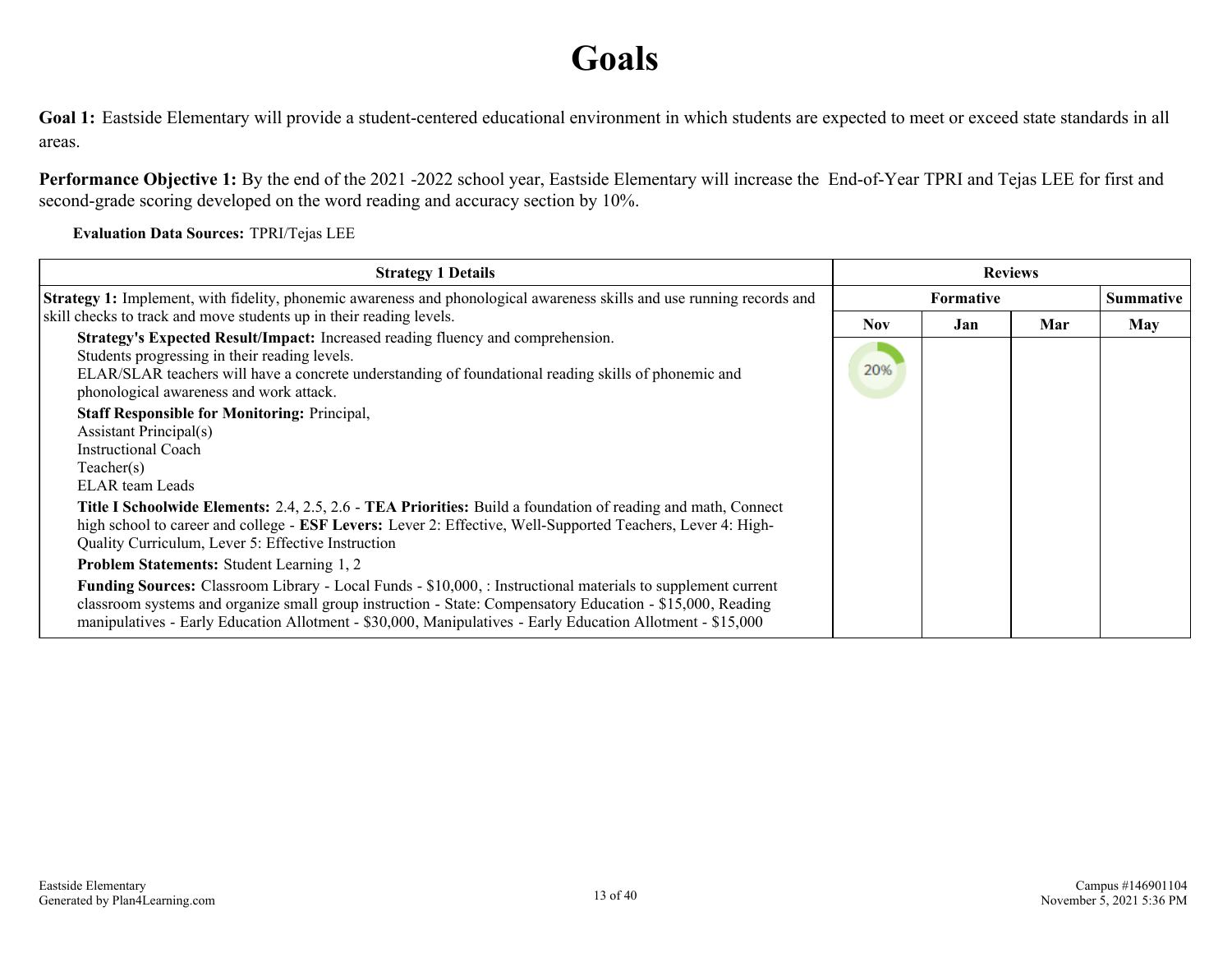## **Goals**

Goal 1: Eastside Elementary will provide a student-centered educational environment in which students are expected to meet or exceed state standards in all areas.

**Performance Objective 1:** By the end of the 2021 -2022 school year, Eastside Elementary will increase the End-of-Year TPRI and Tejas LEE for first and second-grade scoring developed on the word reading and accuracy section by 10%.

**Evaluation Data Sources:** TPRI/Tejas LEE

| <b>Strategy 1 Details</b>                                                                                                                                                                                                                                                                                                                                                                                                                                                                                                                                                                                                                                                                                          | <b>Reviews</b>    |                                      |     |     |
|--------------------------------------------------------------------------------------------------------------------------------------------------------------------------------------------------------------------------------------------------------------------------------------------------------------------------------------------------------------------------------------------------------------------------------------------------------------------------------------------------------------------------------------------------------------------------------------------------------------------------------------------------------------------------------------------------------------------|-------------------|--------------------------------------|-----|-----|
| Strategy 1: Implement, with fidelity, phonemic awareness and phonological awareness skills and use running records and                                                                                                                                                                                                                                                                                                                                                                                                                                                                                                                                                                                             |                   | <b>Summative</b><br><b>Formative</b> |     |     |
| skill checks to track and move students up in their reading levels.<br>Strategy's Expected Result/Impact: Increased reading fluency and comprehension.<br>Students progressing in their reading levels.<br>ELAR/SLAR teachers will have a concrete understanding of foundational reading skills of phonemic and<br>phonological awareness and work attack.<br><b>Staff Responsible for Monitoring: Principal,</b><br><b>Assistant Principal(s)</b><br><b>Instructional Coach</b>                                                                                                                                                                                                                                   | <b>Nov</b><br>20% | Jan                                  | Mar | May |
| Teacher(s)<br>ELAR team Leads<br>Title I Schoolwide Elements: 2.4, 2.5, 2.6 - TEA Priorities: Build a foundation of reading and math, Connect<br>high school to career and college - ESF Levers: Lever 2: Effective, Well-Supported Teachers, Lever 4: High-<br>Quality Curriculum, Lever 5: Effective Instruction<br><b>Problem Statements: Student Learning 1, 2</b><br>Funding Sources: Classroom Library - Local Funds - \$10,000, : Instructional materials to supplement current<br>classroom systems and organize small group instruction - State: Compensatory Education - \$15,000, Reading<br>manipulatives - Early Education Allotment - \$30,000, Manipulatives - Early Education Allotment - \$15,000 |                   |                                      |     |     |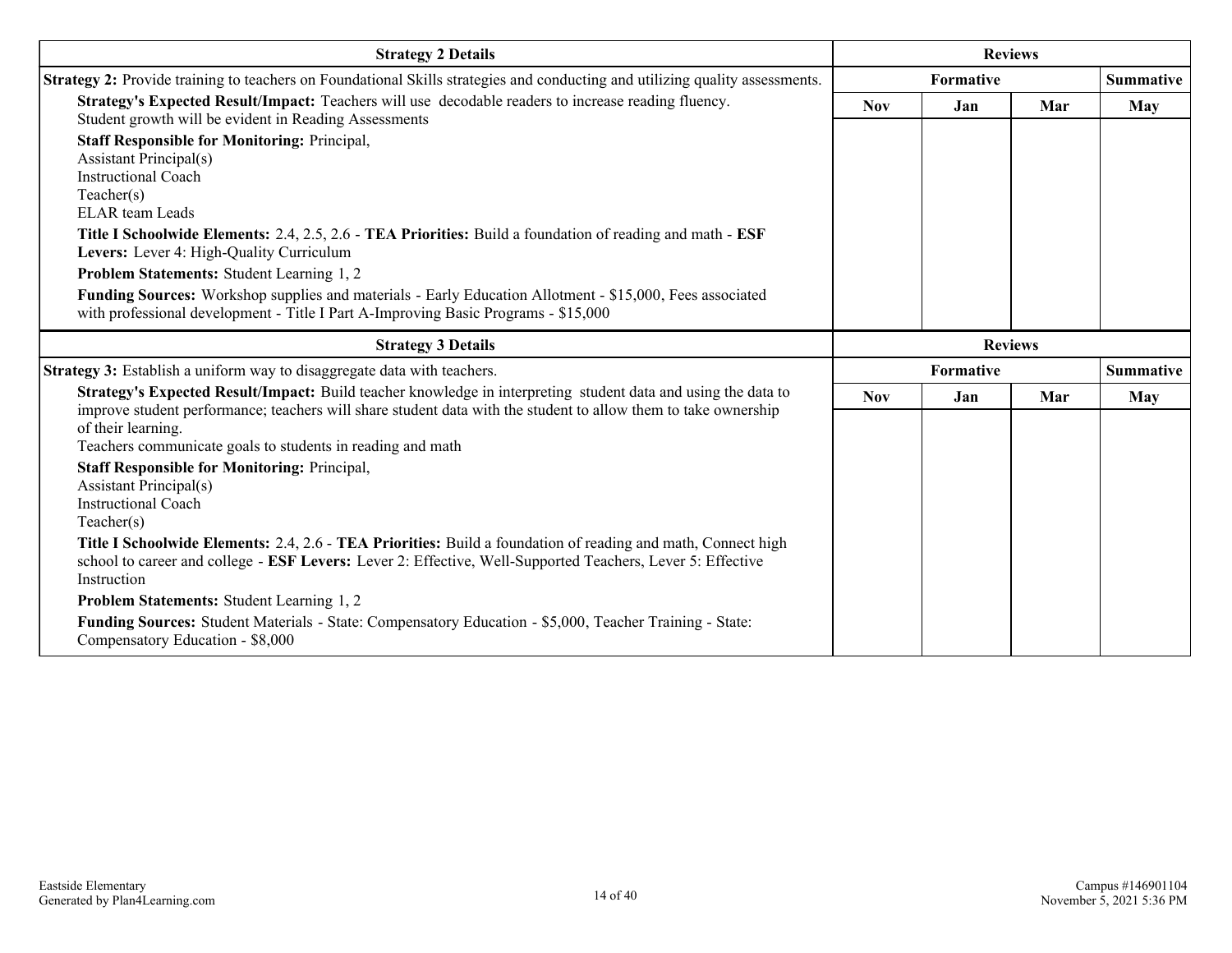| <b>Strategy 2 Details</b>                                                                                                                                                                                                                                                                                                                                                                                                                                                                                                                                          |            | <b>Reviews</b> |                |                  |
|--------------------------------------------------------------------------------------------------------------------------------------------------------------------------------------------------------------------------------------------------------------------------------------------------------------------------------------------------------------------------------------------------------------------------------------------------------------------------------------------------------------------------------------------------------------------|------------|----------------|----------------|------------------|
| Strategy 2: Provide training to teachers on Foundational Skills strategies and conducting and utilizing quality assessments.                                                                                                                                                                                                                                                                                                                                                                                                                                       | Formative  |                |                | <b>Summative</b> |
| Strategy's Expected Result/Impact: Teachers will use decodable readers to increase reading fluency.<br>Student growth will be evident in Reading Assessments                                                                                                                                                                                                                                                                                                                                                                                                       | <b>Nov</b> | Jan            | Mar            | May              |
| <b>Staff Responsible for Monitoring: Principal,</b><br><b>Assistant Principal(s)</b><br><b>Instructional Coach</b><br>Teacher(s)<br><b>ELAR</b> team Leads<br>Title I Schoolwide Elements: 2.4, 2.5, 2.6 - TEA Priorities: Build a foundation of reading and math - ESF<br>Levers: Lever 4: High-Quality Curriculum<br>Problem Statements: Student Learning 1, 2<br>Funding Sources: Workshop supplies and materials - Early Education Allotment - \$15,000, Fees associated<br>with professional development - Title I Part A-Improving Basic Programs - \$15,000 |            |                |                |                  |
| <b>Strategy 3 Details</b>                                                                                                                                                                                                                                                                                                                                                                                                                                                                                                                                          |            |                | <b>Reviews</b> |                  |
| <b>Strategy 3:</b> Establish a uniform way to disaggregate data with teachers.                                                                                                                                                                                                                                                                                                                                                                                                                                                                                     |            | Formative      |                | <b>Summative</b> |
| Strategy's Expected Result/Impact: Build teacher knowledge in interpreting student data and using the data to<br>improve student performance; teachers will share student data with the student to allow them to take ownership<br>of their learning.<br>Teachers communicate goals to students in reading and math                                                                                                                                                                                                                                                | Nov        | Jan            | Mar            | May              |
| <b>Staff Responsible for Monitoring: Principal,</b><br><b>Assistant Principal(s)</b><br><b>Instructional Coach</b><br>Teacher(s)                                                                                                                                                                                                                                                                                                                                                                                                                                   |            |                |                |                  |
| Title I Schoolwide Elements: 2.4, 2.6 - TEA Priorities: Build a foundation of reading and math, Connect high<br>school to career and college - ESF Levers: Lever 2: Effective, Well-Supported Teachers, Lever 5: Effective<br>Instruction                                                                                                                                                                                                                                                                                                                          |            |                |                |                  |
| Problem Statements: Student Learning 1, 2<br>Funding Sources: Student Materials - State: Compensatory Education - \$5,000, Teacher Training - State:<br>Compensatory Education - \$8,000                                                                                                                                                                                                                                                                                                                                                                           |            |                |                |                  |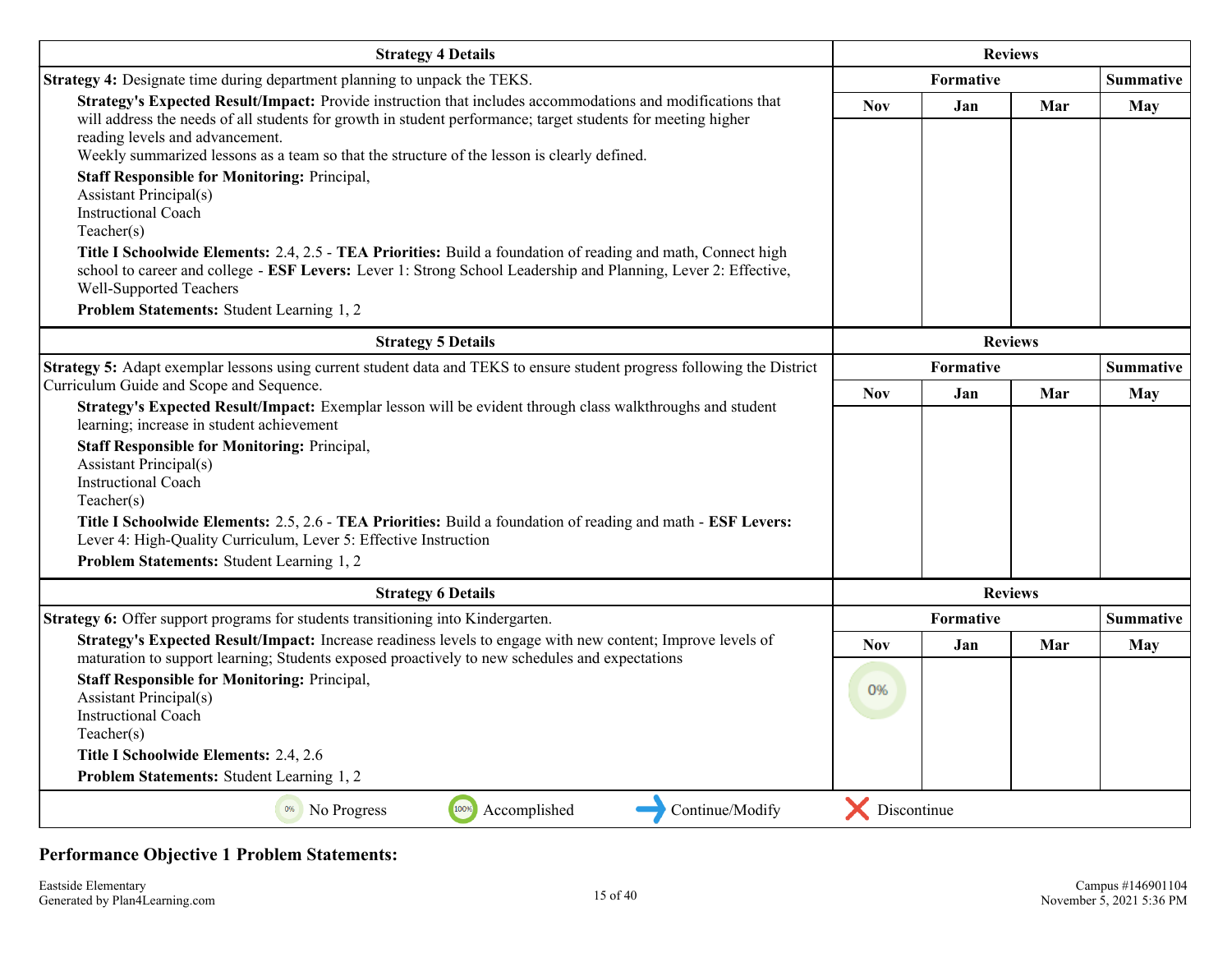| <b>Strategy 4 Details</b>                                                                                                                                                                                                                                                                                                                                    |                | <b>Reviews</b> |     |                  |
|--------------------------------------------------------------------------------------------------------------------------------------------------------------------------------------------------------------------------------------------------------------------------------------------------------------------------------------------------------------|----------------|----------------|-----|------------------|
| <b>Strategy 4:</b> Designate time during department planning to unpack the TEKS.                                                                                                                                                                                                                                                                             | Formative      |                |     | <b>Summative</b> |
| Strategy's Expected Result/Impact: Provide instruction that includes accommodations and modifications that<br>will address the needs of all students for growth in student performance; target students for meeting higher<br>reading levels and advancement.<br>Weekly summarized lessons as a team so that the structure of the lesson is clearly defined. | <b>Nov</b>     | Jan            | Mar | <b>May</b>       |
| <b>Staff Responsible for Monitoring: Principal,</b><br><b>Assistant Principal(s)</b><br><b>Instructional Coach</b><br>Teacher(s)                                                                                                                                                                                                                             |                |                |     |                  |
| Title I Schoolwide Elements: 2.4, 2.5 - TEA Priorities: Build a foundation of reading and math, Connect high<br>school to career and college - ESF Levers: Lever 1: Strong School Leadership and Planning, Lever 2: Effective,<br>Well-Supported Teachers                                                                                                    |                |                |     |                  |
| Problem Statements: Student Learning 1, 2                                                                                                                                                                                                                                                                                                                    |                |                |     |                  |
| <b>Strategy 5 Details</b>                                                                                                                                                                                                                                                                                                                                    | <b>Reviews</b> |                |     |                  |
| Strategy 5: Adapt exemplar lessons using current student data and TEKS to ensure student progress following the District                                                                                                                                                                                                                                     |                | Formative      |     | <b>Summative</b> |
| Curriculum Guide and Scope and Sequence.<br>Strategy's Expected Result/Impact: Exemplar lesson will be evident through class walkthroughs and student                                                                                                                                                                                                        | <b>Nov</b>     | Jan            | Mar | May              |
| learning; increase in student achievement                                                                                                                                                                                                                                                                                                                    |                |                |     |                  |
| <b>Staff Responsible for Monitoring: Principal,</b><br><b>Assistant Principal(s)</b><br><b>Instructional Coach</b><br>Teacher(s)                                                                                                                                                                                                                             |                |                |     |                  |
| Title I Schoolwide Elements: 2.5, 2.6 - TEA Priorities: Build a foundation of reading and math - ESF Levers:<br>Lever 4: High-Quality Curriculum, Lever 5: Effective Instruction                                                                                                                                                                             |                |                |     |                  |
| Problem Statements: Student Learning 1, 2                                                                                                                                                                                                                                                                                                                    |                |                |     |                  |
| <b>Strategy 6 Details</b>                                                                                                                                                                                                                                                                                                                                    |                | <b>Reviews</b> |     |                  |
| Strategy 6: Offer support programs for students transitioning into Kindergarten.                                                                                                                                                                                                                                                                             |                | Formative      |     | <b>Summative</b> |
| Strategy's Expected Result/Impact: Increase readiness levels to engage with new content; Improve levels of<br>maturation to support learning; Students exposed proactively to new schedules and expectations                                                                                                                                                 | <b>Nov</b>     | Jan            | Mar | May              |
| <b>Staff Responsible for Monitoring: Principal,</b><br><b>Assistant Principal(s)</b><br><b>Instructional Coach</b><br>Teacher(s)<br>Title I Schoolwide Elements: 2.4, 2.6                                                                                                                                                                                    | 0%             |                |     |                  |
| Problem Statements: Student Learning 1, 2                                                                                                                                                                                                                                                                                                                    |                |                |     |                  |
| 100%<br>Continue/Modify<br><sup>0%</sup> No Progress<br>Accomplished                                                                                                                                                                                                                                                                                         | Discontinue    |                |     |                  |

#### **Performance Objective 1 Problem Statements:**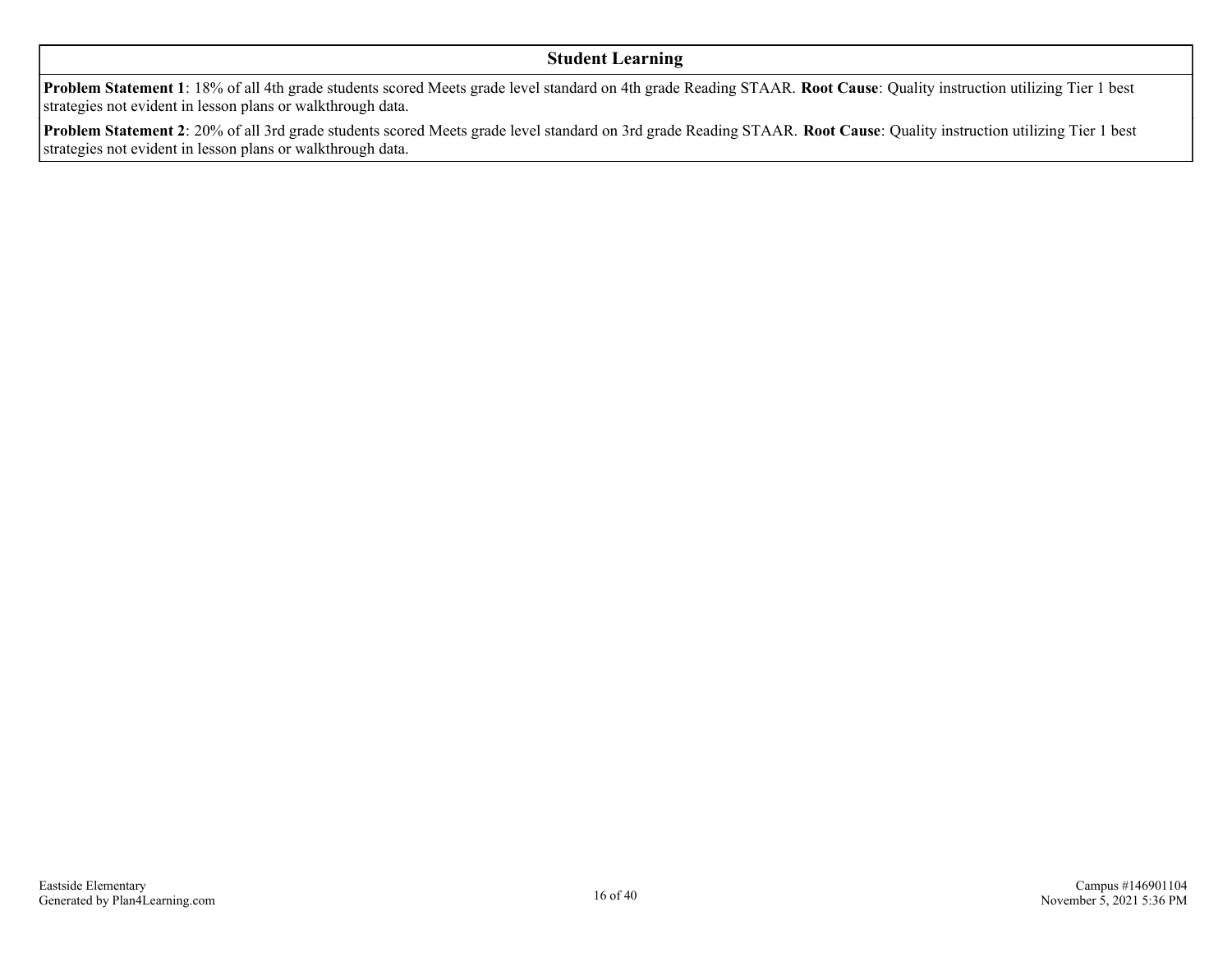#### **Student Learning**

**Problem Statement 1**: 18% of all 4th grade students scored Meets grade level standard on 4th grade Reading STAAR. **Root Cause**: Quality instruction utilizing Tier 1 best strategies not evident in lesson plans or walkthrough data.

**Problem Statement 2**: 20% of all 3rd grade students scored Meets grade level standard on 3rd grade Reading STAAR. **Root Cause**: Quality instruction utilizing Tier 1 best strategies not evident in lesson plans or walkthrough data.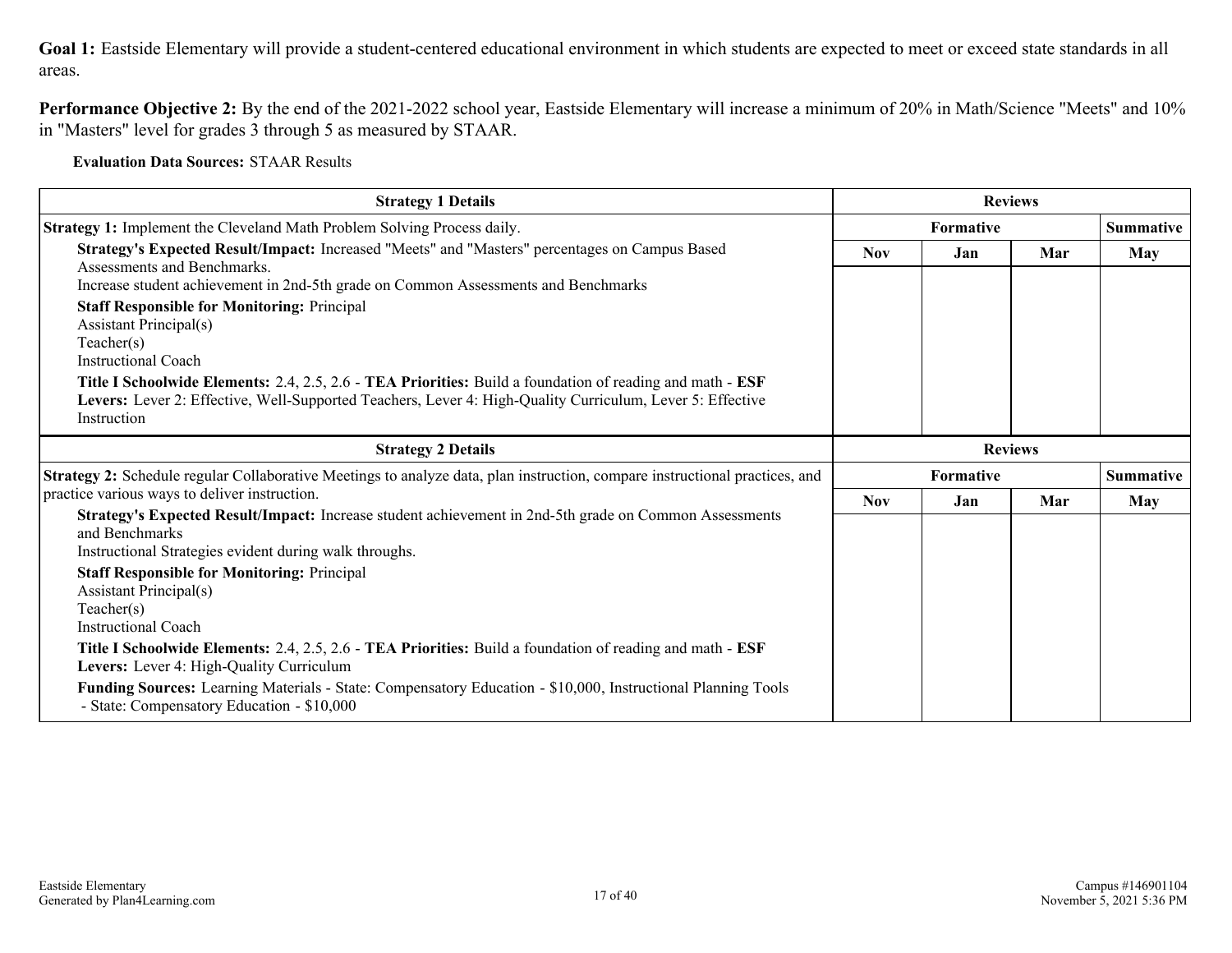**Goal 1:** Eastside Elementary will provide a student-centered educational environment in which students are expected to meet or exceed state standards in all areas.

**Performance Objective 2:** By the end of the 2021-2022 school year, Eastside Elementary will increase a minimum of 20% in Math/Science "Meets" and 10% in "Masters" level for grades 3 through 5 as measured by STAAR.

**Evaluation Data Sources:** STAAR Results

| <b>Strategy 1 Details</b>                                                                                                                                                                                                                                                                                                                                                                                                                                                                                                                                                                                                             |                  | <b>Reviews</b> |     |                  |  |
|---------------------------------------------------------------------------------------------------------------------------------------------------------------------------------------------------------------------------------------------------------------------------------------------------------------------------------------------------------------------------------------------------------------------------------------------------------------------------------------------------------------------------------------------------------------------------------------------------------------------------------------|------------------|----------------|-----|------------------|--|
| Strategy 1: Implement the Cleveland Math Problem Solving Process daily.                                                                                                                                                                                                                                                                                                                                                                                                                                                                                                                                                               | <b>Formative</b> |                |     | Summative        |  |
| Strategy's Expected Result/Impact: Increased "Meets" and "Masters" percentages on Campus Based<br>Assessments and Benchmarks.<br>Increase student achievement in 2nd-5th grade on Common Assessments and Benchmarks                                                                                                                                                                                                                                                                                                                                                                                                                   | <b>Nov</b>       | Jan            | Mar | May              |  |
| <b>Staff Responsible for Monitoring: Principal</b><br><b>Assistant Principal(s)</b><br>Teacher(s)<br><b>Instructional Coach</b>                                                                                                                                                                                                                                                                                                                                                                                                                                                                                                       |                  |                |     |                  |  |
| Title I Schoolwide Elements: 2.4, 2.5, 2.6 - TEA Priorities: Build a foundation of reading and math - ESF<br>Levers: Lever 2: Effective, Well-Supported Teachers, Lever 4: High-Quality Curriculum, Lever 5: Effective<br>Instruction                                                                                                                                                                                                                                                                                                                                                                                                 |                  |                |     |                  |  |
| <b>Strategy 2 Details</b>                                                                                                                                                                                                                                                                                                                                                                                                                                                                                                                                                                                                             | <b>Reviews</b>   |                |     |                  |  |
| Strategy 2: Schedule regular Collaborative Meetings to analyze data, plan instruction, compare instructional practices, and                                                                                                                                                                                                                                                                                                                                                                                                                                                                                                           |                  | Formative      |     | <b>Summative</b> |  |
| practice various ways to deliver instruction.                                                                                                                                                                                                                                                                                                                                                                                                                                                                                                                                                                                         | <b>Nov</b>       | Jan            | Mar | May              |  |
| Strategy's Expected Result/Impact: Increase student achievement in 2nd-5th grade on Common Assessments<br>and Benchmarks<br>Instructional Strategies evident during walk throughs.<br><b>Staff Responsible for Monitoring: Principal</b><br>Assistant Principal(s)<br>Teacher(s)<br><b>Instructional Coach</b><br>Title I Schoolwide Elements: 2.4, 2.5, 2.6 - TEA Priorities: Build a foundation of reading and math - ESF<br>Levers: Lever 4: High-Quality Curriculum<br>Funding Sources: Learning Materials - State: Compensatory Education - \$10,000, Instructional Planning Tools<br>- State: Compensatory Education - \$10,000 |                  |                |     |                  |  |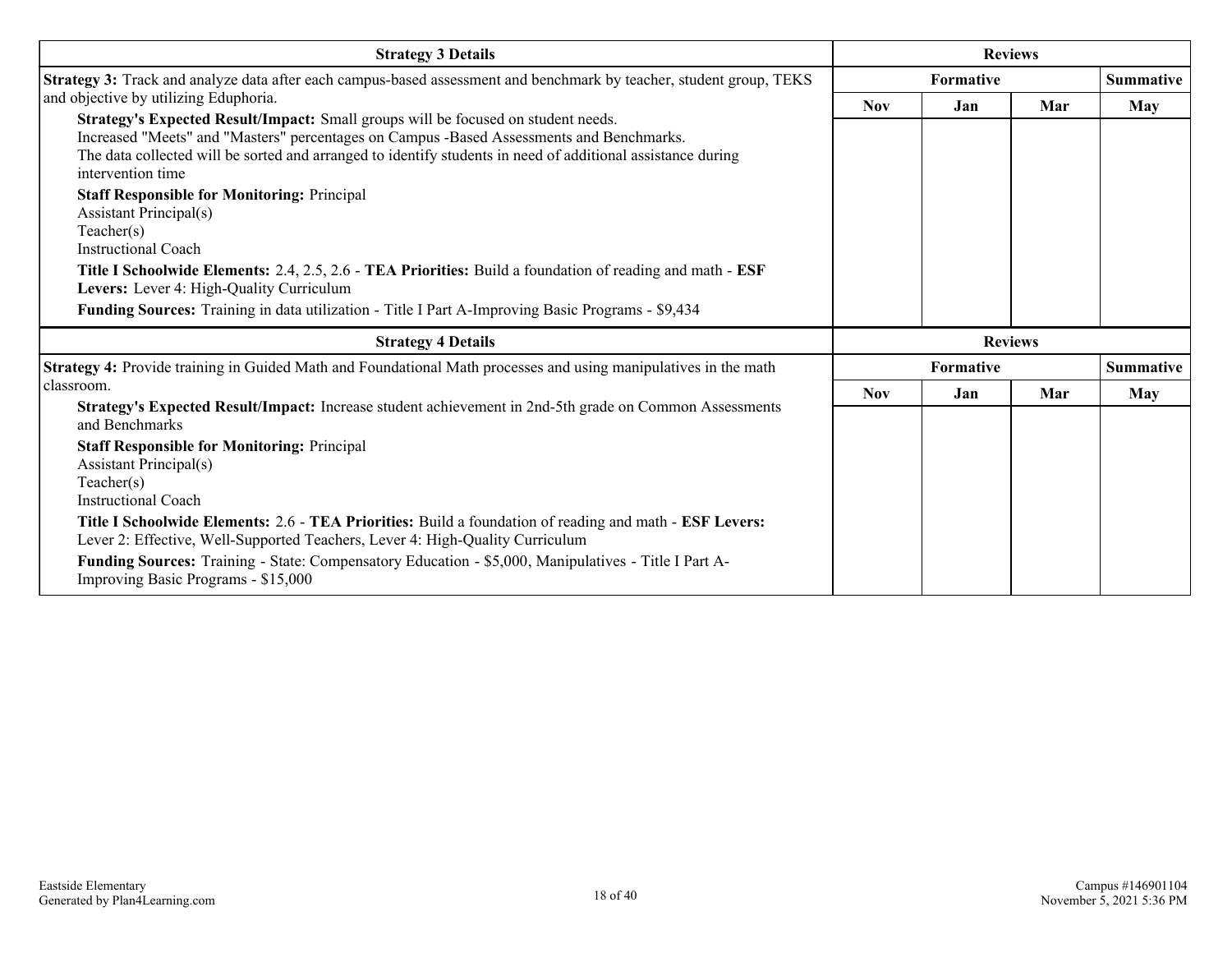| <b>Strategy 3 Details</b>                                                                                                                                                                                                                                                                                         |                | <b>Reviews</b> |     |                  |
|-------------------------------------------------------------------------------------------------------------------------------------------------------------------------------------------------------------------------------------------------------------------------------------------------------------------|----------------|----------------|-----|------------------|
| Strategy 3: Track and analyze data after each campus-based assessment and benchmark by teacher, student group, TEKS                                                                                                                                                                                               |                | Formative      |     |                  |
| and objective by utilizing Eduphoria.                                                                                                                                                                                                                                                                             | <b>Nov</b>     | Jan            | Mar | May              |
| Strategy's Expected Result/Impact: Small groups will be focused on student needs.<br>Increased "Meets" and "Masters" percentages on Campus -Based Assessments and Benchmarks.<br>The data collected will be sorted and arranged to identify students in need of additional assistance during<br>intervention time |                |                |     |                  |
| <b>Staff Responsible for Monitoring: Principal</b><br>Assistant Principal(s)<br>Teacher(s)<br><b>Instructional Coach</b>                                                                                                                                                                                          |                |                |     |                  |
| Title I Schoolwide Elements: 2.4, 2.5, 2.6 - TEA Priorities: Build a foundation of reading and math - ESF<br>Levers: Lever 4: High-Quality Curriculum                                                                                                                                                             |                |                |     |                  |
| Funding Sources: Training in data utilization - Title I Part A-Improving Basic Programs - \$9,434                                                                                                                                                                                                                 |                |                |     |                  |
| <b>Strategy 4 Details</b>                                                                                                                                                                                                                                                                                         | <b>Reviews</b> |                |     |                  |
| Strategy 4: Provide training in Guided Math and Foundational Math processes and using manipulatives in the math                                                                                                                                                                                                   |                | Formative      |     | <b>Summative</b> |
| classroom.                                                                                                                                                                                                                                                                                                        | <b>Nov</b>     | Jan            | Mar | May              |
| Strategy's Expected Result/Impact: Increase student achievement in 2nd-5th grade on Common Assessments<br>and Benchmarks                                                                                                                                                                                          |                |                |     |                  |
| <b>Staff Responsible for Monitoring: Principal</b><br>Assistant Principal(s)<br>Teacher(s)<br><b>Instructional Coach</b>                                                                                                                                                                                          |                |                |     |                  |
| Title I Schoolwide Elements: 2.6 - TEA Priorities: Build a foundation of reading and math - ESF Levers:<br>Lever 2: Effective, Well-Supported Teachers, Lever 4: High-Quality Curriculum                                                                                                                          |                |                |     |                  |
| Funding Sources: Training - State: Compensatory Education - \$5,000, Manipulatives - Title I Part A-<br>Improving Basic Programs - \$15,000                                                                                                                                                                       |                |                |     |                  |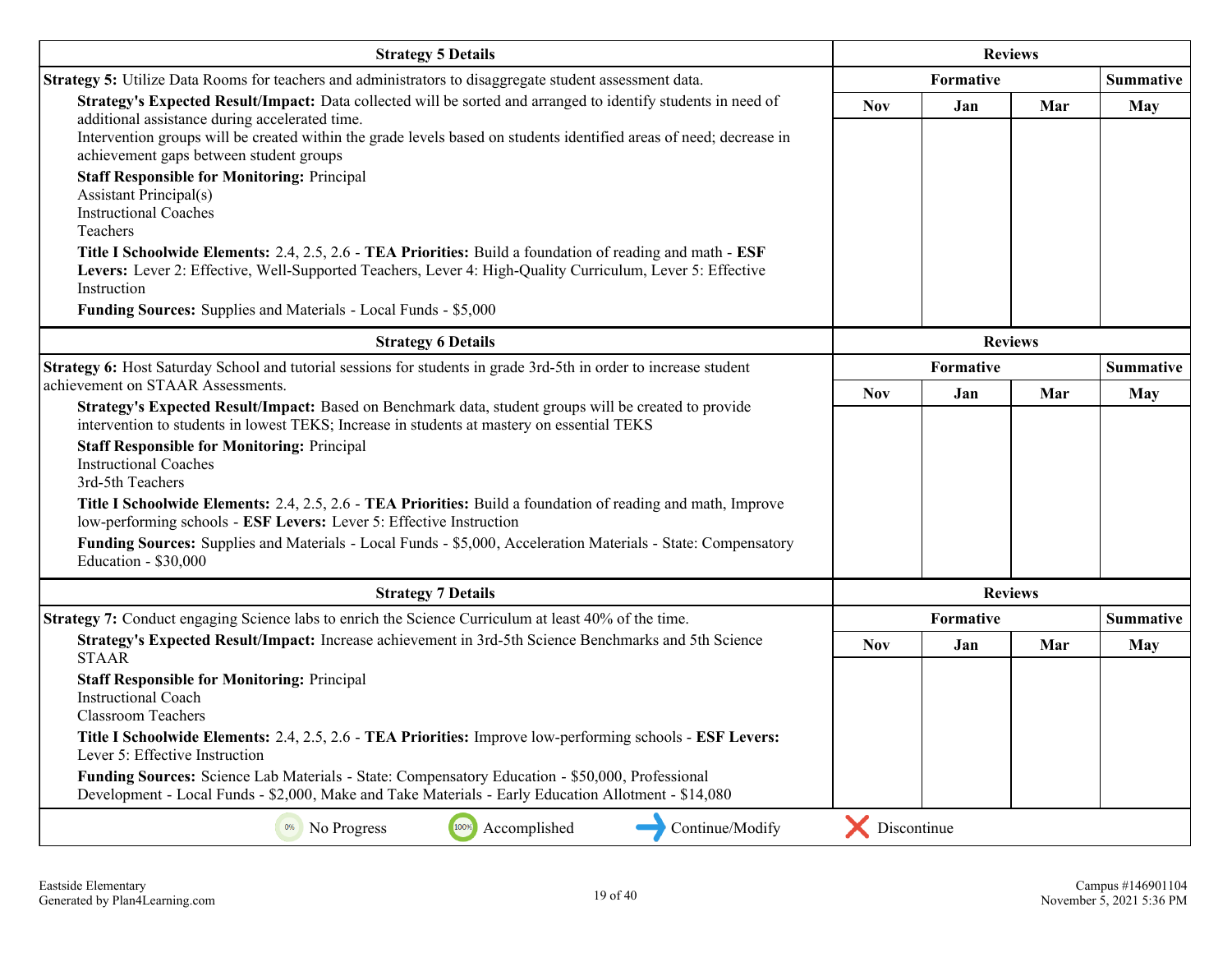| <b>Strategy 5 Details</b>                                                                                                                                                                                                                                                                                                         | <b>Reviews</b>   |                |                  |                  |
|-----------------------------------------------------------------------------------------------------------------------------------------------------------------------------------------------------------------------------------------------------------------------------------------------------------------------------------|------------------|----------------|------------------|------------------|
| Strategy 5: Utilize Data Rooms for teachers and administrators to disaggregate student assessment data.                                                                                                                                                                                                                           | <b>Formative</b> |                |                  | <b>Summative</b> |
| Strategy's Expected Result/Impact: Data collected will be sorted and arranged to identify students in need of<br>additional assistance during accelerated time.<br>Intervention groups will be created within the grade levels based on students identified areas of need; decrease in<br>achievement gaps between student groups | <b>Nov</b>       | Jan            | Mar              | <b>May</b>       |
| <b>Staff Responsible for Monitoring: Principal</b><br><b>Assistant Principal(s)</b><br><b>Instructional Coaches</b><br>Teachers                                                                                                                                                                                                   |                  |                |                  |                  |
| Title I Schoolwide Elements: 2.4, 2.5, 2.6 - TEA Priorities: Build a foundation of reading and math - ESF<br>Levers: Lever 2: Effective, Well-Supported Teachers, Lever 4: High-Quality Curriculum, Lever 5: Effective<br>Instruction                                                                                             |                  |                |                  |                  |
| Funding Sources: Supplies and Materials - Local Funds - \$5,000                                                                                                                                                                                                                                                                   |                  |                |                  |                  |
| <b>Strategy 6 Details</b>                                                                                                                                                                                                                                                                                                         |                  | <b>Reviews</b> |                  |                  |
| Strategy 6: Host Saturday School and tutorial sessions for students in grade 3rd-5th in order to increase student                                                                                                                                                                                                                 | Formative        |                | <b>Summative</b> |                  |
| achievement on STAAR Assessments.<br>Strategy's Expected Result/Impact: Based on Benchmark data, student groups will be created to provide                                                                                                                                                                                        | <b>Nov</b>       | Jan            | Mar              | May              |
| intervention to students in lowest TEKS; Increase in students at mastery on essential TEKS                                                                                                                                                                                                                                        |                  |                |                  |                  |
| <b>Staff Responsible for Monitoring: Principal</b><br><b>Instructional Coaches</b><br>3rd-5th Teachers                                                                                                                                                                                                                            |                  |                |                  |                  |
| Title I Schoolwide Elements: 2.4, 2.5, 2.6 - TEA Priorities: Build a foundation of reading and math, Improve<br>low-performing schools - ESF Levers: Lever 5: Effective Instruction                                                                                                                                               |                  |                |                  |                  |
| Funding Sources: Supplies and Materials - Local Funds - \$5,000, Acceleration Materials - State: Compensatory<br>Education - \$30,000                                                                                                                                                                                             |                  |                |                  |                  |
| <b>Strategy 7 Details</b>                                                                                                                                                                                                                                                                                                         |                  | <b>Reviews</b> |                  |                  |
| Strategy 7: Conduct engaging Science labs to enrich the Science Curriculum at least 40% of the time.                                                                                                                                                                                                                              |                  | Formative      |                  | <b>Summative</b> |
| Strategy's Expected Result/Impact: Increase achievement in 3rd-5th Science Benchmarks and 5th Science<br><b>STAAR</b>                                                                                                                                                                                                             | <b>Nov</b>       | Jan            | Mar              | May              |
| <b>Staff Responsible for Monitoring: Principal</b><br><b>Instructional Coach</b><br><b>Classroom Teachers</b>                                                                                                                                                                                                                     |                  |                |                  |                  |
| Title I Schoolwide Elements: 2.4, 2.5, 2.6 - TEA Priorities: Improve low-performing schools - ESF Levers:<br>Lever 5: Effective Instruction                                                                                                                                                                                       |                  |                |                  |                  |
| Funding Sources: Science Lab Materials - State: Compensatory Education - \$50,000, Professional<br>Development - Local Funds - \$2,000, Make and Take Materials - Early Education Allotment - \$14,080                                                                                                                            |                  |                |                  |                  |
| 100%<br>Continue/Modify<br>0%<br>No Progress<br>Accomplished                                                                                                                                                                                                                                                                      | Discontinue      |                |                  |                  |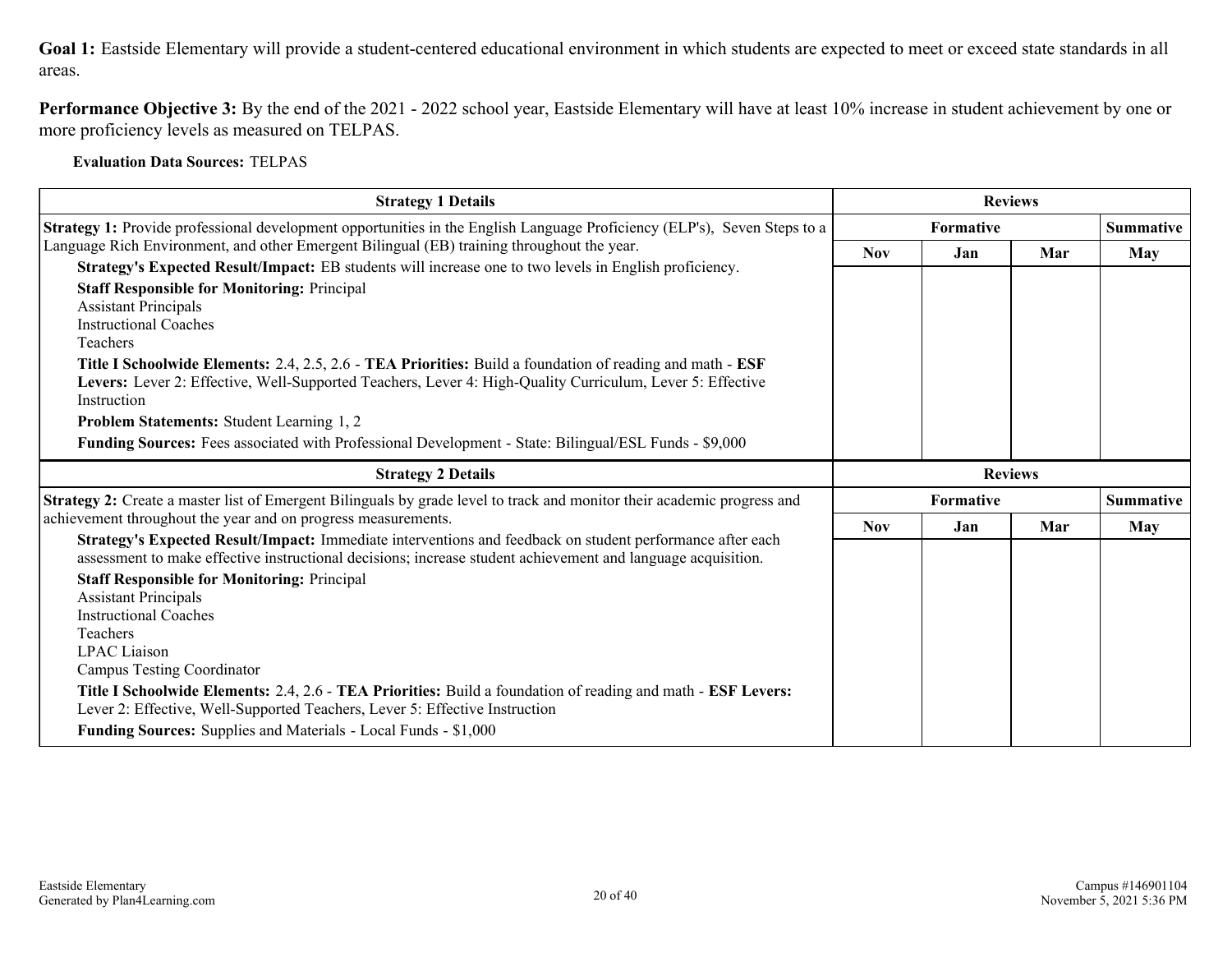**Goal 1:** Eastside Elementary will provide a student-centered educational environment in which students are expected to meet or exceed state standards in all areas.

**Performance Objective 3:** By the end of the 2021 - 2022 school year, Eastside Elementary will have at least 10% increase in student achievement by one or more proficiency levels as measured on TELPAS.

**Evaluation Data Sources:** TELPAS

| <b>Strategy 1 Details</b>                                                                                                                                                                                                                                                                                                                                                                                                                                                                                                                                                                                                                                                                       |            | <b>Reviews</b> |                |                         |
|-------------------------------------------------------------------------------------------------------------------------------------------------------------------------------------------------------------------------------------------------------------------------------------------------------------------------------------------------------------------------------------------------------------------------------------------------------------------------------------------------------------------------------------------------------------------------------------------------------------------------------------------------------------------------------------------------|------------|----------------|----------------|-------------------------|
| <b>Strategy 1:</b> Provide professional development opportunities in the English Language Proficiency (ELP's), Seven Steps to a                                                                                                                                                                                                                                                                                                                                                                                                                                                                                                                                                                 |            | Formative      |                |                         |
| Language Rich Environment, and other Emergent Bilingual (EB) training throughout the year.                                                                                                                                                                                                                                                                                                                                                                                                                                                                                                                                                                                                      | <b>Nov</b> | Jan            | Mar            | May                     |
| Strategy's Expected Result/Impact: EB students will increase one to two levels in English proficiency.<br><b>Staff Responsible for Monitoring: Principal</b><br><b>Assistant Principals</b><br><b>Instructional Coaches</b><br>Teachers<br>Title I Schoolwide Elements: 2.4, 2.5, 2.6 - TEA Priorities: Build a foundation of reading and math - ESF<br>Levers: Lever 2: Effective, Well-Supported Teachers, Lever 4: High-Quality Curriculum, Lever 5: Effective<br>Instruction<br>Problem Statements: Student Learning 1, 2<br>Funding Sources: Fees associated with Professional Development - State: Bilingual/ESL Funds - \$9,000                                                          |            |                |                |                         |
| <b>Strategy 2 Details</b>                                                                                                                                                                                                                                                                                                                                                                                                                                                                                                                                                                                                                                                                       |            |                | <b>Reviews</b> |                         |
| Strategy 2: Create a master list of Emergent Bilinguals by grade level to track and monitor their academic progress and                                                                                                                                                                                                                                                                                                                                                                                                                                                                                                                                                                         |            | Formative      |                |                         |
| achievement throughout the year and on progress measurements.                                                                                                                                                                                                                                                                                                                                                                                                                                                                                                                                                                                                                                   | <b>Nov</b> | Jan            | Mar            | <b>Summative</b><br>May |
| Strategy's Expected Result/Impact: Immediate interventions and feedback on student performance after each<br>assessment to make effective instructional decisions; increase student achievement and language acquisition.<br><b>Staff Responsible for Monitoring: Principal</b><br><b>Assistant Principals</b><br><b>Instructional Coaches</b><br>Teachers<br><b>LPAC</b> Liaison<br><b>Campus Testing Coordinator</b><br>Title I Schoolwide Elements: 2.4, 2.6 - TEA Priorities: Build a foundation of reading and math - ESF Levers:<br>Lever 2: Effective, Well-Supported Teachers, Lever 5: Effective Instruction<br><b>Funding Sources:</b> Supplies and Materials - Local Funds - \$1,000 |            |                |                |                         |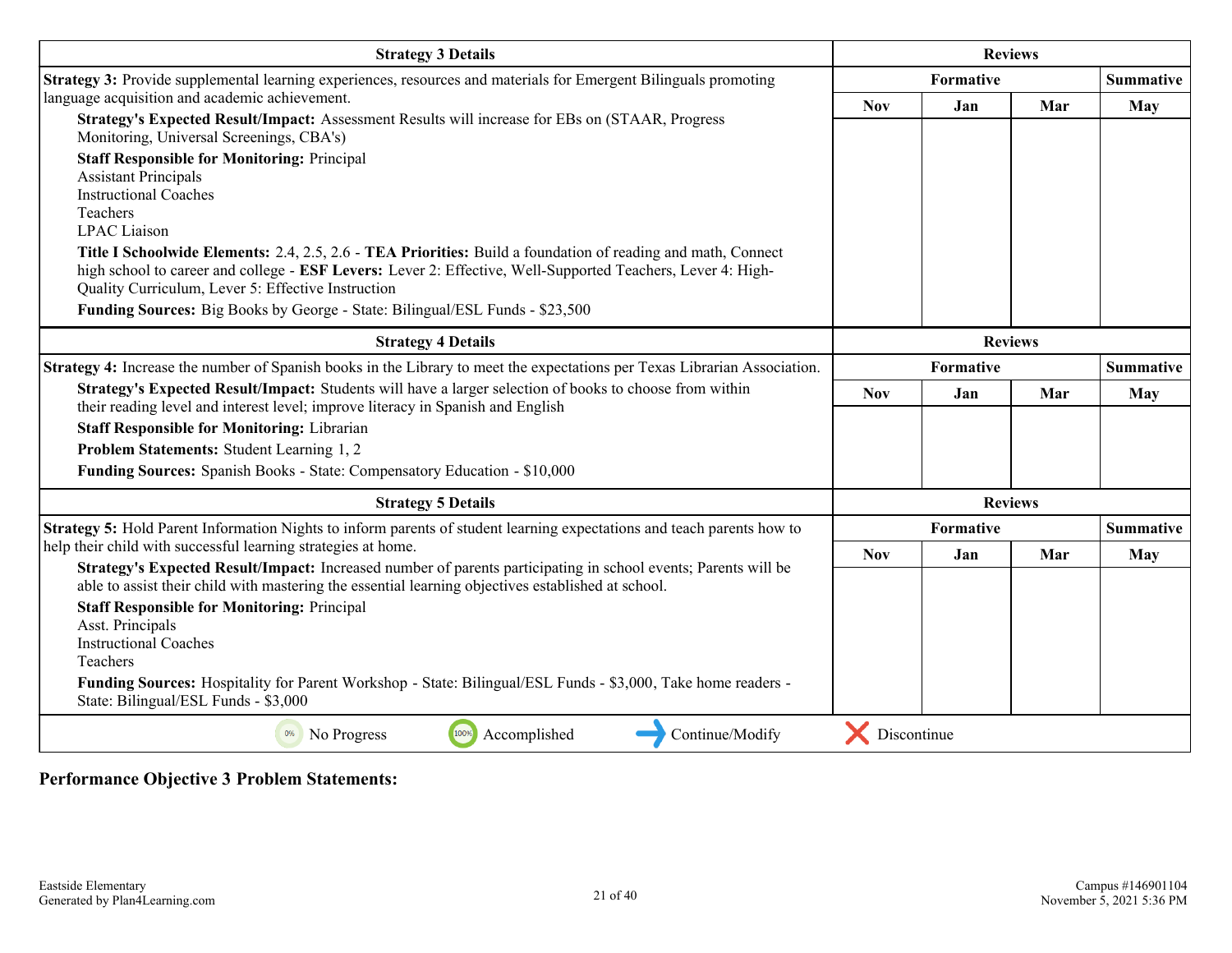| <b>Strategy 3 Details</b>                                                                                                                                                                                                                                                                                                                                                                                                                                                                                                                                                                                                                  |                | <b>Reviews</b> |                |                  |
|--------------------------------------------------------------------------------------------------------------------------------------------------------------------------------------------------------------------------------------------------------------------------------------------------------------------------------------------------------------------------------------------------------------------------------------------------------------------------------------------------------------------------------------------------------------------------------------------------------------------------------------------|----------------|----------------|----------------|------------------|
| Strategy 3: Provide supplemental learning experiences, resources and materials for Emergent Bilinguals promoting                                                                                                                                                                                                                                                                                                                                                                                                                                                                                                                           |                | Formative      |                | <b>Summative</b> |
| language acquisition and academic achievement.<br>Strategy's Expected Result/Impact: Assessment Results will increase for EBs on (STAAR, Progress<br>Monitoring, Universal Screenings, CBA's)<br><b>Staff Responsible for Monitoring: Principal</b><br><b>Assistant Principals</b><br><b>Instructional Coaches</b><br>Teachers<br><b>LPAC</b> Liaison<br>Title I Schoolwide Elements: 2.4, 2.5, 2.6 - TEA Priorities: Build a foundation of reading and math, Connect<br>high school to career and college - ESF Levers: Lever 2: Effective, Well-Supported Teachers, Lever 4: High-<br>Quality Curriculum, Lever 5: Effective Instruction | <b>Nov</b>     | Jan            | Mar            | <b>May</b>       |
| Funding Sources: Big Books by George - State: Bilingual/ESL Funds - \$23,500                                                                                                                                                                                                                                                                                                                                                                                                                                                                                                                                                               |                |                |                |                  |
| <b>Strategy 4 Details</b>                                                                                                                                                                                                                                                                                                                                                                                                                                                                                                                                                                                                                  | <b>Reviews</b> |                |                |                  |
| Strategy 4: Increase the number of Spanish books in the Library to meet the expectations per Texas Librarian Association.                                                                                                                                                                                                                                                                                                                                                                                                                                                                                                                  |                | Formative      |                | <b>Summative</b> |
| Strategy's Expected Result/Impact: Students will have a larger selection of books to choose from within<br>their reading level and interest level; improve literacy in Spanish and English<br><b>Staff Responsible for Monitoring: Librarian</b><br>Problem Statements: Student Learning 1, 2<br>Funding Sources: Spanish Books - State: Compensatory Education - \$10,000                                                                                                                                                                                                                                                                 | <b>Nov</b>     | Jan            | Mar            | <b>May</b>       |
| <b>Strategy 5 Details</b>                                                                                                                                                                                                                                                                                                                                                                                                                                                                                                                                                                                                                  |                |                | <b>Reviews</b> |                  |
| Strategy 5: Hold Parent Information Nights to inform parents of student learning expectations and teach parents how to                                                                                                                                                                                                                                                                                                                                                                                                                                                                                                                     |                | Formative      |                | Summative        |
| help their child with successful learning strategies at home.<br>Strategy's Expected Result/Impact: Increased number of parents participating in school events; Parents will be<br>able to assist their child with mastering the essential learning objectives established at school.<br><b>Staff Responsible for Monitoring: Principal</b><br>Asst. Principals<br><b>Instructional Coaches</b><br>Teachers<br>Funding Sources: Hospitality for Parent Workshop - State: Bilingual/ESL Funds - \$3,000, Take home readers -<br>State: Bilingual/ESL Funds - \$3,000                                                                        | <b>Nov</b>     | Jan            | Mar            | <b>May</b>       |
| 100%<br>Accomplished<br>Continue/Modify<br>0%<br>No Progress                                                                                                                                                                                                                                                                                                                                                                                                                                                                                                                                                                               | Discontinue    |                |                |                  |

**Performance Objective 3 Problem Statements:**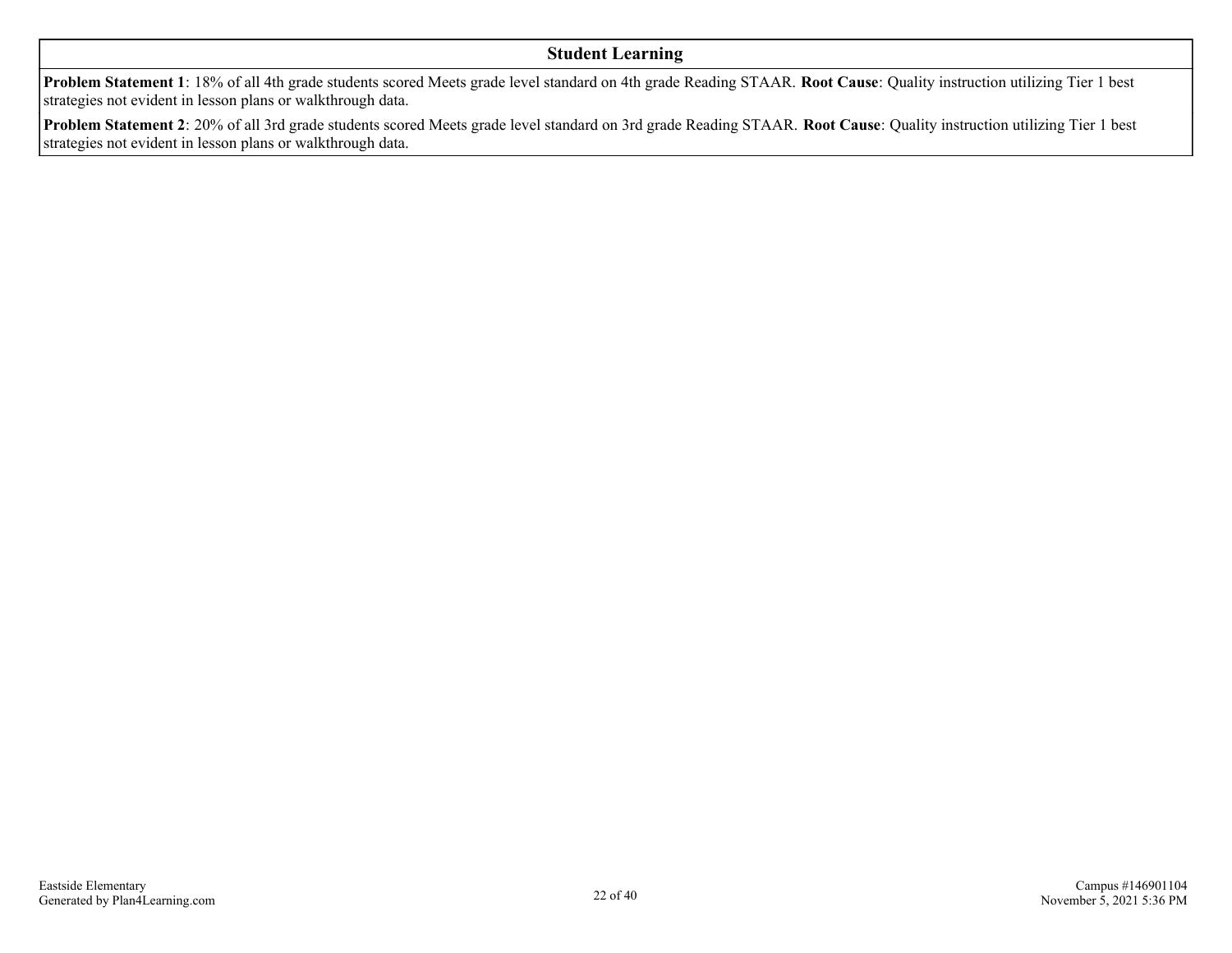#### **Student Learning**

**Problem Statement 1**: 18% of all 4th grade students scored Meets grade level standard on 4th grade Reading STAAR. **Root Cause**: Quality instruction utilizing Tier 1 best strategies not evident in lesson plans or walkthrough data.

**Problem Statement 2**: 20% of all 3rd grade students scored Meets grade level standard on 3rd grade Reading STAAR. **Root Cause**: Quality instruction utilizing Tier 1 best strategies not evident in lesson plans or walkthrough data.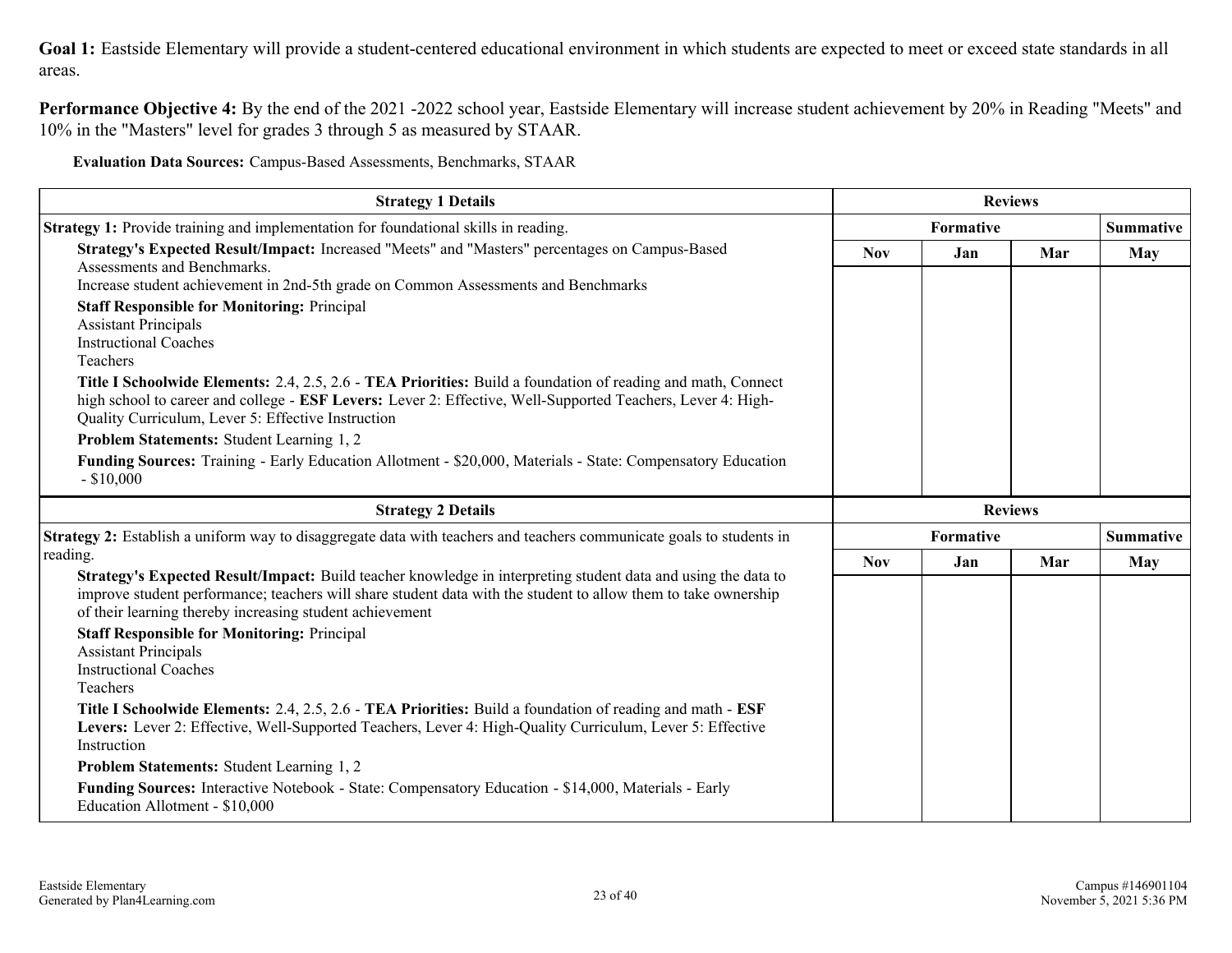**Goal 1:** Eastside Elementary will provide a student-centered educational environment in which students are expected to meet or exceed state standards in all areas.

**Performance Objective 4:** By the end of the 2021 -2022 school year, Eastside Elementary will increase student achievement by 20% in Reading "Meets" and 10% in the "Masters" level for grades 3 through 5 as measured by STAAR.

**Evaluation Data Sources:** Campus-Based Assessments, Benchmarks, STAAR

| <b>Strategy 1 Details</b>                                                                                                                                                                                                                                                                                                                                                                                                                                                                                                                                                                                                                                                                                                                                                                                                                                   | <b>Reviews</b> |           |                |                  |
|-------------------------------------------------------------------------------------------------------------------------------------------------------------------------------------------------------------------------------------------------------------------------------------------------------------------------------------------------------------------------------------------------------------------------------------------------------------------------------------------------------------------------------------------------------------------------------------------------------------------------------------------------------------------------------------------------------------------------------------------------------------------------------------------------------------------------------------------------------------|----------------|-----------|----------------|------------------|
| Strategy 1: Provide training and implementation for foundational skills in reading.                                                                                                                                                                                                                                                                                                                                                                                                                                                                                                                                                                                                                                                                                                                                                                         | Formative      |           |                | <b>Summative</b> |
| Strategy's Expected Result/Impact: Increased "Meets" and "Masters" percentages on Campus-Based<br>Assessments and Benchmarks.<br>Increase student achievement in 2nd-5th grade on Common Assessments and Benchmarks<br><b>Staff Responsible for Monitoring: Principal</b><br><b>Assistant Principals</b><br><b>Instructional Coaches</b><br>Teachers<br>Title I Schoolwide Elements: 2.4, 2.5, 2.6 - TEA Priorities: Build a foundation of reading and math, Connect<br>high school to career and college - ESF Levers: Lever 2: Effective, Well-Supported Teachers, Lever 4: High-<br>Quality Curriculum, Lever 5: Effective Instruction<br>Problem Statements: Student Learning 1, 2<br>Funding Sources: Training - Early Education Allotment - \$20,000, Materials - State: Compensatory Education<br>$-$ \$10,000                                       | <b>Nov</b>     | Jan       | Mar            | May              |
| <b>Strategy 2 Details</b>                                                                                                                                                                                                                                                                                                                                                                                                                                                                                                                                                                                                                                                                                                                                                                                                                                   |                |           | <b>Reviews</b> |                  |
| Strategy 2: Establish a uniform way to disaggregate data with teachers and teachers communicate goals to students in                                                                                                                                                                                                                                                                                                                                                                                                                                                                                                                                                                                                                                                                                                                                        |                | Formative |                | <b>Summative</b> |
| reading.                                                                                                                                                                                                                                                                                                                                                                                                                                                                                                                                                                                                                                                                                                                                                                                                                                                    | <b>Nov</b>     | Jan       | Mar            | May              |
| Strategy's Expected Result/Impact: Build teacher knowledge in interpreting student data and using the data to<br>improve student performance; teachers will share student data with the student to allow them to take ownership<br>of their learning thereby increasing student achievement<br><b>Staff Responsible for Monitoring: Principal</b><br><b>Assistant Principals</b><br><b>Instructional Coaches</b><br>Teachers<br>Title I Schoolwide Elements: 2.4, 2.5, 2.6 - TEA Priorities: Build a foundation of reading and math - ESF<br>Levers: Lever 2: Effective, Well-Supported Teachers, Lever 4: High-Quality Curriculum, Lever 5: Effective<br>Instruction<br>Problem Statements: Student Learning 1, 2<br>Funding Sources: Interactive Notebook - State: Compensatory Education - \$14,000, Materials - Early<br>Education Allotment - \$10,000 |                |           |                |                  |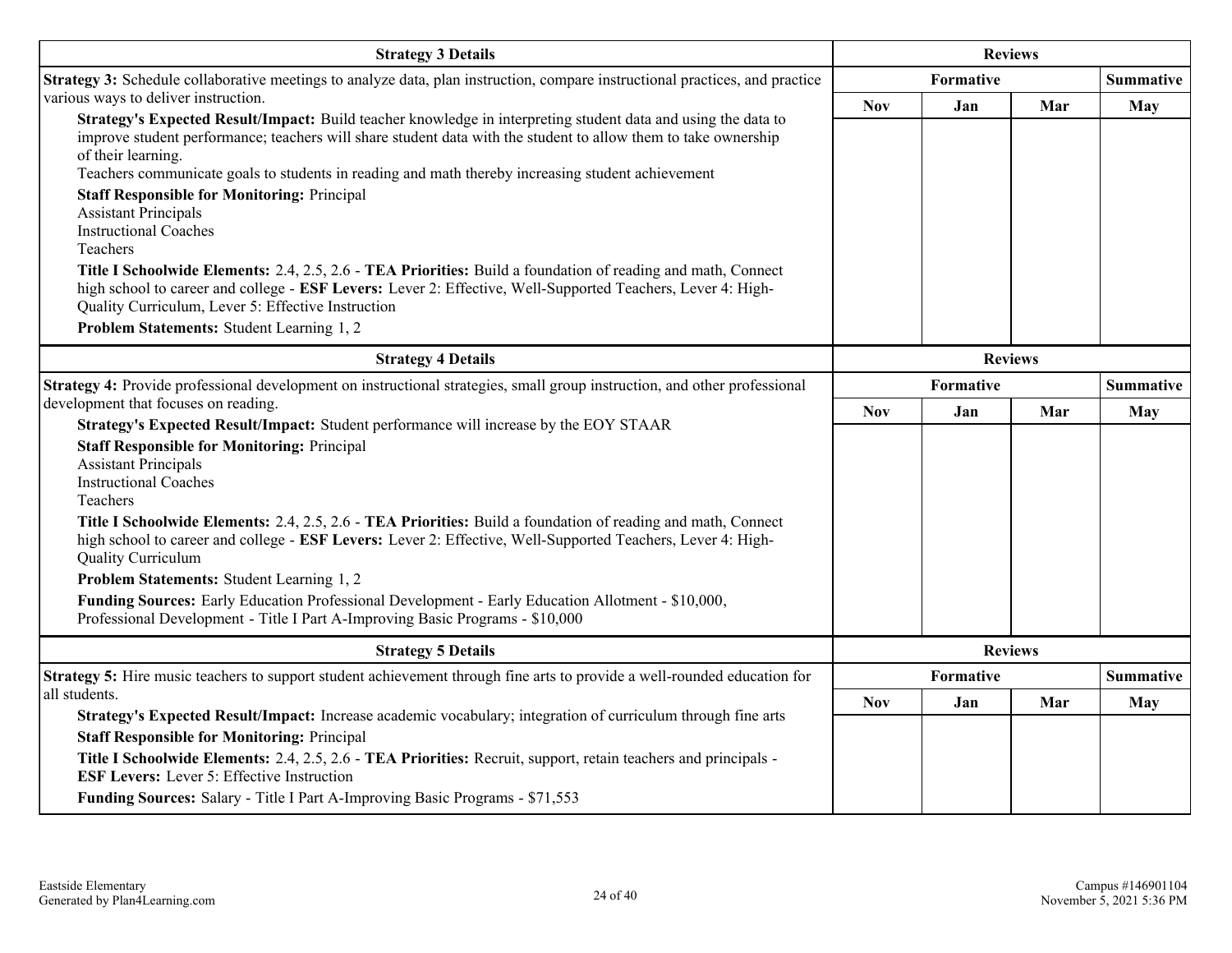| <b>Strategy 3 Details</b>                                                                                                                                                                                                                                                                                                                                                                                                                                                                                                                                                                                                                                                                                                                                                                                                                                             | <b>Reviews</b>   |                |                  |                  |  |
|-----------------------------------------------------------------------------------------------------------------------------------------------------------------------------------------------------------------------------------------------------------------------------------------------------------------------------------------------------------------------------------------------------------------------------------------------------------------------------------------------------------------------------------------------------------------------------------------------------------------------------------------------------------------------------------------------------------------------------------------------------------------------------------------------------------------------------------------------------------------------|------------------|----------------|------------------|------------------|--|
| Strategy 3: Schedule collaborative meetings to analyze data, plan instruction, compare instructional practices, and practice                                                                                                                                                                                                                                                                                                                                                                                                                                                                                                                                                                                                                                                                                                                                          | Formative        |                |                  | <b>Summative</b> |  |
| various ways to deliver instruction.<br>Strategy's Expected Result/Impact: Build teacher knowledge in interpreting student data and using the data to<br>improve student performance; teachers will share student data with the student to allow them to take ownership<br>of their learning.<br>Teachers communicate goals to students in reading and math thereby increasing student achievement<br><b>Staff Responsible for Monitoring: Principal</b><br><b>Assistant Principals</b><br><b>Instructional Coaches</b><br>Teachers<br>Title I Schoolwide Elements: 2.4, 2.5, 2.6 - TEA Priorities: Build a foundation of reading and math, Connect<br>high school to career and college - ESF Levers: Lever 2: Effective, Well-Supported Teachers, Lever 4: High-<br>Quality Curriculum, Lever 5: Effective Instruction<br>Problem Statements: Student Learning 1, 2 | <b>Nov</b>       | Jan            | Mar              | <b>May</b>       |  |
| <b>Strategy 4 Details</b>                                                                                                                                                                                                                                                                                                                                                                                                                                                                                                                                                                                                                                                                                                                                                                                                                                             | <b>Reviews</b>   |                |                  |                  |  |
| Strategy 4: Provide professional development on instructional strategies, small group instruction, and other professional                                                                                                                                                                                                                                                                                                                                                                                                                                                                                                                                                                                                                                                                                                                                             | <b>Formative</b> |                | <b>Summative</b> |                  |  |
| development that focuses on reading.                                                                                                                                                                                                                                                                                                                                                                                                                                                                                                                                                                                                                                                                                                                                                                                                                                  | <b>Nov</b>       | Jan            | Mar              | May              |  |
| Strategy's Expected Result/Impact: Student performance will increase by the EOY STAAR<br><b>Staff Responsible for Monitoring: Principal</b><br><b>Assistant Principals</b><br><b>Instructional Coaches</b><br>Teachers<br>Title I Schoolwide Elements: 2.4, 2.5, 2.6 - TEA Priorities: Build a foundation of reading and math, Connect<br>high school to career and college - ESF Levers: Lever 2: Effective, Well-Supported Teachers, Lever 4: High-<br>Quality Curriculum<br>Problem Statements: Student Learning 1, 2<br><b>Funding Sources:</b> Early Education Professional Development - Early Education Allotment - \$10,000,<br>Professional Development - Title I Part A-Improving Basic Programs - \$10,000                                                                                                                                                 |                  |                |                  |                  |  |
| <b>Strategy 5 Details</b>                                                                                                                                                                                                                                                                                                                                                                                                                                                                                                                                                                                                                                                                                                                                                                                                                                             |                  | <b>Reviews</b> |                  |                  |  |
| Strategy 5: Hire music teachers to support student achievement through fine arts to provide a well-rounded education for                                                                                                                                                                                                                                                                                                                                                                                                                                                                                                                                                                                                                                                                                                                                              |                  | Formative      |                  | <b>Summative</b> |  |
| all students.<br>Strategy's Expected Result/Impact: Increase academic vocabulary; integration of curriculum through fine arts                                                                                                                                                                                                                                                                                                                                                                                                                                                                                                                                                                                                                                                                                                                                         | <b>Nov</b>       | Jan            | Mar              | <b>May</b>       |  |
| <b>Staff Responsible for Monitoring: Principal</b><br>Title I Schoolwide Elements: 2.4, 2.5, 2.6 - TEA Priorities: Recruit, support, retain teachers and principals -<br><b>ESF Levers:</b> Lever 5: Effective Instruction<br>Funding Sources: Salary - Title I Part A-Improving Basic Programs - \$71,553                                                                                                                                                                                                                                                                                                                                                                                                                                                                                                                                                            |                  |                |                  |                  |  |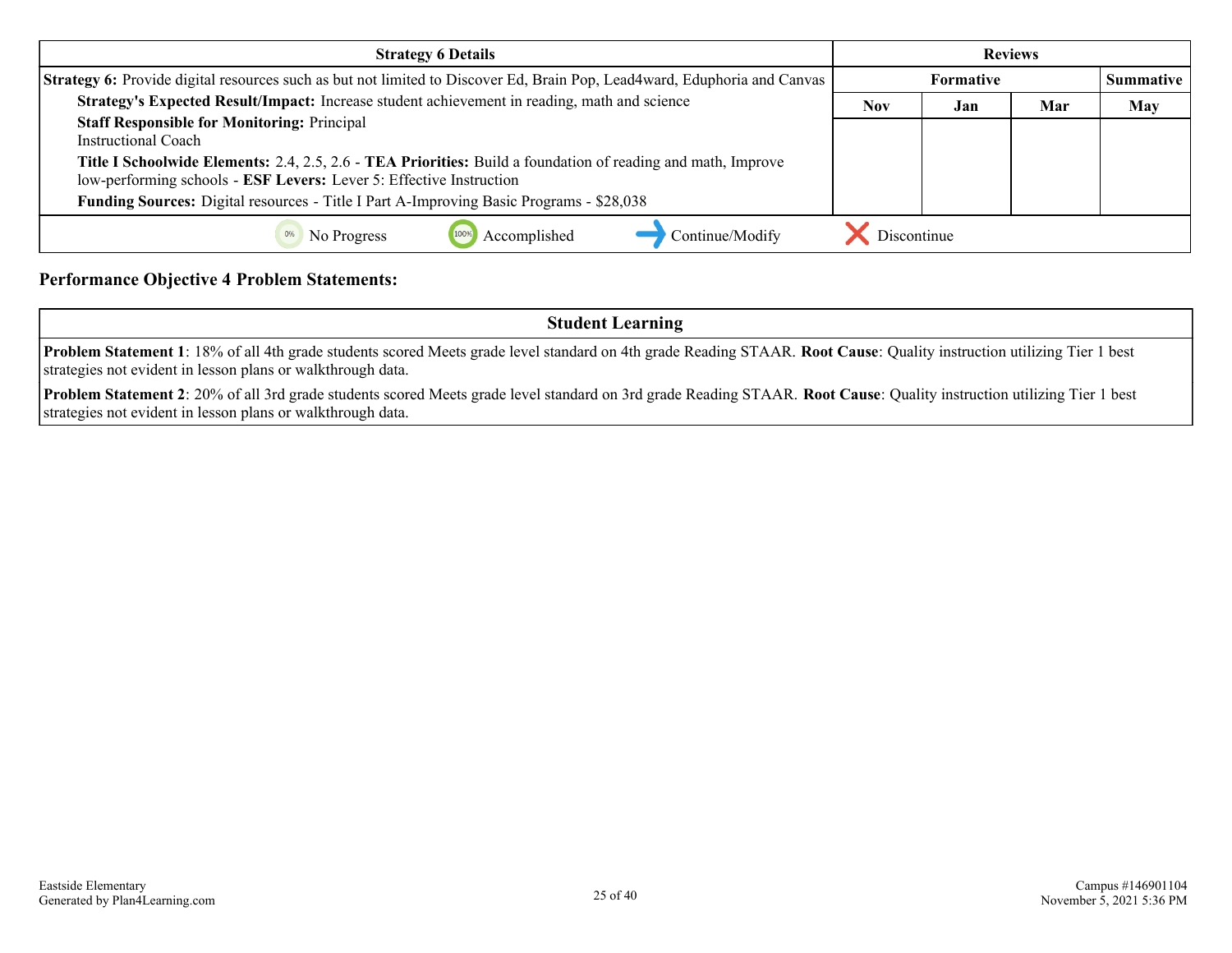| <b>Strategy 6 Details</b>                                                                                                                                                           | <b>Reviews</b>   |     |     |                  |
|-------------------------------------------------------------------------------------------------------------------------------------------------------------------------------------|------------------|-----|-----|------------------|
| <b>Strategy 6:</b> Provide digital resources such as but not limited to Discover Ed, Brain Pop, Lead4ward, Eduphoria and Canvas                                                     | <b>Formative</b> |     |     | <b>Summative</b> |
| Strategy's Expected Result/Impact: Increase student achievement in reading, math and science                                                                                        | Nov              | Jan | Mar | <b>May</b>       |
| <b>Staff Responsible for Monitoring: Principal</b><br>Instructional Coach                                                                                                           |                  |     |     |                  |
| Title I Schoolwide Elements: 2.4, 2.5, 2.6 - TEA Priorities: Build a foundation of reading and math, Improve<br>low-performing schools - ESF Levers: Lever 5: Effective Instruction |                  |     |     |                  |
| <b>Funding Sources:</b> Digital resources - Title I Part A-Improving Basic Programs - \$28,038                                                                                      |                  |     |     |                  |
| Accomplished<br>Continue/Modify<br>No Progress                                                                                                                                      | Discontinue      |     |     |                  |

#### **Performance Objective 4 Problem Statements:**

**Student Learning**

**Problem Statement 1**: 18% of all 4th grade students scored Meets grade level standard on 4th grade Reading STAAR. **Root Cause**: Quality instruction utilizing Tier 1 best strategies not evident in lesson plans or walkthrough data.

**Problem Statement 2**: 20% of all 3rd grade students scored Meets grade level standard on 3rd grade Reading STAAR. **Root Cause**: Quality instruction utilizing Tier 1 best strategies not evident in lesson plans or walkthrough data.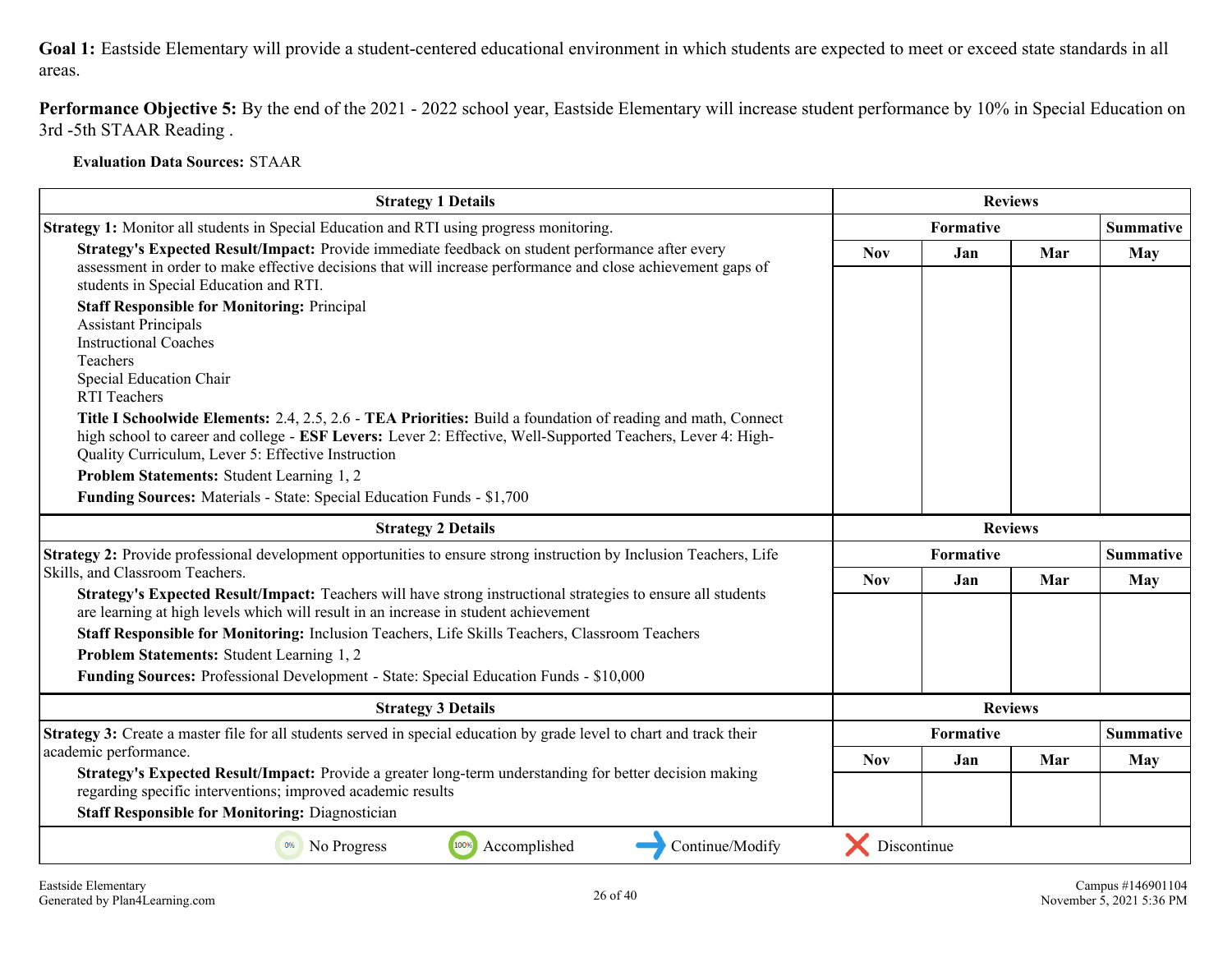#### **Goal 1:** Eastside Elementary will provide a student-centered educational environment in which students are expected to meet or exceed state standards in all areas.

**Performance Objective 5:** By the end of the 2021 - 2022 school year, Eastside Elementary will increase student performance by 10% in Special Education on 3rd -5th STAAR Reading .

**Evaluation Data Sources:** STAAR

| <b>Strategy 1 Details</b>                                                                                                                                                                                                                                                                                                                                                                                                                                                                                                                                                                                                                                                                                                                                                              |             | <b>Reviews</b> |                |                  |
|----------------------------------------------------------------------------------------------------------------------------------------------------------------------------------------------------------------------------------------------------------------------------------------------------------------------------------------------------------------------------------------------------------------------------------------------------------------------------------------------------------------------------------------------------------------------------------------------------------------------------------------------------------------------------------------------------------------------------------------------------------------------------------------|-------------|----------------|----------------|------------------|
| Strategy 1: Monitor all students in Special Education and RTI using progress monitoring.                                                                                                                                                                                                                                                                                                                                                                                                                                                                                                                                                                                                                                                                                               | Formative   |                |                | <b>Summative</b> |
| Strategy's Expected Result/Impact: Provide immediate feedback on student performance after every<br>assessment in order to make effective decisions that will increase performance and close achievement gaps of<br>students in Special Education and RTI.<br><b>Staff Responsible for Monitoring: Principal</b><br><b>Assistant Principals</b><br><b>Instructional Coaches</b><br><b>Teachers</b><br>Special Education Chair<br><b>RTI</b> Teachers<br>Title I Schoolwide Elements: 2.4, 2.5, 2.6 - TEA Priorities: Build a foundation of reading and math, Connect<br>high school to career and college - ESF Levers: Lever 2: Effective, Well-Supported Teachers, Lever 4: High-<br>Quality Curriculum, Lever 5: Effective Instruction<br>Problem Statements: Student Learning 1, 2 | <b>Nov</b>  | Jan            | Mar            | May              |
| Funding Sources: Materials - State: Special Education Funds - \$1,700                                                                                                                                                                                                                                                                                                                                                                                                                                                                                                                                                                                                                                                                                                                  |             |                |                |                  |
| <b>Strategy 2 Details</b>                                                                                                                                                                                                                                                                                                                                                                                                                                                                                                                                                                                                                                                                                                                                                              |             |                | <b>Reviews</b> |                  |
| Strategy 2: Provide professional development opportunities to ensure strong instruction by Inclusion Teachers, Life                                                                                                                                                                                                                                                                                                                                                                                                                                                                                                                                                                                                                                                                    |             | Formative      |                | <b>Summative</b> |
| Skills, and Classroom Teachers.<br>Strategy's Expected Result/Impact: Teachers will have strong instructional strategies to ensure all students<br>are learning at high levels which will result in an increase in student achievement<br>Staff Responsible for Monitoring: Inclusion Teachers, Life Skills Teachers, Classroom Teachers<br>Problem Statements: Student Learning 1, 2<br>Funding Sources: Professional Development - State: Special Education Funds - \$10,000                                                                                                                                                                                                                                                                                                         | <b>Nov</b>  | Jan            | Mar            | May              |
| <b>Strategy 3 Details</b>                                                                                                                                                                                                                                                                                                                                                                                                                                                                                                                                                                                                                                                                                                                                                              |             |                | <b>Reviews</b> |                  |
| Strategy 3: Create a master file for all students served in special education by grade level to chart and track their                                                                                                                                                                                                                                                                                                                                                                                                                                                                                                                                                                                                                                                                  |             | Formative      |                | <b>Summative</b> |
| academic performance.<br>Strategy's Expected Result/Impact: Provide a greater long-term understanding for better decision making<br>regarding specific interventions; improved academic results<br><b>Staff Responsible for Monitoring: Diagnostician</b>                                                                                                                                                                                                                                                                                                                                                                                                                                                                                                                              | <b>Nov</b>  | Jan            | Mar            | May              |
| Continue/Modify<br>No Progress<br>100%<br>Accomplished<br>0%                                                                                                                                                                                                                                                                                                                                                                                                                                                                                                                                                                                                                                                                                                                           | Discontinue |                |                |                  |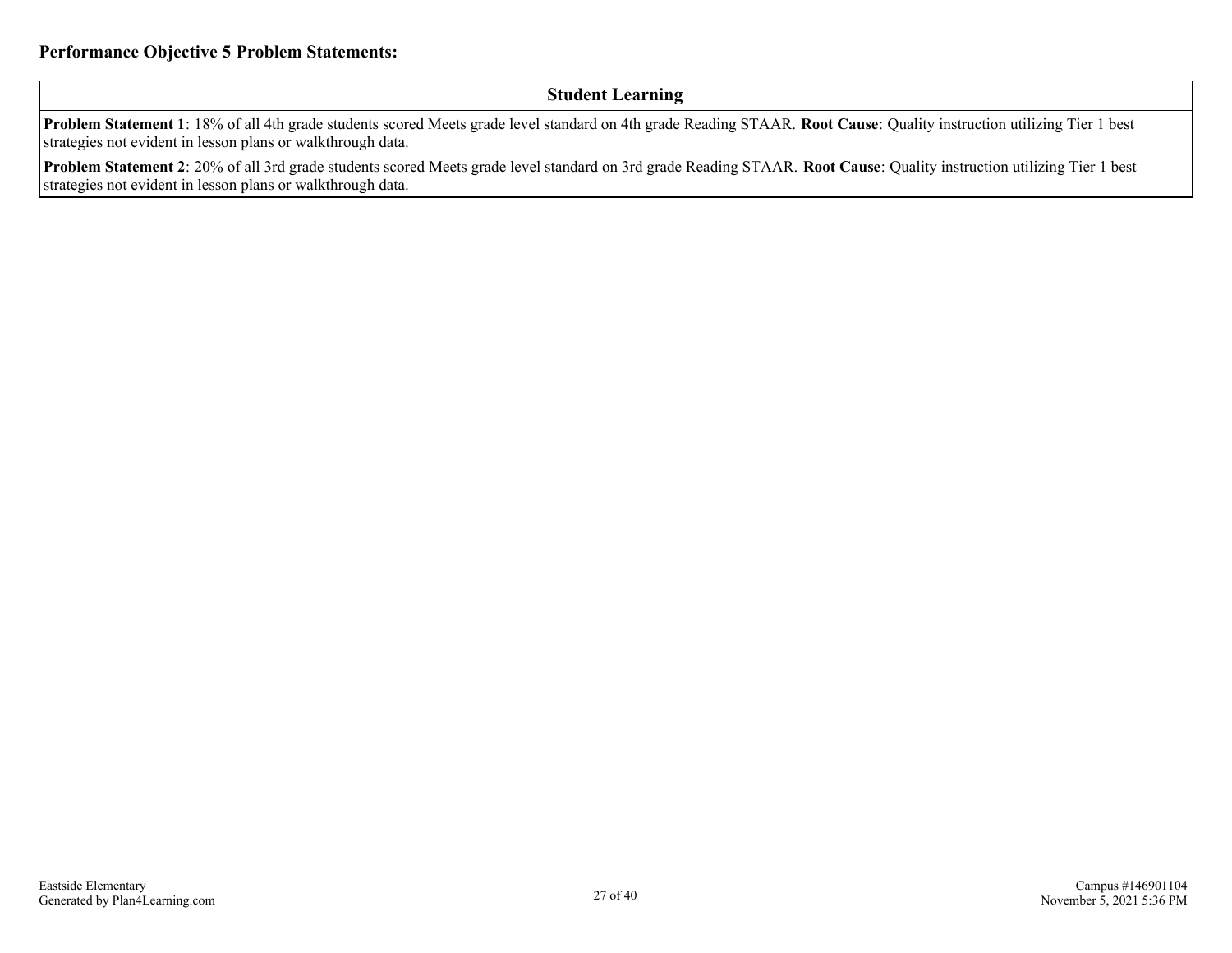#### **Student Learning**

**Problem Statement 1**: 18% of all 4th grade students scored Meets grade level standard on 4th grade Reading STAAR. **Root Cause**: Quality instruction utilizing Tier 1 best strategies not evident in lesson plans or walkthrough data.

**Problem Statement 2**: 20% of all 3rd grade students scored Meets grade level standard on 3rd grade Reading STAAR. **Root Cause**: Quality instruction utilizing Tier 1 best strategies not evident in lesson plans or walkthrough data.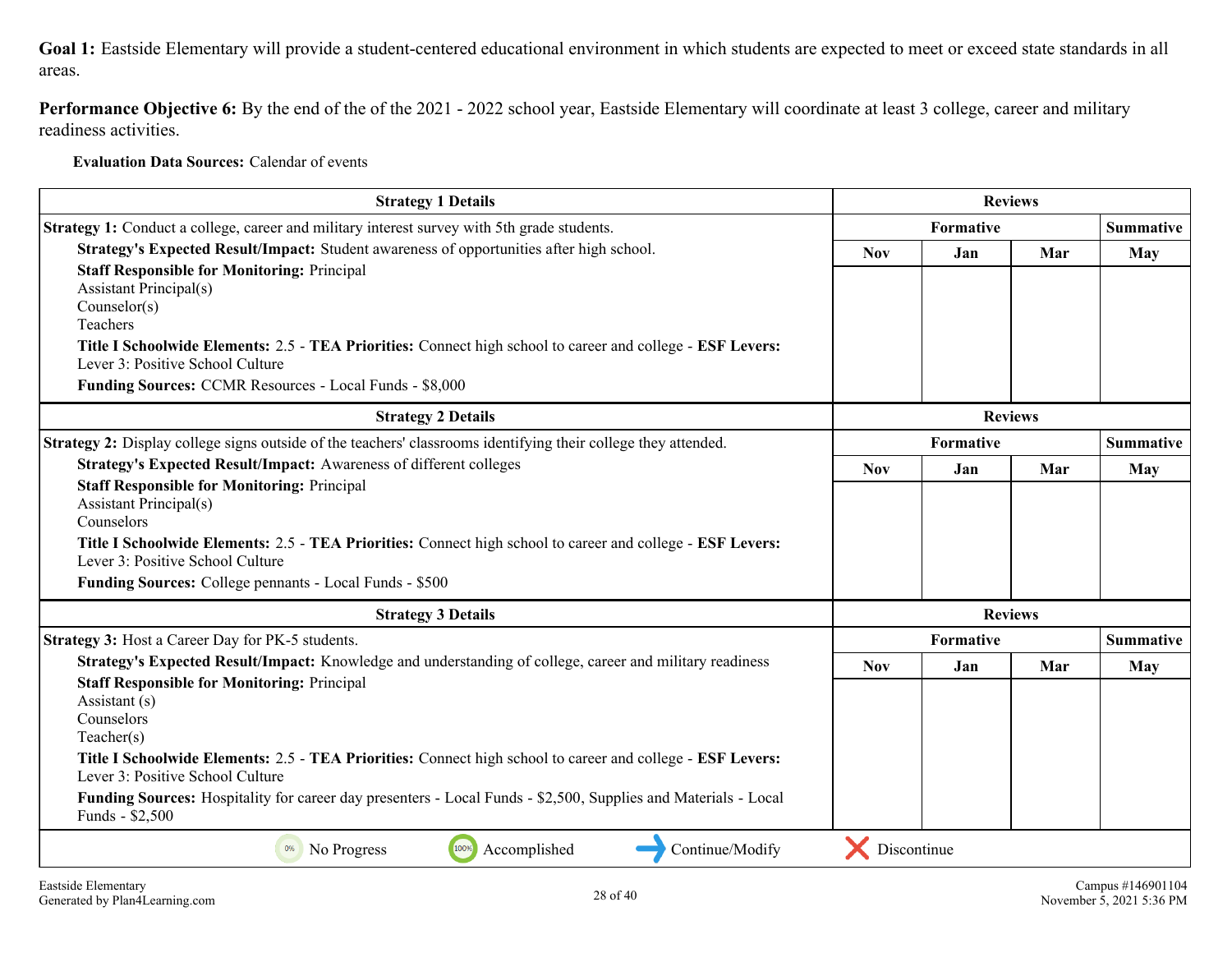**Goal 1:** Eastside Elementary will provide a student-centered educational environment in which students are expected to meet or exceed state standards in all areas.

**Performance Objective 6:** By the end of the of the 2021 - 2022 school year, Eastside Elementary will coordinate at least 3 college, career and military readiness activities.

**Evaluation Data Sources:** Calendar of events

| <b>Strategy 1 Details</b>                                                                                                                      |                | <b>Reviews</b>                |                |                  |
|------------------------------------------------------------------------------------------------------------------------------------------------|----------------|-------------------------------|----------------|------------------|
| <b>Strategy 1:</b> Conduct a college, career and military interest survey with 5th grade students.                                             |                | <b>Summative</b><br>Formative |                |                  |
| Strategy's Expected Result/Impact: Student awareness of opportunities after high school.                                                       | <b>Nov</b>     | Mar<br>Jan                    | <b>May</b>     |                  |
| <b>Staff Responsible for Monitoring: Principal</b>                                                                                             |                |                               |                |                  |
| <b>Assistant Principal(s)</b>                                                                                                                  |                |                               |                |                  |
| Counselor(s)<br>Teachers                                                                                                                       |                |                               |                |                  |
|                                                                                                                                                |                |                               |                |                  |
| Title I Schoolwide Elements: 2.5 - TEA Priorities: Connect high school to career and college - ESF Levers:<br>Lever 3: Positive School Culture |                |                               |                |                  |
| Funding Sources: CCMR Resources - Local Funds - \$8,000                                                                                        |                |                               |                |                  |
| <b>Strategy 2 Details</b>                                                                                                                      | <b>Reviews</b> |                               |                |                  |
| Strategy 2: Display college signs outside of the teachers' classrooms identifying their college they attended.                                 | Formative      |                               |                | <b>Summative</b> |
| Strategy's Expected Result/Impact: Awareness of different colleges                                                                             | <b>Nov</b>     | Jan                           | Mar            | <b>May</b>       |
| <b>Staff Responsible for Monitoring: Principal</b>                                                                                             |                |                               |                |                  |
| <b>Assistant Principal(s)</b>                                                                                                                  |                |                               |                |                  |
| Counselors                                                                                                                                     |                |                               |                |                  |
| Title I Schoolwide Elements: 2.5 - TEA Priorities: Connect high school to career and college - ESF Levers:<br>Lever 3: Positive School Culture |                |                               |                |                  |
| Funding Sources: College pennants - Local Funds - \$500                                                                                        |                |                               |                |                  |
| <b>Strategy 3 Details</b>                                                                                                                      |                |                               | <b>Reviews</b> |                  |
| Strategy 3: Host a Career Day for PK-5 students.                                                                                               |                | Formative                     |                | <b>Summative</b> |
| Strategy's Expected Result/Impact: Knowledge and understanding of college, career and military readiness                                       | <b>Nov</b>     | <b>Jan</b>                    | Mar            | <b>May</b>       |
| <b>Staff Responsible for Monitoring: Principal</b>                                                                                             |                |                               |                |                  |
| Assistant (s)                                                                                                                                  |                |                               |                |                  |
| Counselors                                                                                                                                     |                |                               |                |                  |
| Teacher(s)                                                                                                                                     |                |                               |                |                  |
| Title I Schoolwide Elements: 2.5 - TEA Priorities: Connect high school to career and college - ESF Levers:<br>Lever 3: Positive School Culture |                |                               |                |                  |
| Funding Sources: Hospitality for career day presenters - Local Funds - \$2,500, Supplies and Materials - Local<br>Funds - \$2,500              |                |                               |                |                  |
| 100%<br>Accomplished<br>Continue/Modify<br>0%<br>No Progress                                                                                   | Discontinue    |                               |                |                  |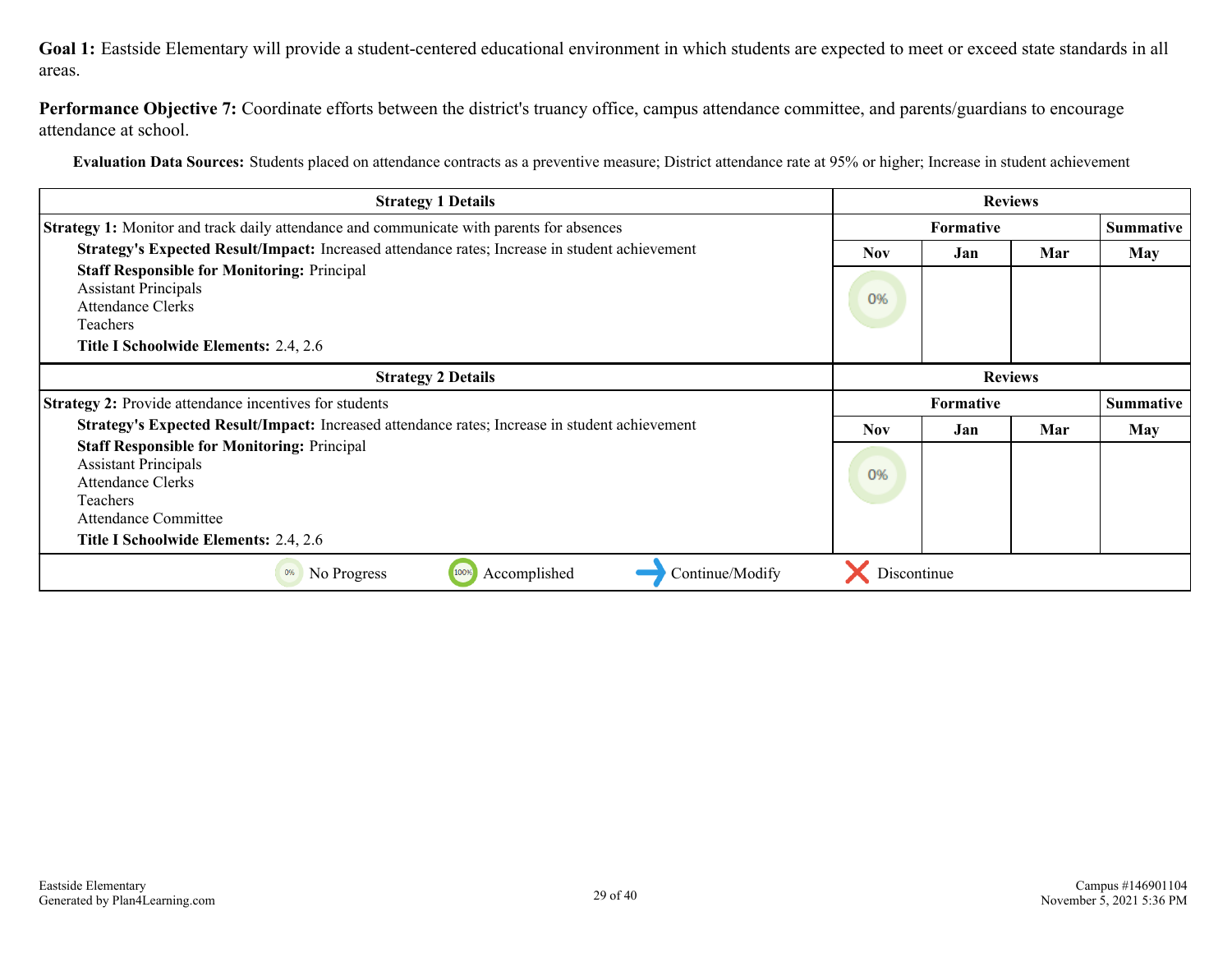**Goal 1:** Eastside Elementary will provide a student-centered educational environment in which students are expected to meet or exceed state standards in all areas.

Performance Objective 7: Coordinate efforts between the district's truancy office, campus attendance committee, and parents/guardians to encourage attendance at school.

**Evaluation Data Sources:** Students placed on attendance contracts as a preventive measure; District attendance rate at 95% or higher; Increase in student achievement

| <b>Strategy 1 Details</b>                                                                       | <b>Reviews</b>   |     |                |                  |
|-------------------------------------------------------------------------------------------------|------------------|-----|----------------|------------------|
| <b>Strategy 1:</b> Monitor and track daily attendance and communicate with parents for absences | <b>Formative</b> |     |                | <b>Summative</b> |
| Strategy's Expected Result/Impact: Increased attendance rates; Increase in student achievement  | <b>Nov</b>       | Jan | Mar            | <b>May</b>       |
| <b>Staff Responsible for Monitoring: Principal</b>                                              |                  |     |                |                  |
| <b>Assistant Principals</b><br>Attendance Clerks                                                | 0%               |     |                |                  |
| Teachers                                                                                        |                  |     |                |                  |
| <b>Title I Schoolwide Elements: 2.4, 2.6</b>                                                    |                  |     |                |                  |
| <b>Strategy 2 Details</b>                                                                       |                  |     | <b>Reviews</b> |                  |
| <b>Strategy 2:</b> Provide attendance incentives for students                                   | <b>Formative</b> |     |                | <b>Summative</b> |
| Strategy's Expected Result/Impact: Increased attendance rates; Increase in student achievement  | <b>Nov</b>       | Jan | Mar            | May              |
| <b>Staff Responsible for Monitoring: Principal</b>                                              |                  |     |                |                  |
| <b>Assistant Principals</b>                                                                     | 0%               |     |                |                  |
| Attendance Clerks                                                                               |                  |     |                |                  |
| Teachers<br>Attendance Committee                                                                |                  |     |                |                  |
| Title I Schoolwide Elements: 2.4, 2.6                                                           |                  |     |                |                  |
| Continue/Modify<br>No Progress<br>Accomplished<br>0%<br>100%                                    | Discontinue      |     |                |                  |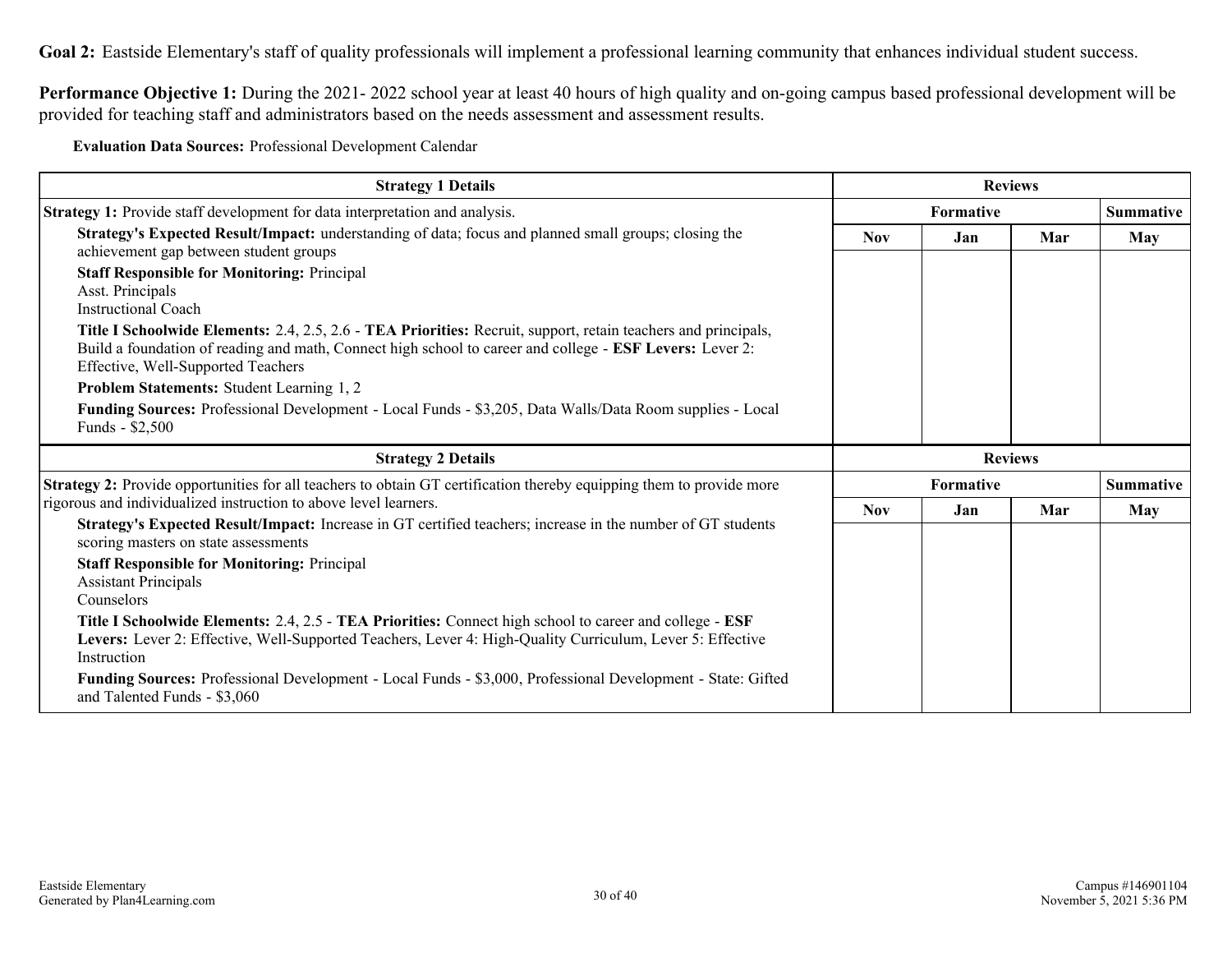Goal 2: Eastside Elementary's staff of quality professionals will implement a professional learning community that enhances individual student success.

**Performance Objective 1:** During the 2021- 2022 school year at least 40 hours of high quality and on-going campus based professional development will be provided for teaching staff and administrators based on the needs assessment and assessment results.

**Evaluation Data Sources:** Professional Development Calendar

| <b>Strategy 1 Details</b>                                                                                                                                                                                                                                        |            | <b>Reviews</b> |     |                  |
|------------------------------------------------------------------------------------------------------------------------------------------------------------------------------------------------------------------------------------------------------------------|------------|----------------|-----|------------------|
| Strategy 1: Provide staff development for data interpretation and analysis.                                                                                                                                                                                      | Formative  |                |     | <b>Summative</b> |
| Strategy's Expected Result/Impact: understanding of data; focus and planned small groups; closing the<br>achievement gap between student groups                                                                                                                  | <b>Nov</b> | Jan            | Mar | May              |
| <b>Staff Responsible for Monitoring: Principal</b><br>Asst. Principals<br><b>Instructional Coach</b>                                                                                                                                                             |            |                |     |                  |
| Title I Schoolwide Elements: 2.4, 2.5, 2.6 - TEA Priorities: Recruit, support, retain teachers and principals,<br>Build a foundation of reading and math, Connect high school to career and college - ESF Levers: Lever 2:<br>Effective, Well-Supported Teachers |            |                |     |                  |
| Problem Statements: Student Learning 1, 2                                                                                                                                                                                                                        |            |                |     |                  |
| Funding Sources: Professional Development - Local Funds - \$3,205, Data Walls/Data Room supplies - Local<br>Funds - \$2,500                                                                                                                                      |            |                |     |                  |
|                                                                                                                                                                                                                                                                  |            |                |     |                  |
| <b>Strategy 2 Details</b>                                                                                                                                                                                                                                        |            | <b>Reviews</b> |     |                  |
| Strategy 2: Provide opportunities for all teachers to obtain GT certification thereby equipping them to provide more                                                                                                                                             |            | Formative      |     | <b>Summative</b> |
| rigorous and individualized instruction to above level learners.                                                                                                                                                                                                 | <b>Nov</b> | Jan            | Mar | <b>May</b>       |
| Strategy's Expected Result/Impact: Increase in GT certified teachers; increase in the number of GT students<br>scoring masters on state assessments                                                                                                              |            |                |     |                  |
| <b>Staff Responsible for Monitoring: Principal</b><br><b>Assistant Principals</b>                                                                                                                                                                                |            |                |     |                  |
| Counselors<br>Title I Schoolwide Elements: 2.4, 2.5 - TEA Priorities: Connect high school to career and college - ESF<br>Levers: Lever 2: Effective, Well-Supported Teachers, Lever 4: High-Quality Curriculum, Lever 5: Effective<br>Instruction                |            |                |     |                  |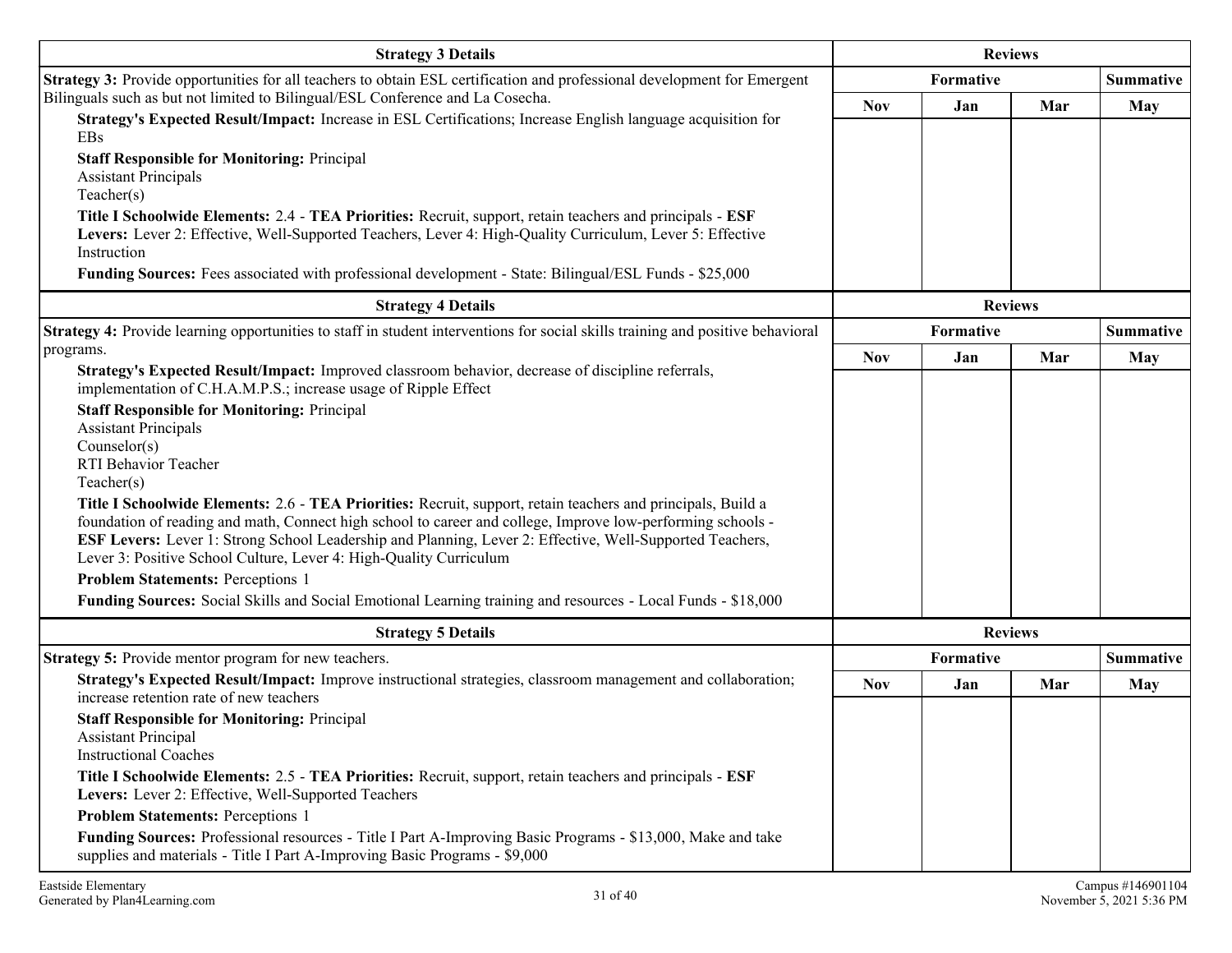| <b>Strategy 3 Details</b>                                                                                                                                                                                                                                                                                                                                                                                                   | <b>Reviews</b> |           |                  |                  |
|-----------------------------------------------------------------------------------------------------------------------------------------------------------------------------------------------------------------------------------------------------------------------------------------------------------------------------------------------------------------------------------------------------------------------------|----------------|-----------|------------------|------------------|
| Strategy 3: Provide opportunities for all teachers to obtain ESL certification and professional development for Emergent                                                                                                                                                                                                                                                                                                    | Formative      |           | <b>Summative</b> |                  |
| Bilinguals such as but not limited to Bilingual/ESL Conference and La Cosecha.                                                                                                                                                                                                                                                                                                                                              | Nov            | Jan       | Mar              | <b>May</b>       |
| Strategy's Expected Result/Impact: Increase in ESL Certifications; Increase English language acquisition for<br>EBs                                                                                                                                                                                                                                                                                                         |                |           |                  |                  |
| <b>Staff Responsible for Monitoring: Principal</b><br><b>Assistant Principals</b><br>Teacher(s)                                                                                                                                                                                                                                                                                                                             |                |           |                  |                  |
| Title I Schoolwide Elements: 2.4 - TEA Priorities: Recruit, support, retain teachers and principals - ESF<br>Levers: Lever 2: Effective, Well-Supported Teachers, Lever 4: High-Quality Curriculum, Lever 5: Effective<br>Instruction                                                                                                                                                                                       |                |           |                  |                  |
| Funding Sources: Fees associated with professional development - State: Bilingual/ESL Funds - \$25,000                                                                                                                                                                                                                                                                                                                      |                |           |                  |                  |
| <b>Strategy 4 Details</b>                                                                                                                                                                                                                                                                                                                                                                                                   |                |           | <b>Reviews</b>   |                  |
| Strategy 4: Provide learning opportunities to staff in student interventions for social skills training and positive behavioral                                                                                                                                                                                                                                                                                             |                | Formative |                  | <b>Summative</b> |
| programs.                                                                                                                                                                                                                                                                                                                                                                                                                   | <b>Nov</b>     | Jan       | Mar              | <b>May</b>       |
| Strategy's Expected Result/Impact: Improved classroom behavior, decrease of discipline referrals,<br>implementation of C.H.A.M.P.S.; increase usage of Ripple Effect                                                                                                                                                                                                                                                        |                |           |                  |                  |
| <b>Staff Responsible for Monitoring: Principal</b><br><b>Assistant Principals</b><br>Counselor(s)<br>RTI Behavior Teacher                                                                                                                                                                                                                                                                                                   |                |           |                  |                  |
| Teacher(s)<br>Title I Schoolwide Elements: 2.6 - TEA Priorities: Recruit, support, retain teachers and principals, Build a<br>foundation of reading and math, Connect high school to career and college, Improve low-performing schools -<br>ESF Levers: Lever 1: Strong School Leadership and Planning, Lever 2: Effective, Well-Supported Teachers,<br>Lever 3: Positive School Culture, Lever 4: High-Quality Curriculum |                |           |                  |                  |
| <b>Problem Statements: Perceptions 1</b>                                                                                                                                                                                                                                                                                                                                                                                    |                |           |                  |                  |
| Funding Sources: Social Skills and Social Emotional Learning training and resources - Local Funds - \$18,000                                                                                                                                                                                                                                                                                                                |                |           |                  |                  |
| <b>Strategy 5 Details</b>                                                                                                                                                                                                                                                                                                                                                                                                   |                |           | <b>Reviews</b>   |                  |
| <b>Strategy 5:</b> Provide mentor program for new teachers.                                                                                                                                                                                                                                                                                                                                                                 |                | Formative |                  | <b>Summative</b> |
| Strategy's Expected Result/Impact: Improve instructional strategies, classroom management and collaboration;<br>increase retention rate of new teachers                                                                                                                                                                                                                                                                     | <b>Nov</b>     | Jan       | Mar              | May              |
| <b>Staff Responsible for Monitoring: Principal</b><br><b>Assistant Principal</b><br><b>Instructional Coaches</b>                                                                                                                                                                                                                                                                                                            |                |           |                  |                  |
| Title I Schoolwide Elements: 2.5 - TEA Priorities: Recruit, support, retain teachers and principals - ESF<br>Levers: Lever 2: Effective, Well-Supported Teachers                                                                                                                                                                                                                                                            |                |           |                  |                  |
| <b>Problem Statements: Perceptions 1</b>                                                                                                                                                                                                                                                                                                                                                                                    |                |           |                  |                  |
| Funding Sources: Professional resources - Title I Part A-Improving Basic Programs - \$13,000, Make and take<br>supplies and materials - Title I Part A-Improving Basic Programs - \$9,000                                                                                                                                                                                                                                   |                |           |                  |                  |
|                                                                                                                                                                                                                                                                                                                                                                                                                             |                |           |                  |                  |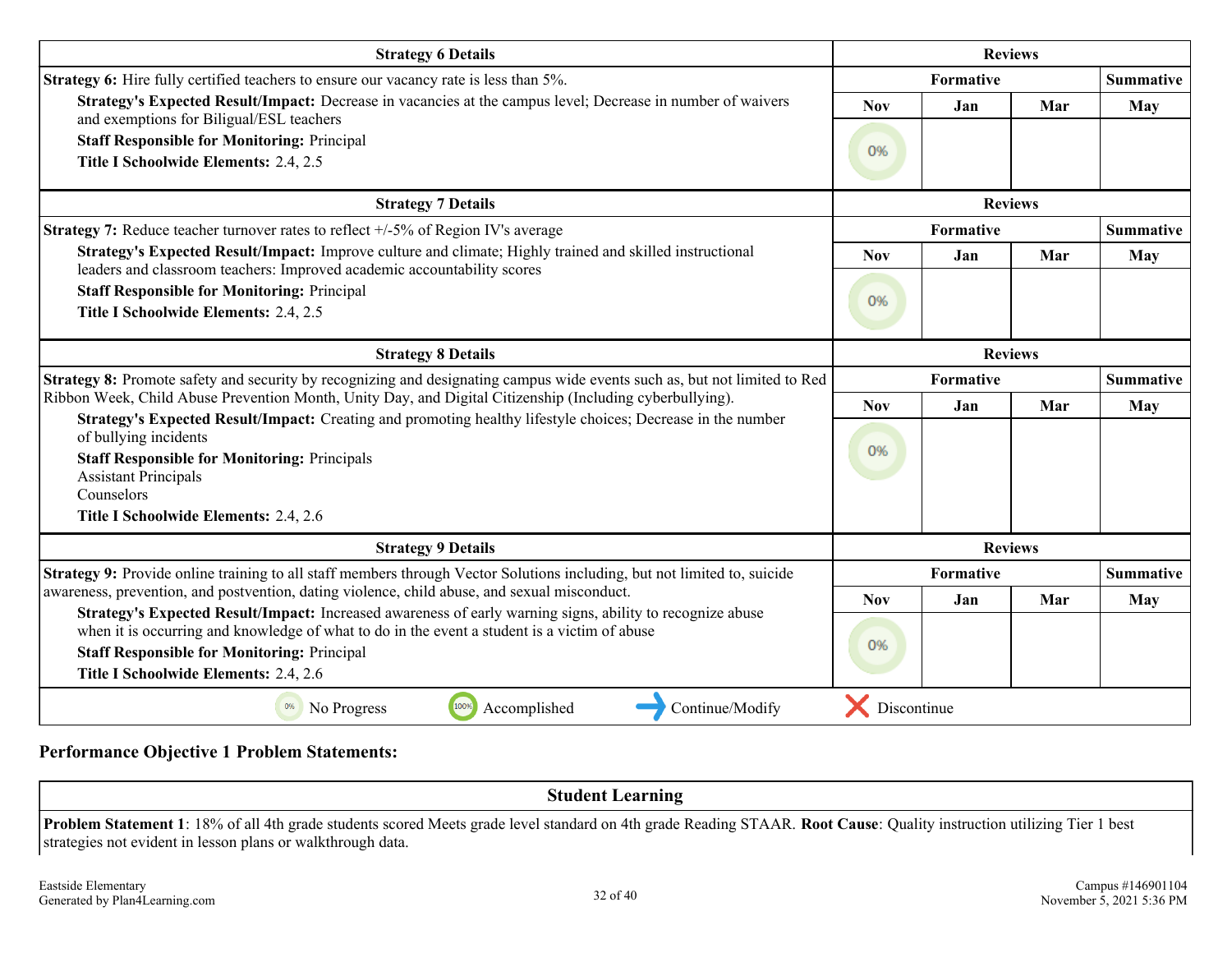| <b>Strategy 6 Details</b>                                                                                                                                                                                                             | <b>Reviews</b>   |                  |     |                  |
|---------------------------------------------------------------------------------------------------------------------------------------------------------------------------------------------------------------------------------------|------------------|------------------|-----|------------------|
| Strategy 6: Hire fully certified teachers to ensure our vacancy rate is less than 5%.                                                                                                                                                 | <b>Formative</b> |                  |     | <b>Summative</b> |
| Strategy's Expected Result/Impact: Decrease in vacancies at the campus level; Decrease in number of waivers<br>and exemptions for Biligual/ESL teachers                                                                               | <b>Nov</b>       | Jan              | Mar | May              |
| <b>Staff Responsible for Monitoring: Principal</b>                                                                                                                                                                                    |                  |                  |     |                  |
| Title I Schoolwide Elements: 2.4, 2.5                                                                                                                                                                                                 | 0%               |                  |     |                  |
| <b>Strategy 7 Details</b>                                                                                                                                                                                                             |                  | <b>Reviews</b>   |     |                  |
| <b>Strategy 7:</b> Reduce teacher turnover rates to reflect $+/-5\%$ of Region IV's average                                                                                                                                           |                  | <b>Formative</b> |     | <b>Summative</b> |
| Strategy's Expected Result/Impact: Improve culture and climate; Highly trained and skilled instructional                                                                                                                              | <b>Nov</b>       | Jan              | Mar | May              |
| leaders and classroom teachers: Improved academic accountability scores                                                                                                                                                               |                  |                  |     |                  |
| <b>Staff Responsible for Monitoring: Principal</b><br>Title I Schoolwide Elements: 2.4, 2.5                                                                                                                                           | 0%               |                  |     |                  |
|                                                                                                                                                                                                                                       |                  |                  |     |                  |
| <b>Strategy 8 Details</b>                                                                                                                                                                                                             | <b>Reviews</b>   |                  |     |                  |
| Strategy 8: Promote safety and security by recognizing and designating campus wide events such as, but not limited to Red<br>Ribbon Week, Child Abuse Prevention Month, Unity Day, and Digital Citizenship (Including cyberbullying). | <b>Formative</b> |                  |     | <b>Summative</b> |
|                                                                                                                                                                                                                                       | <b>Nov</b>       | Jan              | Mar | May              |
| Strategy's Expected Result/Impact: Creating and promoting healthy lifestyle choices; Decrease in the number<br>of bullying incidents                                                                                                  |                  |                  |     |                  |
| <b>Staff Responsible for Monitoring: Principals</b>                                                                                                                                                                                   | 0%               |                  |     |                  |
| <b>Assistant Principals</b>                                                                                                                                                                                                           |                  |                  |     |                  |
| Counselors                                                                                                                                                                                                                            |                  |                  |     |                  |
| Title I Schoolwide Elements: 2.4, 2.6                                                                                                                                                                                                 |                  |                  |     |                  |
| <b>Strategy 9 Details</b>                                                                                                                                                                                                             |                  | <b>Reviews</b>   |     |                  |
| Strategy 9: Provide online training to all staff members through Vector Solutions including, but not limited to, suicide                                                                                                              |                  | <b>Formative</b> |     | <b>Summative</b> |
| awareness, prevention, and postvention, dating violence, child abuse, and sexual misconduct.                                                                                                                                          | <b>Nov</b>       | Jan              | Mar | <b>May</b>       |
| Strategy's Expected Result/Impact: Increased awareness of early warning signs, ability to recognize abuse<br>when it is occurring and knowledge of what to do in the event a student is a victim of abuse                             |                  |                  |     |                  |
| <b>Staff Responsible for Monitoring: Principal</b>                                                                                                                                                                                    | 0%               |                  |     |                  |
| Title I Schoolwide Elements: 2.4, 2.6                                                                                                                                                                                                 |                  |                  |     |                  |
| 100%<br>Accomplished<br>Continue/Modify<br>0%<br>No Progress                                                                                                                                                                          | Discontinue      |                  |     |                  |

#### **Performance Objective 1 Problem Statements:**

**Student Learning Problem Statement 1**: 18% of all 4th grade students scored Meets grade level standard on 4th grade Reading STAAR. **Root Cause**: Quality instruction utilizing Tier 1 best strategies not evident in lesson plans or walkthrough data.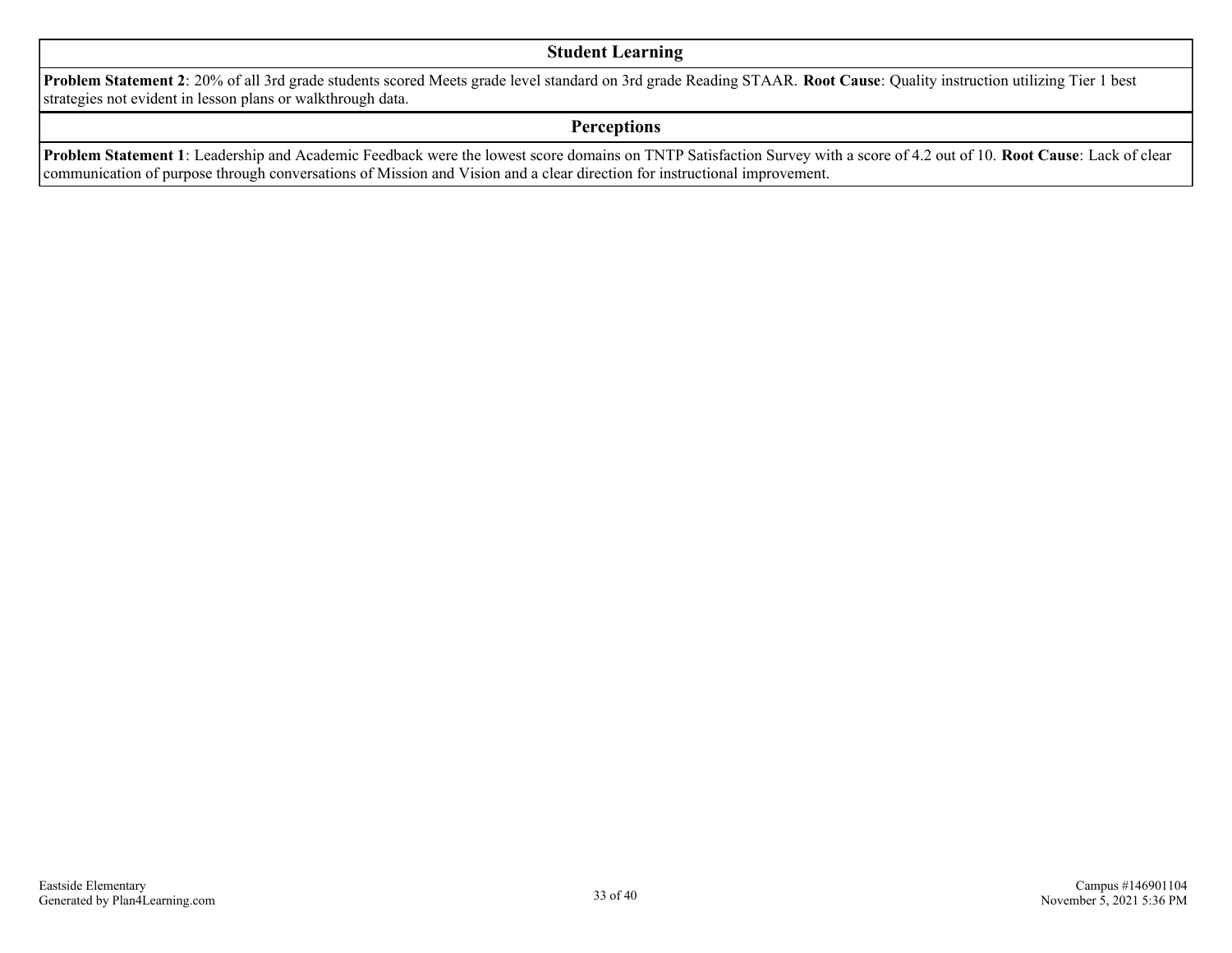#### **Student Learning**

**Problem Statement 2**: 20% of all 3rd grade students scored Meets grade level standard on 3rd grade Reading STAAR. **Root Cause**: Quality instruction utilizing Tier 1 best strategies not evident in lesson plans or walkthrough data.

#### **Perceptions**

**Problem Statement 1**: Leadership and Academic Feedback were the lowest score domains on TNTP Satisfaction Survey with a score of 4.2 out of 10. **Root Cause**: Lack of clear communication of purpose through conversations of Mission and Vision and a clear direction for instructional improvement.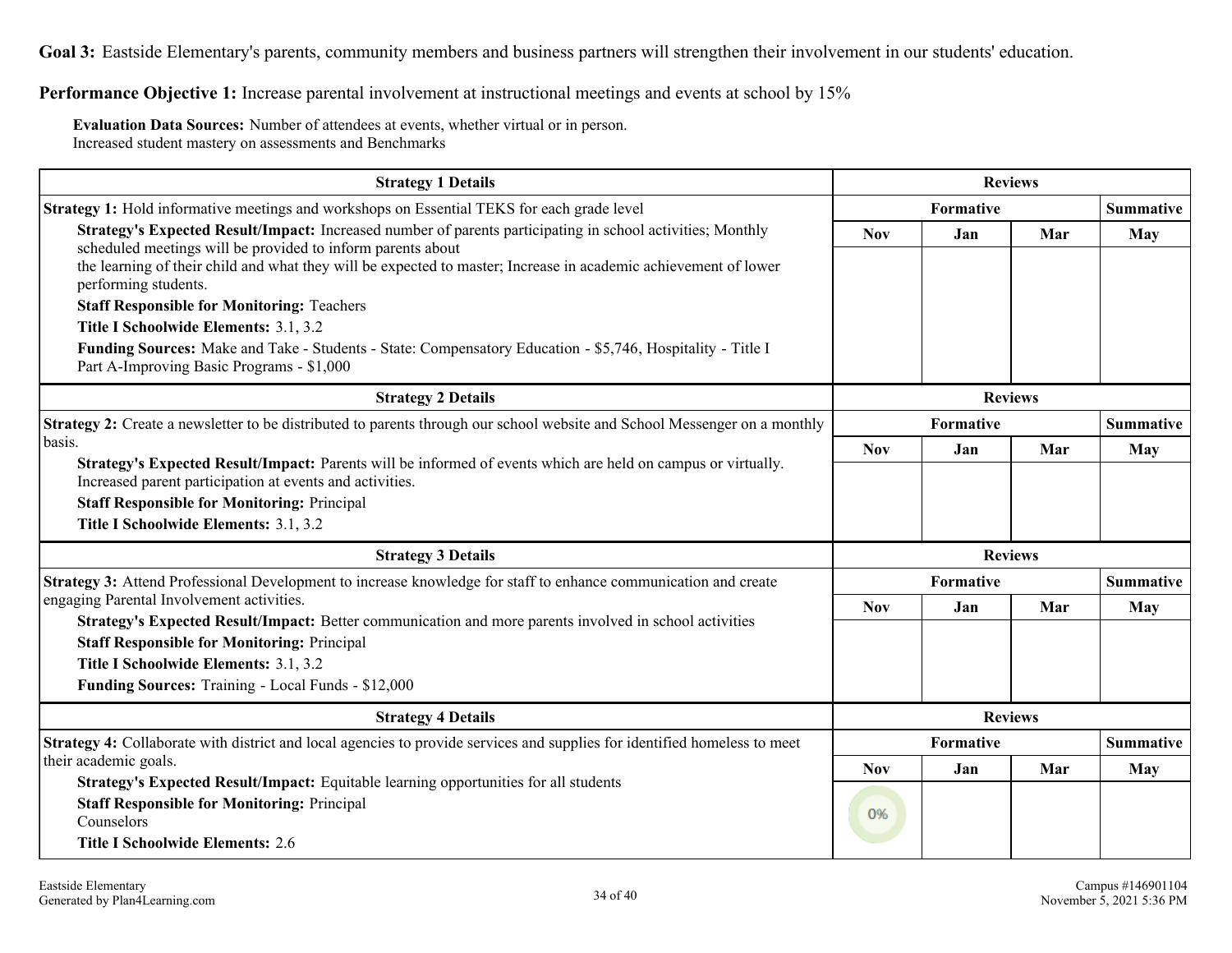**Goal 3:** Eastside Elementary's parents, community members and business partners will strengthen their involvement in our students' education.

**Performance Objective 1:** Increase parental involvement at instructional meetings and events at school by 15%

**Evaluation Data Sources:** Number of attendees at events, whether virtual or in person. Increased student mastery on assessments and Benchmarks

| <b>Strategy 1 Details</b>                                                                                                                                                                                                                                                                    |            | <b>Reviews</b>                |                |                  |  |
|----------------------------------------------------------------------------------------------------------------------------------------------------------------------------------------------------------------------------------------------------------------------------------------------|------------|-------------------------------|----------------|------------------|--|
| <b>Strategy 1:</b> Hold informative meetings and workshops on Essential TEKS for each grade level                                                                                                                                                                                            |            | <b>Formative</b>              |                | <b>Summative</b> |  |
| Strategy's Expected Result/Impact: Increased number of parents participating in school activities; Monthly<br>scheduled meetings will be provided to inform parents about<br>the learning of their child and what they will be expected to master; Increase in academic achievement of lower | <b>Nov</b> | Jan                           | Mar            | May              |  |
| performing students.                                                                                                                                                                                                                                                                         |            |                               |                |                  |  |
| <b>Staff Responsible for Monitoring: Teachers</b>                                                                                                                                                                                                                                            |            |                               |                |                  |  |
| Title I Schoolwide Elements: 3.1, 3.2                                                                                                                                                                                                                                                        |            |                               |                |                  |  |
| Funding Sources: Make and Take - Students - State: Compensatory Education - \$5,746, Hospitality - Title I<br>Part A-Improving Basic Programs - \$1,000                                                                                                                                      |            |                               |                |                  |  |
| <b>Strategy 2 Details</b>                                                                                                                                                                                                                                                                    |            |                               | <b>Reviews</b> |                  |  |
| Strategy 2: Create a newsletter to be distributed to parents through our school website and School Messenger on a monthly                                                                                                                                                                    | Formative  |                               |                | <b>Summative</b> |  |
| basis.                                                                                                                                                                                                                                                                                       | <b>Nov</b> | Jan                           | Mar            | May              |  |
| Strategy's Expected Result/Impact: Parents will be informed of events which are held on campus or virtually.<br>Increased parent participation at events and activities.                                                                                                                     |            |                               |                |                  |  |
| <b>Staff Responsible for Monitoring: Principal</b>                                                                                                                                                                                                                                           |            |                               |                |                  |  |
| Title I Schoolwide Elements: 3.1, 3.2                                                                                                                                                                                                                                                        |            |                               |                |                  |  |
| <b>Strategy 3 Details</b>                                                                                                                                                                                                                                                                    |            |                               | <b>Reviews</b> |                  |  |
| Strategy 3: Attend Professional Development to increase knowledge for staff to enhance communication and create                                                                                                                                                                              |            | Formative                     |                | <b>Summative</b> |  |
| engaging Parental Involvement activities.                                                                                                                                                                                                                                                    | <b>Nov</b> | Jan                           | Mar            | May              |  |
| Strategy's Expected Result/Impact: Better communication and more parents involved in school activities<br><b>Staff Responsible for Monitoring: Principal</b>                                                                                                                                 |            |                               |                |                  |  |
| Title I Schoolwide Elements: 3.1, 3.2                                                                                                                                                                                                                                                        |            |                               |                |                  |  |
| Funding Sources: Training - Local Funds - \$12,000                                                                                                                                                                                                                                           |            |                               |                |                  |  |
| <b>Strategy 4 Details</b>                                                                                                                                                                                                                                                                    |            | <b>Reviews</b>                |                |                  |  |
| Strategy 4: Collaborate with district and local agencies to provide services and supplies for identified homeless to meet                                                                                                                                                                    |            | <b>Summative</b><br>Formative |                |                  |  |
| their academic goals.                                                                                                                                                                                                                                                                        | <b>Nov</b> | Jan                           | Mar            | May              |  |
| Strategy's Expected Result/Impact: Equitable learning opportunities for all students                                                                                                                                                                                                         |            |                               |                |                  |  |
| <b>Staff Responsible for Monitoring: Principal</b><br>Counselors                                                                                                                                                                                                                             | 0%         |                               |                |                  |  |
|                                                                                                                                                                                                                                                                                              |            |                               |                |                  |  |
| <b>Title I Schoolwide Elements: 2.6</b>                                                                                                                                                                                                                                                      |            |                               |                |                  |  |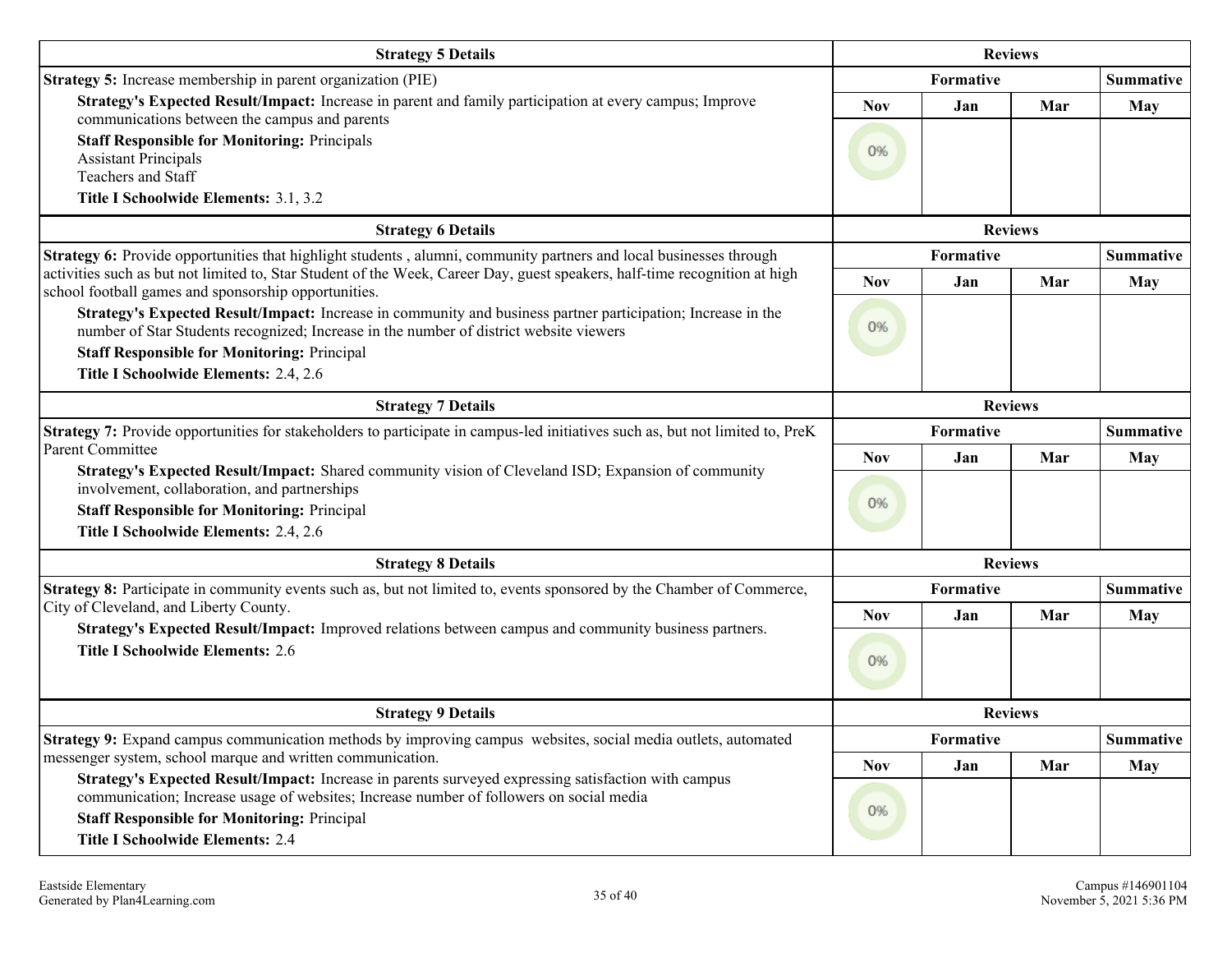| <b>Strategy 5 Details</b>                                                                                                                                                                                                                                                                                     |                                       | <b>Reviews</b>   |                |                                |
|---------------------------------------------------------------------------------------------------------------------------------------------------------------------------------------------------------------------------------------------------------------------------------------------------------------|---------------------------------------|------------------|----------------|--------------------------------|
| Strategy 5: Increase membership in parent organization (PIE)                                                                                                                                                                                                                                                  |                                       | Formative        |                | <b>Summative</b>               |
| Strategy's Expected Result/Impact: Increase in parent and family participation at every campus; Improve<br>communications between the campus and parents<br><b>Staff Responsible for Monitoring: Principals</b><br><b>Assistant Principals</b><br>Teachers and Staff<br>Title I Schoolwide Elements: 3.1, 3.2 | <b>Nov</b><br>0%                      | Jan              | Mar            | <b>May</b>                     |
| <b>Strategy 6 Details</b>                                                                                                                                                                                                                                                                                     |                                       |                  | <b>Reviews</b> |                                |
| Strategy 6: Provide opportunities that highlight students, alumni, community partners and local businesses through<br>activities such as but not limited to, Star Student of the Week, Career Day, guest speakers, half-time recognition at high<br>school football games and sponsorship opportunities.      | Formative<br><b>Nov</b><br>Jan<br>Mar |                  |                | <b>Summative</b><br><b>May</b> |
| Strategy's Expected Result/Impact: Increase in community and business partner participation; Increase in the<br>number of Star Students recognized; Increase in the number of district website viewers<br><b>Staff Responsible for Monitoring: Principal</b><br>Title I Schoolwide Elements: 2.4, 2.6         | 0%                                    |                  |                |                                |
| <b>Strategy 7 Details</b>                                                                                                                                                                                                                                                                                     |                                       |                  | <b>Reviews</b> |                                |
| Strategy 7: Provide opportunities for stakeholders to participate in campus-led initiatives such as, but not limited to, PreK                                                                                                                                                                                 | Formative                             |                  |                | <b>Summative</b>               |
| <b>Parent Committee</b><br>Strategy's Expected Result/Impact: Shared community vision of Cleveland ISD; Expansion of community<br>involvement, collaboration, and partnerships<br><b>Staff Responsible for Monitoring: Principal</b><br>Title I Schoolwide Elements: 2.4, 2.6                                 | <b>Nov</b>                            | Jan              | Mar            | <b>May</b>                     |
|                                                                                                                                                                                                                                                                                                               | 0%                                    |                  |                |                                |
| <b>Strategy 8 Details</b>                                                                                                                                                                                                                                                                                     |                                       |                  | <b>Reviews</b> |                                |
| Strategy 8: Participate in community events such as, but not limited to, events sponsored by the Chamber of Commerce,                                                                                                                                                                                         |                                       | Formative        |                | <b>Summative</b>               |
| City of Cleveland, and Liberty County.<br>Strategy's Expected Result/Impact: Improved relations between campus and community business partners.<br><b>Title I Schoolwide Elements: 2.6</b>                                                                                                                    |                                       | Jan              | Mar            | May                            |
| <b>Strategy 9 Details</b>                                                                                                                                                                                                                                                                                     | <b>Reviews</b>                        |                  |                |                                |
| Strategy 9: Expand campus communication methods by improving campus websites, social media outlets, automated<br>messenger system, school marque and written communication.                                                                                                                                   | <b>Nov</b>                            | Formative<br>Jan | Mar            | <b>Summative</b><br>May        |
| Strategy's Expected Result/Impact: Increase in parents surveyed expressing satisfaction with campus<br>communication; Increase usage of websites; Increase number of followers on social media<br><b>Staff Responsible for Monitoring: Principal</b><br><b>Title I Schoolwide Elements: 2.4</b>               | 0%                                    |                  |                |                                |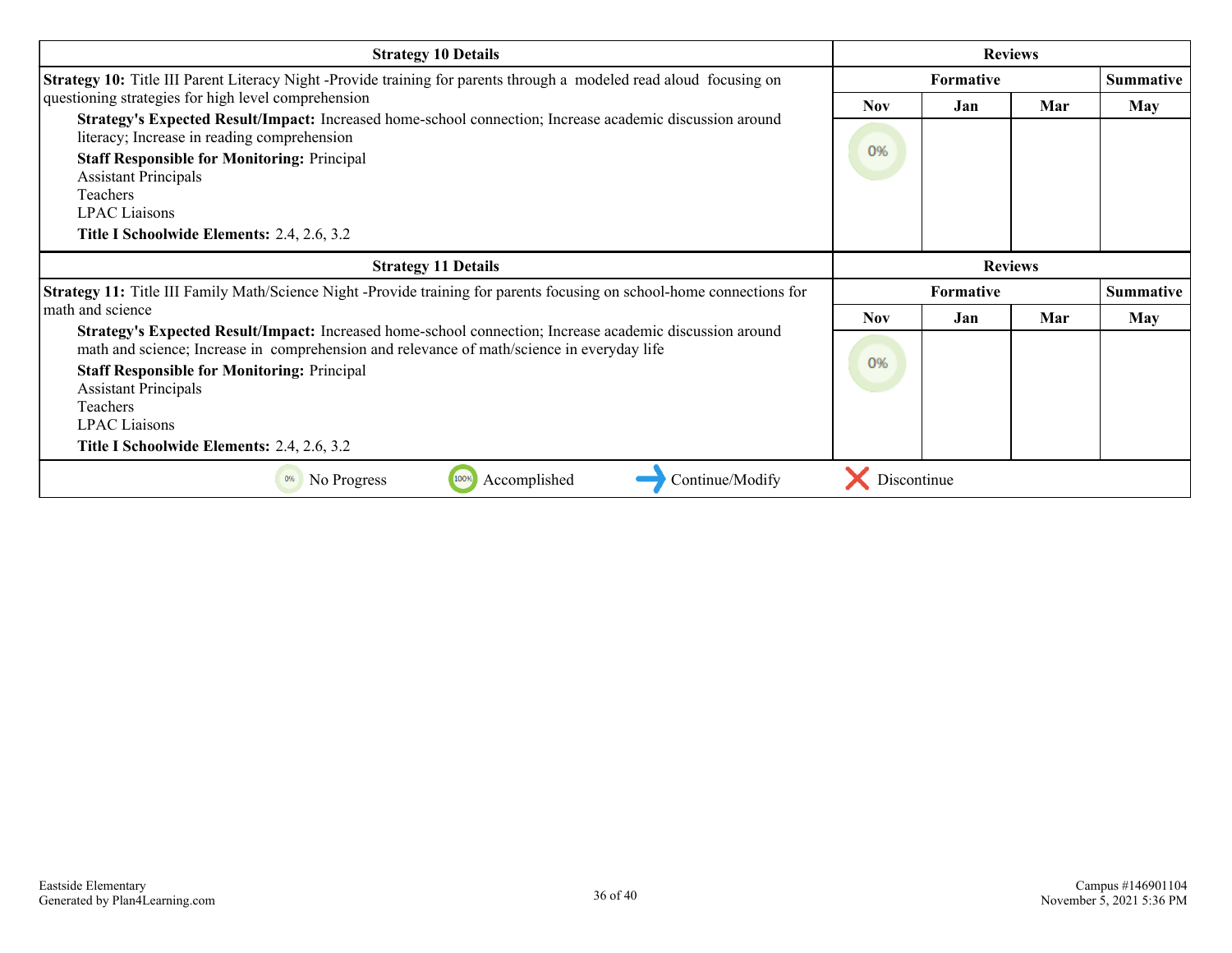| <b>Strategy 10 Details</b>                                                                                                                                                                                                                                                                                                                                                            | <b>Reviews</b>   |                  |     |                  |
|---------------------------------------------------------------------------------------------------------------------------------------------------------------------------------------------------------------------------------------------------------------------------------------------------------------------------------------------------------------------------------------|------------------|------------------|-----|------------------|
| Strategy 10: Title III Parent Literacy Night -Provide training for parents through a modeled read aloud focusing on                                                                                                                                                                                                                                                                   | <b>Formative</b> |                  |     | <b>Summative</b> |
| questioning strategies for high level comprehension<br>Strategy's Expected Result/Impact: Increased home-school connection; Increase academic discussion around<br>literacy; Increase in reading comprehension<br><b>Staff Responsible for Monitoring: Principal</b><br><b>Assistant Principals</b><br>Teachers<br><b>LPAC</b> Liaisons<br>Title I Schoolwide Elements: 2.4, 2.6, 3.2 | <b>Nov</b><br>0% | Jan              | Mar | <b>May</b>       |
| <b>Strategy 11 Details</b>                                                                                                                                                                                                                                                                                                                                                            |                  | <b>Reviews</b>   |     |                  |
| <b>Strategy 11:</b> Title III Family Math/Science Night -Provide training for parents focusing on school-home connections for                                                                                                                                                                                                                                                         |                  | <b>Formative</b> |     | <b>Summative</b> |
| math and science                                                                                                                                                                                                                                                                                                                                                                      | <b>Nov</b>       | Jan              | Mar | May              |
| Strategy's Expected Result/Impact: Increased home-school connection; Increase academic discussion around<br>math and science; Increase in comprehension and relevance of math/science in everyday life<br><b>Staff Responsible for Monitoring: Principal</b><br><b>Assistant Principals</b><br>Teachers<br><b>LPAC</b> Liaisons<br>Title I Schoolwide Elements: 2.4, 2.6, 3.2         | 0%               |                  |     |                  |
|                                                                                                                                                                                                                                                                                                                                                                                       |                  |                  |     |                  |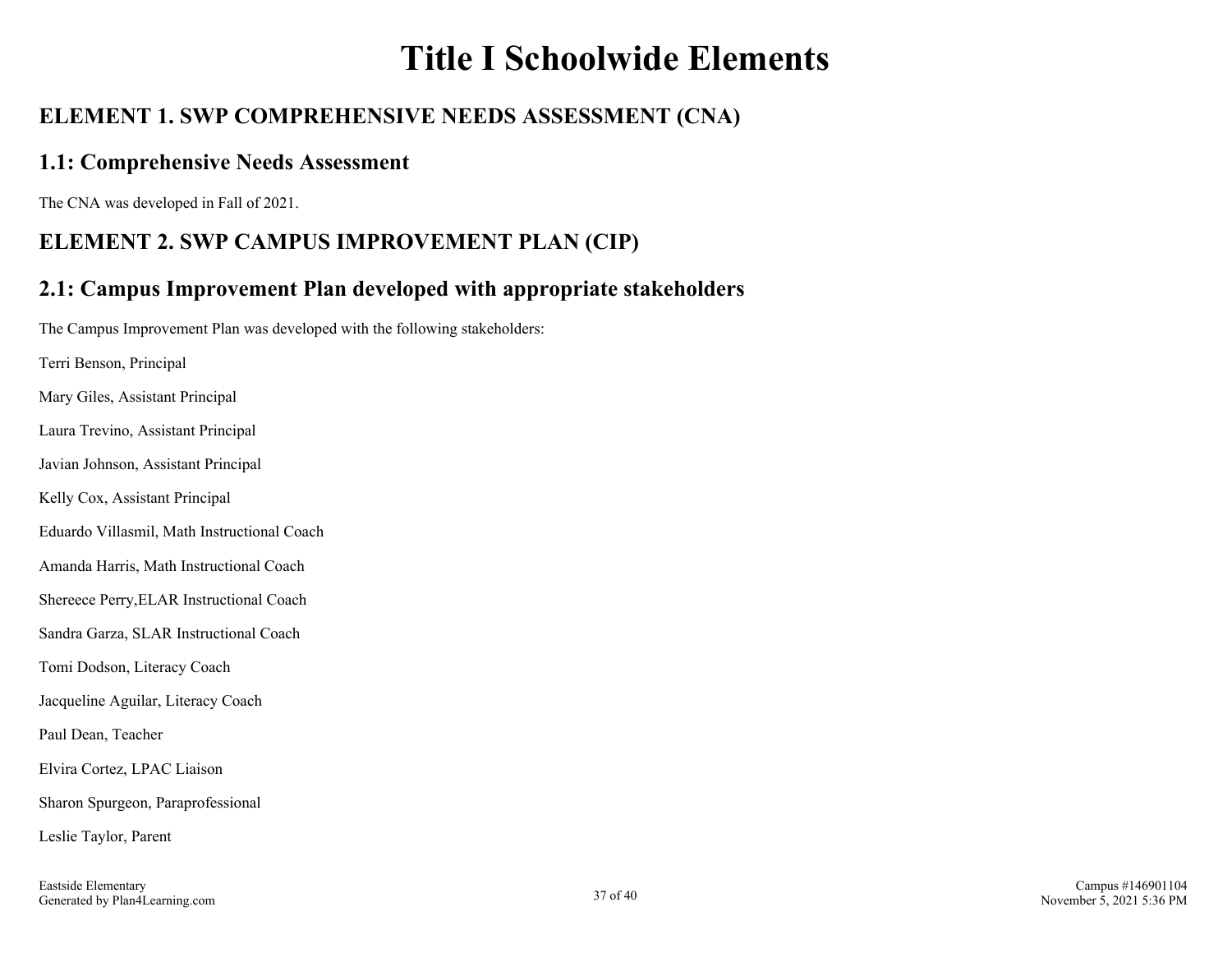## **Title I Schoolwide Elements**

## **ELEMENT 1. SWP COMPREHENSIVE NEEDS ASSESSMENT (CNA)**

### **1.1: Comprehensive Needs Assessment**

The CNA was developed in Fall of 2021.

## **ELEMENT 2. SWP CAMPUS IMPROVEMENT PLAN (CIP)**

## **2.1: Campus Improvement Plan developed with appropriate stakeholders**

The Campus Improvement Plan was developed with the following stakeholders:

Terri Benson, Principal Mary Giles, Assistant Principal Laura Trevino, Assistant Principal Javian Johnson, Assistant Principal Kelly Cox, Assistant Principal Eduardo Villasmil, Math Instructional Coach Amanda Harris, Math Instructional Coach Shereece Perry,ELAR Instructional Coach Sandra Garza, SLAR Instructional Coach Tomi Dodson, Literacy Coach Jacqueline Aguilar, Literacy Coach Paul Dean, Teacher Elvira Cortez, LPAC Liaison Sharon Spurgeon, Paraprofessional Leslie Taylor, Parent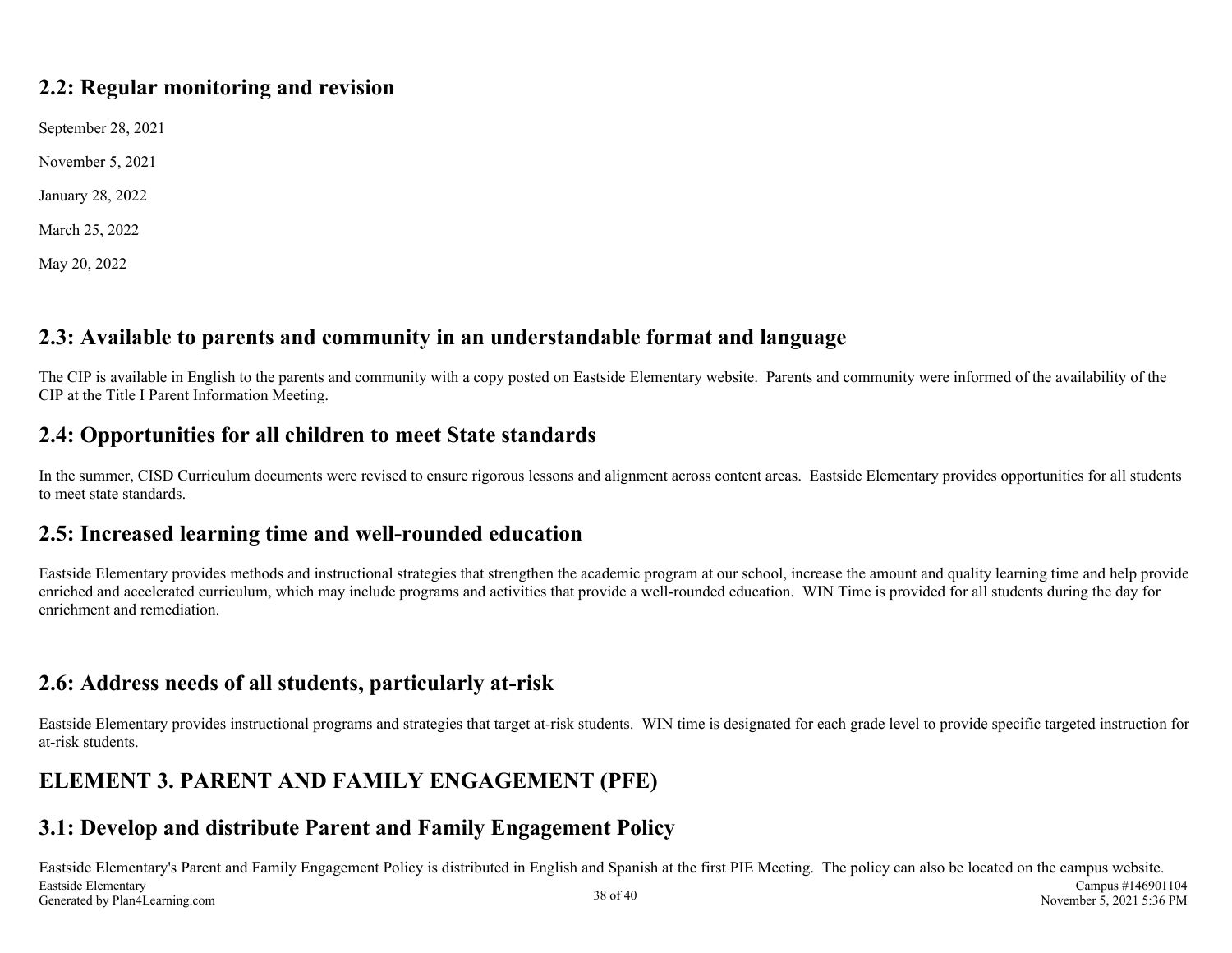### **2.2: Regular monitoring and revision**

September 28, 2021

November 5, 2021

January 28, 2022

March 25, 2022

May 20, 2022

## **2.3: Available to parents and community in an understandable format and language**

The CIP is available in English to the parents and community with a copy posted on Eastside Elementary website. Parents and community were informed of the availability of the CIP at the Title I Parent Information Meeting.

## **2.4: Opportunities for all children to meet State standards**

In the summer, CISD Curriculum documents were revised to ensure rigorous lessons and alignment across content areas. Eastside Elementary provides opportunities for all students to meet state standards.

### **2.5: Increased learning time and well-rounded education**

Eastside Elementary provides methods and instructional strategies that strengthen the academic program at our school, increase the amount and quality learning time and help provide enriched and accelerated curriculum, which may include programs and activities that provide a well-rounded education. WIN Time is provided for all students during the day for enrichment and remediation.

### **2.6: Address needs of all students, particularly at-risk**

Eastside Elementary provides instructional programs and strategies that target at-risk students. WIN time is designated for each grade level to provide specific targeted instruction for at-risk students.

## **ELEMENT 3. PARENT AND FAMILY ENGAGEMENT (PFE)**

## **3.1: Develop and distribute Parent and Family Engagement Policy**

Eastside Elementary's Parent and Family Engagement Policy is distributed in English and Spanish at the first PIE Meeting. The policy can also be located on the campus website. Eastside Elementary Generated by Plan4Learning.com 38 of 40 Campus #146901104 November 5, 2021 5:36 PM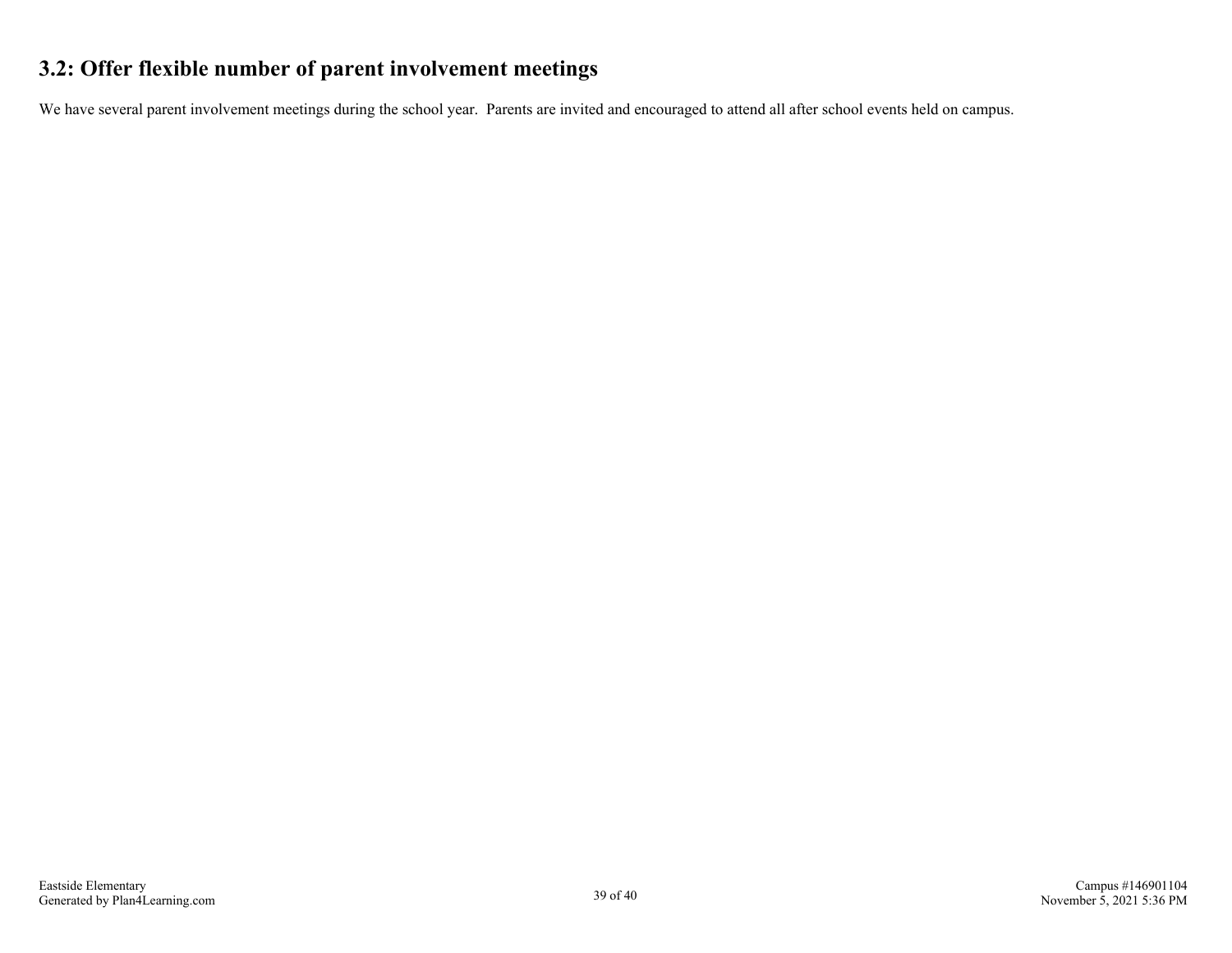## **3.2: Offer flexible number of parent involvement meetings**

We have several parent involvement meetings during the school year. Parents are invited and encouraged to attend all after school events held on campus.